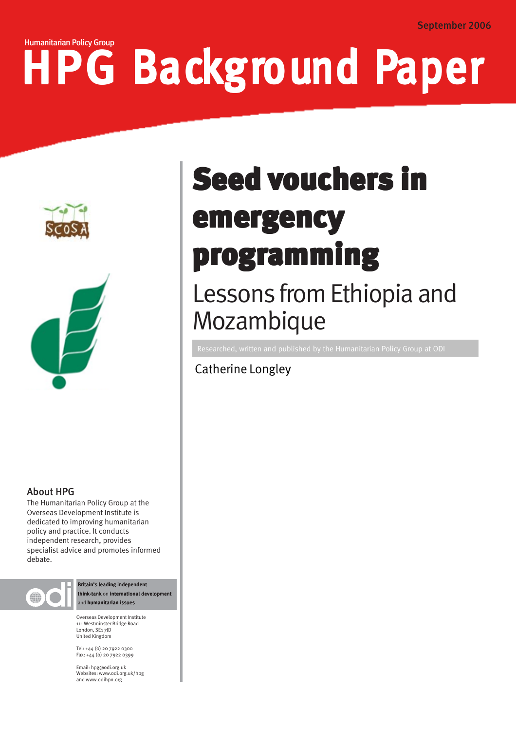# HPG Background Paper Humanitarian Policy Group





# About HPG

The Humanitarian Policy Group at the Overseas Development Institute is dedicated to improving humanitarian policy and practice. It conducts independent research, provides specialist advice and promotes informed debate.



Britain's leading independent think-tank on international developm and humanitarian issues

Overseas Development Institute 111 Westminster Bridge Road London, SE1 7JD United Kingdom

Tel: +44 (0) 20 7922 0300 Fax: +44 (0) 20 7922 0399

Email: hpg@odi.org.uk Websites: www.odi.org.uk/hpg and www.odihpn.org

# programming **Seed vouchers in** emergency

# Lessons from Ethiopia and Mozambique

Catherine Longley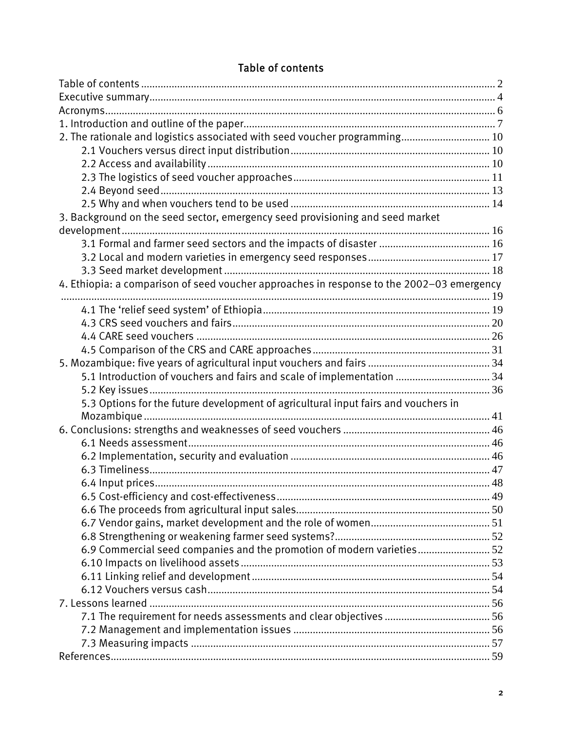<span id="page-1-0"></span>

| 2. The rationale and logistics associated with seed voucher programming 10                |  |
|-------------------------------------------------------------------------------------------|--|
|                                                                                           |  |
|                                                                                           |  |
|                                                                                           |  |
|                                                                                           |  |
|                                                                                           |  |
| 3. Background on the seed sector, emergency seed provisioning and seed market             |  |
|                                                                                           |  |
|                                                                                           |  |
|                                                                                           |  |
|                                                                                           |  |
| 4. Ethiopia: a comparison of seed voucher approaches in response to the 2002-03 emergency |  |
|                                                                                           |  |
|                                                                                           |  |
|                                                                                           |  |
|                                                                                           |  |
|                                                                                           |  |
|                                                                                           |  |
| 5.1 Introduction of vouchers and fairs and scale of implementation  34                    |  |
|                                                                                           |  |
| 5.3 Options for the future development of agricultural input fairs and vouchers in        |  |
|                                                                                           |  |
|                                                                                           |  |
|                                                                                           |  |
|                                                                                           |  |
|                                                                                           |  |
|                                                                                           |  |
|                                                                                           |  |
|                                                                                           |  |
|                                                                                           |  |
|                                                                                           |  |
| 6.9 Commercial seed companies and the promotion of modern varieties 52                    |  |
|                                                                                           |  |
|                                                                                           |  |
|                                                                                           |  |
|                                                                                           |  |
|                                                                                           |  |
|                                                                                           |  |
|                                                                                           |  |
|                                                                                           |  |

# Table of contents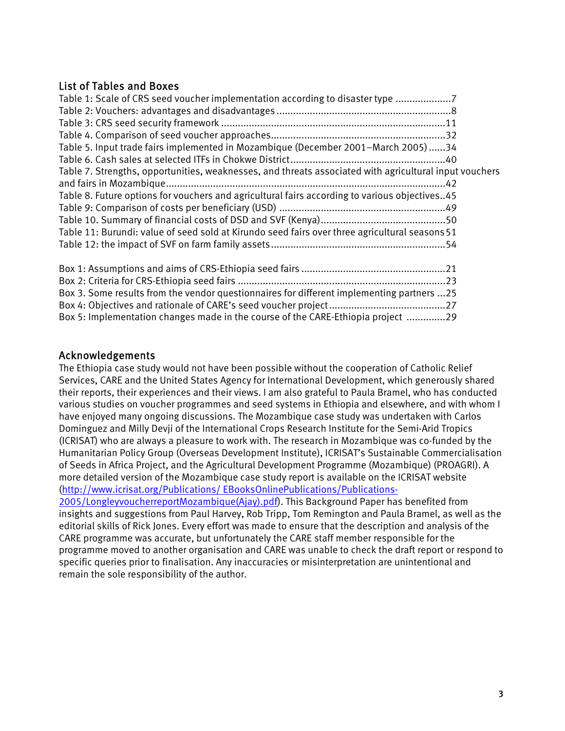# List of Tables and Boxes

| Table 1: Scale of CRS seed voucher implementation according to disaster type 7                         |  |
|--------------------------------------------------------------------------------------------------------|--|
|                                                                                                        |  |
|                                                                                                        |  |
|                                                                                                        |  |
| Table 5. Input trade fairs implemented in Mozambique (December 2001–March 2005)34                      |  |
|                                                                                                        |  |
| Table 7. Strengths, opportunities, weaknesses, and threats associated with agricultural input vouchers |  |
|                                                                                                        |  |
| Table 8. Future options for vouchers and agricultural fairs according to various objectives45          |  |
|                                                                                                        |  |
|                                                                                                        |  |
| Table 11: Burundi: value of seed sold at Kirundo seed fairs over three agricultural seasons 51         |  |
|                                                                                                        |  |
|                                                                                                        |  |
|                                                                                                        |  |
|                                                                                                        |  |

Box 3. Some results from the vendor questionnaires for different implementing partners ...25 Box 4: Objectives and rationale of CARE's seed voucher project..........................................27 Box 5: Implementation changes made in the course of the CARE-Ethiopia project ..............29

# Acknowledgements

remain the sole responsibility of the author.

The Ethiopia case study would not have been possible without the cooperation of Catholic Relief Services, CARE and the United States Agency for International Development, which generously shared their reports, their experiences and their views. I am also grateful to Paula Bramel, who has conducted various studies on voucher programmes and seed systems in Ethiopia and elsewhere, and with whom I have enjoyed many ongoing discussions. The Mozambique case study was undertaken with Carlos Dominguez and Milly Devji of the International Crops Research Institute for the Semi-Arid Tropics (ICRISAT) who are always a pleasure to work with. The research in Mozambique was co-funded by the Humanitarian Policy Group (Overseas Development Institute), ICRISAT's Sustainable Commercialisation of Seeds in Africa Project, and the Agricultural Development Programme (Mozambique) (PROAGRI). A more detailed version of the Mozambique case study report is available on the ICRISAT website [\(http://www.icrisat.org/Publications/ EBooksOnlinePublications/Publications-](http://www.icrisat.org/Publications/ EBooksOnlinePublications/Publications-2005/LongleyvoucherreportMozambique(Ajay).pdf)[2005/LongleyvoucherreportMozambique\(Ajay\).pdf\)](http://www.icrisat.org/Publications/ EBooksOnlinePublications/Publications-2005/LongleyvoucherreportMozambique(Ajay).pdf). This Background Paper has benefited from insights and suggestions from Paul Harvey, Rob Tripp, Tom Remington and Paula Bramel, as well as the editorial skills of Rick Jones. Every effort was made to ensure that the description and analysis of the CARE programme was accurate, but unfortunately the CARE staff member responsible for the programme moved to another organisation and CARE was unable to check the draft report or respond to

specific queries prior to finalisation. Any inaccuracies or misinterpretation are unintentional and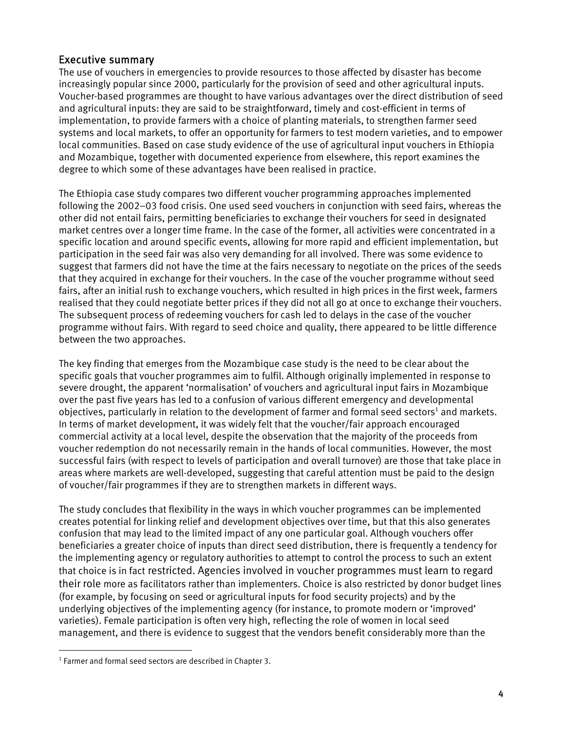#### <span id="page-3-0"></span>Executive summary

The use of vouchers in emergencies to provide resources to those affected by disaster has become increasingly popular since 2000, particularly for the provision of seed and other agricultural inputs. Voucher-based programmes are thought to have various advantages over the direct distribution of seed and agricultural inputs: they are said to be straightforward, timely and cost-efficient in terms of implementation, to provide farmers with a choice of planting materials, to strengthen farmer seed systems and local markets, to offer an opportunity for farmers to test modern varieties, and to empower local communities. Based on case study evidence of the use of agricultural input vouchers in Ethiopia and Mozambique, together with documented experience from elsewhere, this report examines the degree to which some of these advantages have been realised in practice.

The Ethiopia case study compares two different voucher programming approaches implemented following the 2002–03 food crisis. One used seed vouchers in conjunction with seed fairs, whereas the other did not entail fairs, permitting beneficiaries to exchange their vouchers for seed in designated market centres over a longer time frame. In the case of the former, all activities were concentrated in a specific location and around specific events, allowing for more rapid and efficient implementation, but participation in the seed fair was also very demanding for all involved. There was some evidence to suggest that farmers did not have the time at the fairs necessary to negotiate on the prices of the seeds that they acquired in exchange for their vouchers. In the case of the voucher programme without seed fairs, after an initial rush to exchange vouchers, which resulted in high prices in the first week, farmers realised that they could negotiate better prices if they did not all go at once to exchange their vouchers. The subsequent process of redeeming vouchers for cash led to delays in the case of the voucher programme without fairs. With regard to seed choice and quality, there appeared to be little difference between the two approaches.

The key finding that emerges from the Mozambique case study is the need to be clear about the specific goals that voucher programmes aim to fulfil. Although originally implemented in response to severe drought, the apparent 'normalisation' of vouchers and agricultural input fairs in Mozambique over the past five years has led to a confusion of various different emergency and developmental objectives, particularly in relation to the development of farmer and formal seed sectors<sup>1</sup> and markets. In terms of market development, it was widely felt that the voucher/fair approach encouraged commercial activity at a local level, despite the observation that the majority of the proceeds from voucher redemption do not necessarily remain in the hands of local communities. However, the most successful fairs (with respect to levels of participation and overall turnover) are those that take place in areas where markets are well-developed, suggesting that careful attention must be paid to the design of voucher/fair programmes if they are to strengthen markets in different ways.

The study concludes that flexibility in the ways in which voucher programmes can be implemented creates potential for linking relief and development objectives over time, but that this also generates confusion that may lead to the limited impact of any one particular goal. Although vouchers offer beneficiaries a greater choice of inputs than direct seed distribution, there is frequently a tendency for the implementing agency or regulatory authorities to attempt to control the process to such an extent that choice is in fact restricted. Agencies involved in voucher programmes must learn to regard their role more as facilitators rather than implementers. Choice is also restricted by donor budget lines (for example, by focusing on seed or agricultural inputs for food security projects) and by the underlying objectives of the implementing agency (for instance, to promote modern or 'improved' varieties). Female participation is often very high, reflecting the role of women in local seed management, and there is evidence to suggest that the vendors benefit considerably more than the

<span id="page-3-1"></span><sup>&</sup>lt;sup>1</sup> Farmer and formal seed sectors are described in Chapter 3.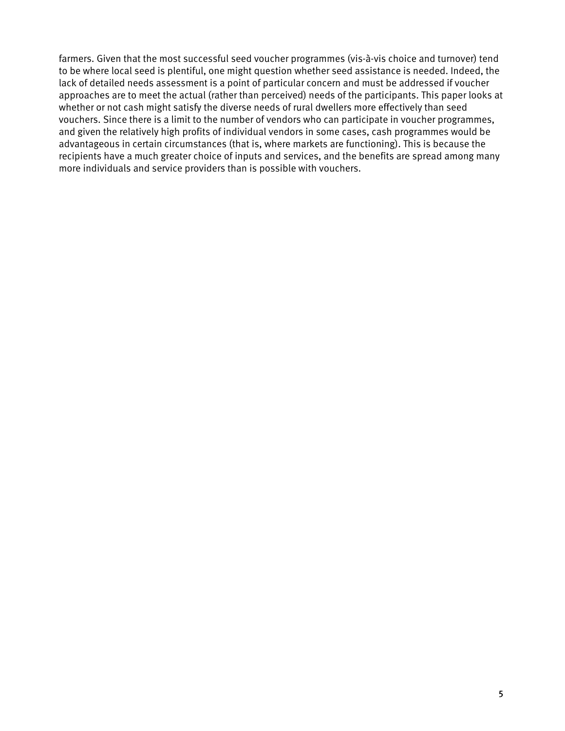farmers. Given that the most successful seed voucher programmes (vis-à-vis choice and turnover) tend to be where local seed is plentiful, one might question whether seed assistance is needed. Indeed, the lack of detailed needs assessment is a point of particular concern and must be addressed if voucher approaches are to meet the actual (rather than perceived) needs of the participants. This paper looks at whether or not cash might satisfy the diverse needs of rural dwellers more effectively than seed vouchers. Since there is a limit to the number of vendors who can participate in voucher programmes, and given the relatively high profits of individual vendors in some cases, cash programmes would be advantageous in certain circumstances (that is, where markets are functioning). This is because the recipients have a much greater choice of inputs and services, and the benefits are spread among many more individuals and service providers than is possible with vouchers.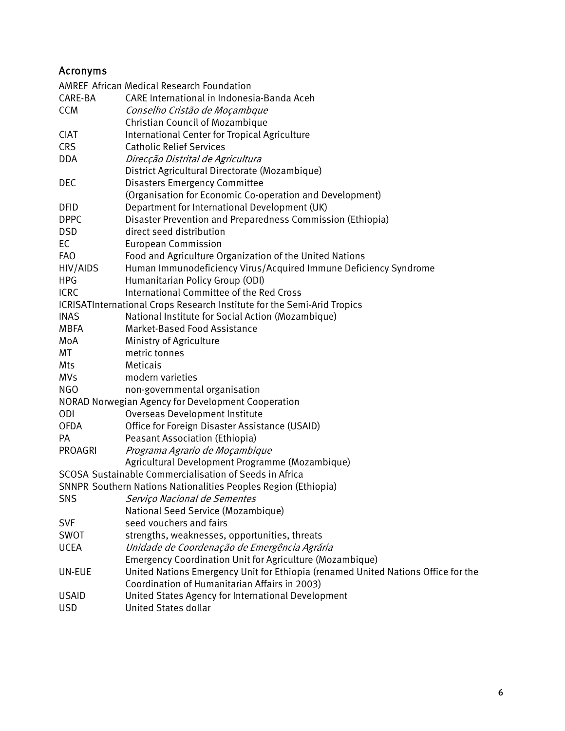# <span id="page-5-0"></span>Acronyms

|                | AMREF African Medical Research Foundation                                         |
|----------------|-----------------------------------------------------------------------------------|
| CARE-BA        | CARE International in Indonesia-Banda Aceh                                        |
| <b>CCM</b>     | Conselho Cristão de Moçambque                                                     |
|                | Christian Council of Mozambique                                                   |
| <b>CIAT</b>    | International Center for Tropical Agriculture                                     |
| <b>CRS</b>     | <b>Catholic Relief Services</b>                                                   |
| <b>DDA</b>     | Direcção Distrital de Agricultura                                                 |
|                | District Agricultural Directorate (Mozambique)                                    |
| DEC            | <b>Disasters Emergency Committee</b>                                              |
|                | (Organisation for Economic Co-operation and Development)                          |
| <b>DFID</b>    | Department for International Development (UK)                                     |
| <b>DPPC</b>    | Disaster Prevention and Preparedness Commission (Ethiopia)                        |
| <b>DSD</b>     | direct seed distribution                                                          |
| EC             | <b>European Commission</b>                                                        |
| <b>FAO</b>     | Food and Agriculture Organization of the United Nations                           |
| HIV/AIDS       | Human Immunodeficiency Virus/Acquired Immune Deficiency Syndrome                  |
| <b>HPG</b>     | Humanitarian Policy Group (ODI)                                                   |
| <b>ICRC</b>    | International Committee of the Red Cross                                          |
|                | ICRISATInternational Crops Research Institute for the Semi-Arid Tropics           |
| <b>INAS</b>    | National Institute for Social Action (Mozambique)                                 |
| <b>MBFA</b>    | Market-Based Food Assistance                                                      |
| MoA            | Ministry of Agriculture                                                           |
| МT             | metric tonnes                                                                     |
| Mts            | Meticais                                                                          |
| <b>MVs</b>     | modern varieties                                                                  |
| <b>NGO</b>     | non-governmental organisation                                                     |
|                | <b>NORAD Norwegian Agency for Development Cooperation</b>                         |
| <b>ODI</b>     | Overseas Development Institute                                                    |
| <b>OFDA</b>    | Office for Foreign Disaster Assistance (USAID)                                    |
| <b>PA</b>      | <b>Peasant Association (Ethiopia)</b>                                             |
| <b>PROAGRI</b> | Programa Agrario de Moçambique                                                    |
|                | Agricultural Development Programme (Mozambique)                                   |
|                | SCOSA Sustainable Commercialisation of Seeds in Africa                            |
|                | SNNPR Southern Nations Nationalities Peoples Region (Ethiopia)                    |
| SNS            | Serviço Nacional de Sementes                                                      |
|                | National Seed Service (Mozambique)                                                |
| <b>SVF</b>     | seed vouchers and fairs                                                           |
| SWOT           | strengths, weaknesses, opportunities, threats                                     |
| <b>UCEA</b>    | Unidade de Coordenação de Emergência Agrária                                      |
|                | Emergency Coordination Unit for Agriculture (Mozambique)                          |
| UN-EUE         | United Nations Emergency Unit for Ethiopia (renamed United Nations Office for the |
|                | Coordination of Humanitarian Affairs in 2003)                                     |
| <b>USAID</b>   | United States Agency for International Development                                |
| <b>USD</b>     | <b>United States dollar</b>                                                       |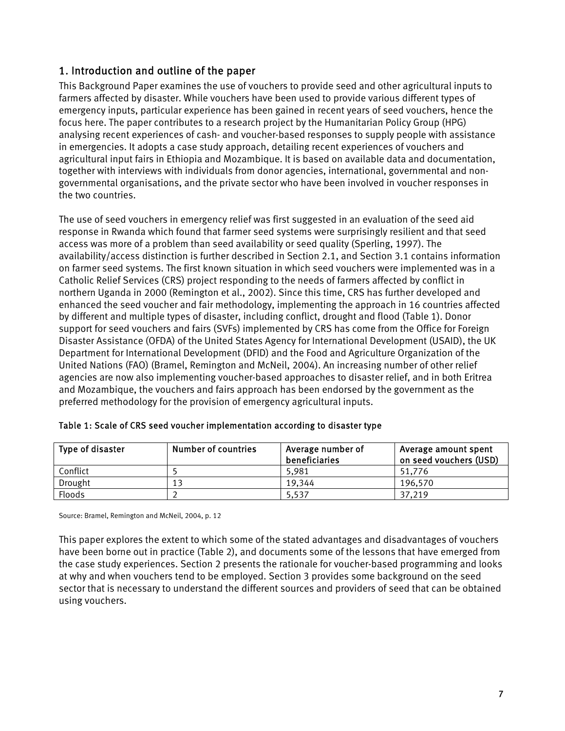# <span id="page-6-0"></span>1. Introduction and outline of the paper

This Background Paper examines the use of vouchers to provide seed and other agricultural inputs to farmers affected by disaster. While vouchers have been used to provide various different types of emergency inputs, particular experience has been gained in recent years of seed vouchers, hence the focus here. The paper contributes to a research project by the Humanitarian Policy Group (HPG) analysing recent experiences of cash- and voucher-based responses to supply people with assistance in emergencies. It adopts a case study approach, detailing recent experiences of vouchers and agricultural input fairs in Ethiopia and Mozambique. It is based on available data and documentation, together with interviews with individuals from donor agencies, international, governmental and nongovernmental organisations, and the private sector who have been involved in voucher responses in the two countries.

The use of seed vouchers in emergency relief was first suggested in an evaluation of the seed aid response in Rwanda which found that farmer seed systems were surprisingly resilient and that seed access was more of a problem than seed availability or seed quality (Sperling, 1997). The availability/access distinction is further described in Section 2.1, and Section 3.1 contains information on farmer seed systems. The first known situation in which seed vouchers were implemented was in a Catholic Relief Services (CRS) project responding to the needs of farmers affected by conflict in northern Uganda in 2000 (Remington et al., 2002). Since this time, CRS has further developed and enhanced the seed voucher and fair methodology, implementing the approach in 16 countries affected by different and multiple types of disaster, including conflict, drought and flood (Table 1). Donor support for seed vouchers and fairs (SVFs) implemented by CRS has come from the Office for Foreign Disaster Assistance (OFDA) of the United States Agency for International Development (USAID), the UK Department for International Development (DFID) and the Food and Agriculture Organization of the United Nations (FAO) (Bramel, Remington and McNeil, 2004). An increasing number of other relief agencies are now also implementing voucher-based approaches to disaster relief, and in both Eritrea and Mozambique, the vouchers and fairs approach has been endorsed by the government as the preferred methodology for the provision of emergency agricultural inputs.

| Type of disaster | Number of countries | Average number of<br><b>beneficiaries</b> | Average amount spent<br>on seed vouchers (USD) |
|------------------|---------------------|-------------------------------------------|------------------------------------------------|
| Conflict         |                     | 5.981                                     | 51.776                                         |
| Drought          | 13                  | 19.344                                    | 196.570                                        |
| Floods           |                     | 5,537                                     | 37,219                                         |

|  | Table 1: Scale of CRS seed voucher implementation according to disaster type |  |
|--|------------------------------------------------------------------------------|--|
|  |                                                                              |  |

Source: Bramel, Remington and McNeil, 2004, p. 12

This paper explores the extent to which some of the stated advantages and disadvantages of vouchers have been borne out in practice (Table 2), and documents some of the lessons that have emerged from the case study experiences. Section 2 presents the rationale for voucher-based programming and looks at why and when vouchers tend to be employed. Section 3 provides some background on the seed sector that is necessary to understand the different sources and providers of seed that can be obtained using vouchers.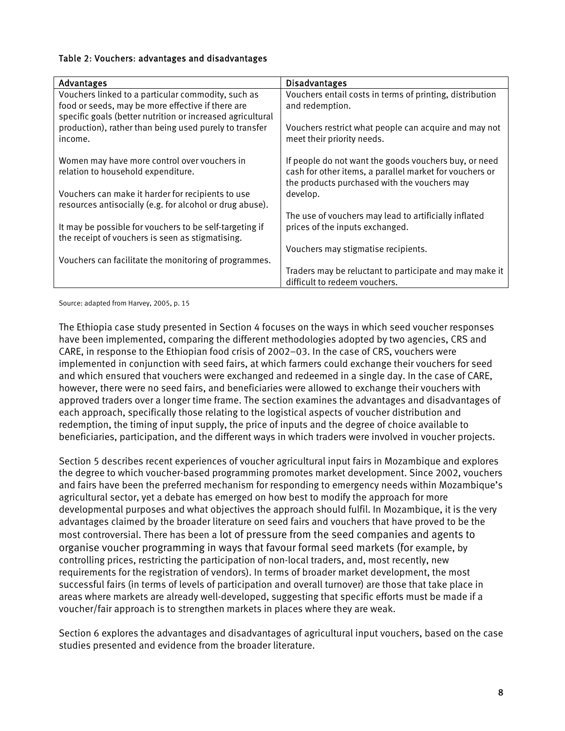#### Table 2: Vouchers: advantages and disadvantages

| <b>Advantages</b>                                                                  | <b>Disadvantages</b>                                                                                             |
|------------------------------------------------------------------------------------|------------------------------------------------------------------------------------------------------------------|
| Vouchers linked to a particular commodity, such as                                 | Vouchers entail costs in terms of printing, distribution                                                         |
| food or seeds, may be more effective if there are                                  | and redemption.                                                                                                  |
| specific goals (better nutrition or increased agricultural                         |                                                                                                                  |
| production), rather than being used purely to transfer                             | Vouchers restrict what people can acquire and may not                                                            |
| income.                                                                            | meet their priority needs.                                                                                       |
|                                                                                    |                                                                                                                  |
| Women may have more control over vouchers in<br>relation to household expenditure. | If people do not want the goods vouchers buy, or need<br>cash for other items, a parallel market for vouchers or |
|                                                                                    | the products purchased with the vouchers may                                                                     |
| Vouchers can make it harder for recipients to use                                  | develop.                                                                                                         |
| resources antisocially (e.g. for alcohol or drug abuse).                           |                                                                                                                  |
|                                                                                    | The use of vouchers may lead to artificially inflated                                                            |
| It may be possible for vouchers to be self-targeting if                            | prices of the inputs exchanged.                                                                                  |
| the receipt of vouchers is seen as stigmatising.                                   |                                                                                                                  |
|                                                                                    | Vouchers may stigmatise recipients.                                                                              |
| Vouchers can facilitate the monitoring of programmes.                              |                                                                                                                  |
|                                                                                    | Traders may be reluctant to participate and may make it                                                          |
|                                                                                    | difficult to redeem vouchers.                                                                                    |

Source: adapted from Harvey, 2005, p. 15

The Ethiopia case study presented in Section 4 focuses on the ways in which seed voucher responses have been implemented, comparing the different methodologies adopted by two agencies, CRS and CARE, in response to the Ethiopian food crisis of 2002–03. In the case of CRS, vouchers were implemented in conjunction with seed fairs, at which farmers could exchange their vouchers for seed and which ensured that vouchers were exchanged and redeemed in a single day. In the case of CARE, however, there were no seed fairs, and beneficiaries were allowed to exchange their vouchers with approved traders over a longer time frame. The section examines the advantages and disadvantages of each approach, specifically those relating to the logistical aspects of voucher distribution and redemption, the timing of input supply, the price of inputs and the degree of choice available to beneficiaries, participation, and the different ways in which traders were involved in voucher projects.

Section 5 describes recent experiences of voucher agricultural input fairs in Mozambique and explores the degree to which voucher-based programming promotes market development. Since 2002, vouchers and fairs have been the preferred mechanism for responding to emergency needs within Mozambique's agricultural sector, yet a debate has emerged on how best to modify the approach for more developmental purposes and what objectives the approach should fulfil. In Mozambique, it is the very advantages claimed by the broader literature on seed fairs and vouchers that have proved to be the most controversial. There has been a lot of pressure from the seed companies and agents to organise voucher programming in ways that favour formal seed markets (for example, by controlling prices, restricting the participation of non-local traders, and, most recently, new requirements for the registration of vendors). In terms of broader market development, the most successful fairs (in terms of levels of participation and overall turnover) are those that take place in areas where markets are already well-developed, suggesting that specific efforts must be made if a voucher/fair approach is to strengthen markets in places where they are weak.

Section 6 explores the advantages and disadvantages of agricultural input vouchers, based on the case studies presented and evidence from the broader literature.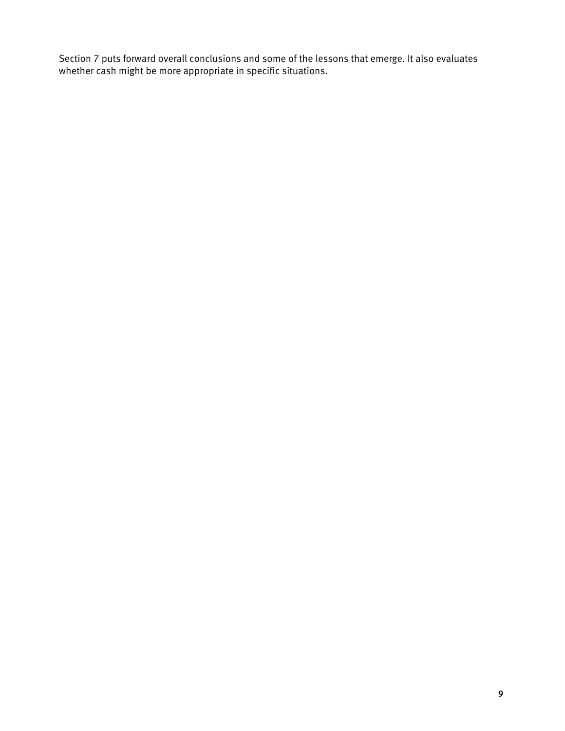Section 7 puts forward overall conclusions and some of the lessons that emerge. It also evaluates whether cash might be more appropriate in specific situations.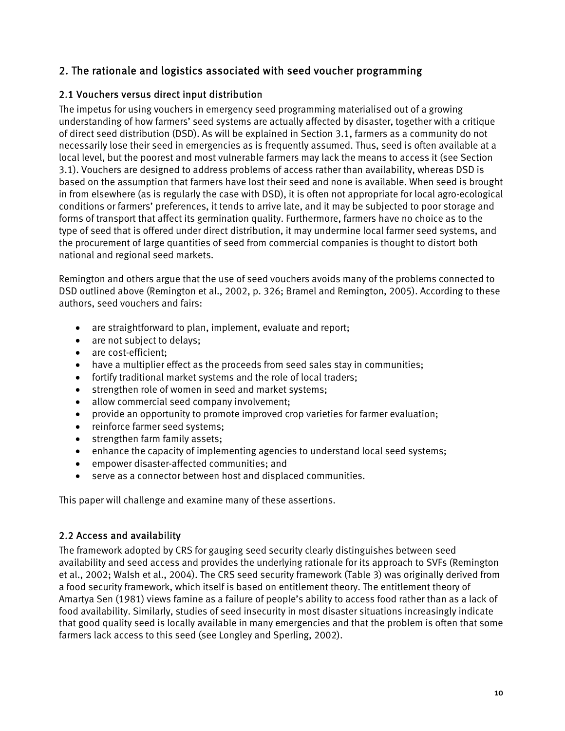# <span id="page-9-0"></span>2. The rationale and logistics associated with seed voucher programming

# 2.1 Vouchers versus direct input distribution

The impetus for using vouchers in emergency seed programming materialised out of a growing understanding of how farmers' seed systems are actually affected by disaster, together with a critique of direct seed distribution (DSD). As will be explained in Section 3.1, farmers as a community do not necessarily lose their seed in emergencies as is frequently assumed. Thus, seed is often available at a local level, but the poorest and most vulnerable farmers may lack the means to access it (see Section 3.1). Vouchers are designed to address problems of access rather than availability, whereas DSD is based on the assumption that farmers have lost their seed and none is available. When seed is brought in from elsewhere (as is regularly the case with DSD), it is often not appropriate for local agro-ecological conditions or farmers' preferences, it tends to arrive late, and it may be subjected to poor storage and forms of transport that affect its germination quality. Furthermore, farmers have no choice as to the type of seed that is offered under direct distribution, it may undermine local farmer seed systems, and the procurement of large quantities of seed from commercial companies is thought to distort both national and regional seed markets.

Remington and others argue that the use of seed vouchers avoids many of the problems connected to DSD outlined above (Remington et al., 2002, p. 326; Bramel and Remington, 2005). According to these authors, seed vouchers and fairs:

- are straightforward to plan, implement, evaluate and report;
- are not subject to delays;
- are cost-efficient;
- have a multiplier effect as the proceeds from seed sales stay in communities;
- fortify traditional market systems and the role of local traders;
- strengthen role of women in seed and market systems;
- allow commercial seed company involvement;
- provide an opportunity to promote improved crop varieties for farmer evaluation;
- reinforce farmer seed systems;
- strengthen farm family assets;
- enhance the capacity of implementing agencies to understand local seed systems;
- empower disaster-affected communities; and
- serve as a connector between host and displaced communities.

This paper will challenge and examine many of these assertions.

# 2.2 Access and availability

The framework adopted by CRS for gauging seed security clearly distinguishes between seed availability and seed access and provides the underlying rationale for its approach to SVFs (Remington et al., 2002; Walsh et al., 2004). The CRS seed security framework (Table 3) was originally derived from a food security framework, which itself is based on entitlement theory. The entitlement theory of Amartya Sen (1981) views famine as a failure of people's ability to access food rather than as a lack of food availability. Similarly, studies of seed insecurity in most disaster situations increasingly indicate that good quality seed is locally available in many emergencies and that the problem is often that some farmers lack access to this seed (see Longley and Sperling, 2002).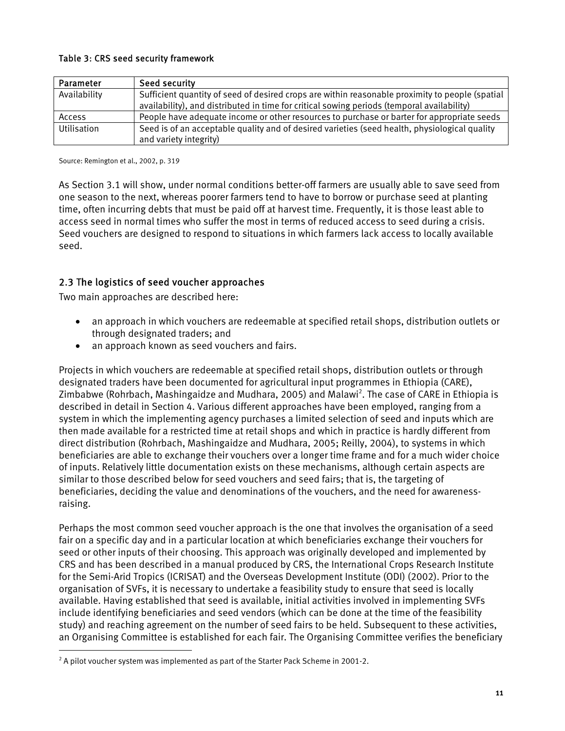#### <span id="page-10-0"></span>Table 3: CRS seed security framework

| Parameter    | Seed security                                                                                   |
|--------------|-------------------------------------------------------------------------------------------------|
| Availability | Sufficient quantity of seed of desired crops are within reasonable proximity to people (spatial |
|              | availability), and distributed in time for critical sowing periods (temporal availability)      |
| Access       | People have adequate income or other resources to purchase or barter for appropriate seeds      |
| Utilisation  | Seed is of an acceptable quality and of desired varieties (seed health, physiological quality   |
|              | and variety integrity)                                                                          |

Source: Remington et al., 2002, p. 319

As Section 3.1 will show, under normal conditions better-off farmers are usually able to save seed from one season to the next, whereas poorer farmers tend to have to borrow or purchase seed at planting time, often incurring debts that must be paid off at harvest time. Frequently, it is those least able to access seed in normal times who suffer the most in terms of reduced access to seed during a crisis. Seed vouchers are designed to respond to situations in which farmers lack access to locally available seed.

# 2.3 The logistics of seed voucher approaches

Two main approaches are described here:

- an approach in which vouchers are redeemable at specified retail shops, distribution outlets or through designated traders; and
- an approach known as seed vouchers and fairs.

Projects in which vouchers are redeemable at specified retail shops, distribution outlets or through designated traders have been documented for agricultural input programmes in Ethiopia (CARE), Zimbabwe (Rohrbach, Mashingaidze and Mudhara, 2005) and Malawi<sup>2</sup>. The case of CARE in Ethiopia is described in detail in Section 4. Various different approaches have been employed, ranging from a system in which the implementing agency purchases a limited selection of seed and inputs which are then made available for a restricted time at retail shops and which in practice is hardly different from direct distribution (Rohrbach, Mashingaidze and Mudhara, 2005; Reilly, 2004), to systems in which beneficiaries are able to exchange their vouchers over a longer time frame and for a much wider choice of inputs. Relatively little documentation exists on these mechanisms, although certain aspects are similar to those described below for seed vouchers and seed fairs; that is, the targeting of beneficiaries, deciding the value and denominations of the vouchers, and the need for awarenessraising.

Perhaps the most common seed voucher approach is the one that involves the organisation of a seed fair on a specific day and in a particular location at which beneficiaries exchange their vouchers for seed or other inputs of their choosing. This approach was originally developed and implemented by CRS and has been described in a manual produced by CRS, the International Crops Research Institute for the Semi-Arid Tropics (ICRISAT) and the Overseas Development Institute (ODI) (2002). Prior to the organisation of SVFs, it is necessary to undertake a feasibility study to ensure that seed is locally available. Having established that seed is available, initial activities involved in implementing SVFs include identifying beneficiaries and seed vendors (which can be done at the time of the feasibility study) and reaching agreement on the number of seed fairs to be held. Subsequent to these activities, an Organising Committee is established for each fair. The Organising Committee verifies the beneficiary  $\overline{a}$ 

<span id="page-10-1"></span> $2A$  pilot voucher system was implemented as part of the Starter Pack Scheme in 2001-2.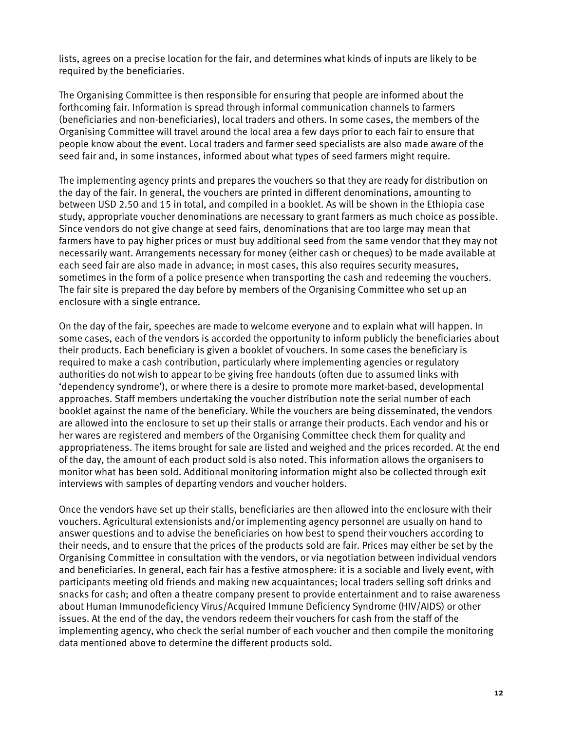lists, agrees on a precise location for the fair, and determines what kinds of inputs are likely to be required by the beneficiaries.

The Organising Committee is then responsible for ensuring that people are informed about the forthcoming fair. Information is spread through informal communication channels to farmers (beneficiaries and non-beneficiaries), local traders and others. In some cases, the members of the Organising Committee will travel around the local area a few days prior to each fair to ensure that people know about the event. Local traders and farmer seed specialists are also made aware of the seed fair and, in some instances, informed about what types of seed farmers might require.

The implementing agency prints and prepares the vouchers so that they are ready for distribution on the day of the fair. In general, the vouchers are printed in different denominations, amounting to between USD 2.50 and 15 in total, and compiled in a booklet. As will be shown in the Ethiopia case study, appropriate voucher denominations are necessary to grant farmers as much choice as possible. Since vendors do not give change at seed fairs, denominations that are too large may mean that farmers have to pay higher prices or must buy additional seed from the same vendor that they may not necessarily want. Arrangements necessary for money (either cash or cheques) to be made available at each seed fair are also made in advance; in most cases, this also requires security measures, sometimes in the form of a police presence when transporting the cash and redeeming the vouchers. The fair site is prepared the day before by members of the Organising Committee who set up an enclosure with a single entrance.

On the day of the fair, speeches are made to welcome everyone and to explain what will happen. In some cases, each of the vendors is accorded the opportunity to inform publicly the beneficiaries about their products. Each beneficiary is given a booklet of vouchers. In some cases the beneficiary is required to make a cash contribution, particularly where implementing agencies or regulatory authorities do not wish to appear to be giving free handouts (often due to assumed links with 'dependency syndrome'), or where there is a desire to promote more market-based, developmental approaches. Staff members undertaking the voucher distribution note the serial number of each booklet against the name of the beneficiary. While the vouchers are being disseminated, the vendors are allowed into the enclosure to set up their stalls or arrange their products. Each vendor and his or her wares are registered and members of the Organising Committee check them for quality and appropriateness. The items brought for sale are listed and weighed and the prices recorded. At the end of the day, the amount of each product sold is also noted. This information allows the organisers to monitor what has been sold. Additional monitoring information might also be collected through exit interviews with samples of departing vendors and voucher holders.

Once the vendors have set up their stalls, beneficiaries are then allowed into the enclosure with their vouchers. Agricultural extensionists and/or implementing agency personnel are usually on hand to answer questions and to advise the beneficiaries on how best to spend their vouchers according to their needs, and to ensure that the prices of the products sold are fair. Prices may either be set by the Organising Committee in consultation with the vendors, or via negotiation between individual vendors and beneficiaries. In general, each fair has a festive atmosphere: it is a sociable and lively event, with participants meeting old friends and making new acquaintances; local traders selling soft drinks and snacks for cash; and often a theatre company present to provide entertainment and to raise awareness about Human Immunodeficiency Virus/Acquired Immune Deficiency Syndrome (HIV/AIDS) or other issues. At the end of the day, the vendors redeem their vouchers for cash from the staff of the implementing agency, who check the serial number of each voucher and then compile the monitoring data mentioned above to determine the different products sold.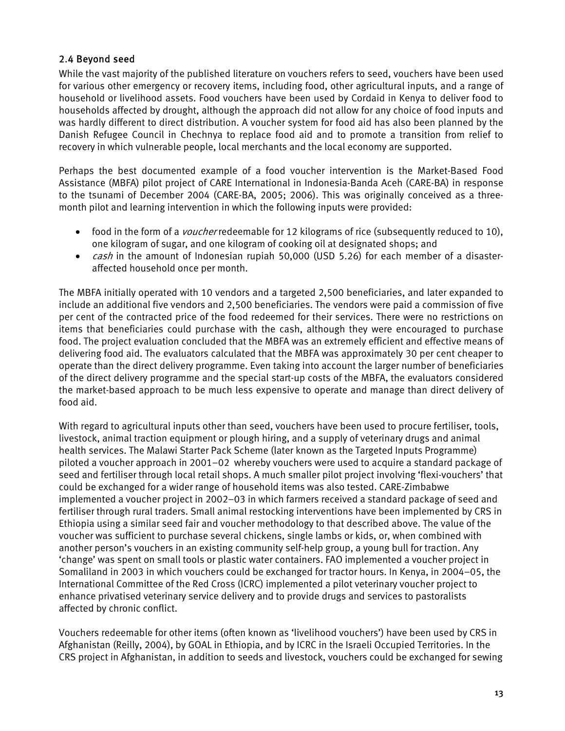# <span id="page-12-0"></span>2.4 Beyond seed

While the vast majority of the published literature on vouchers refers to seed, vouchers have been used for various other emergency or recovery items, including food, other agricultural inputs, and a range of household or livelihood assets. Food vouchers have been used by Cordaid in Kenya to deliver food to households affected by drought, although the approach did not allow for any choice of food inputs and was hardly different to direct distribution. A voucher system for food aid has also been planned by the Danish Refugee Council in Chechnya to replace food aid and to promote a transition from relief to recovery in which vulnerable people, local merchants and the local economy are supported.

Perhaps the best documented example of a food voucher intervention is the Market-Based Food Assistance (MBFA) pilot project of CARE International in Indonesia-Banda Aceh (CARE-BA) in response to the tsunami of December 2004 (CARE-BA, 2005; 2006). This was originally conceived as a threemonth pilot and learning intervention in which the following inputs were provided:

- food in the form of a *voucher* redeemable for 12 kilograms of rice (subsequently reduced to 10), one kilogram of sugar, and one kilogram of cooking oil at designated shops; and
- *cash* in the amount of Indonesian rupiah 50,000 (USD 5.26) for each member of a disasteraffected household once per month.

The MBFA initially operated with 10 vendors and a targeted 2,500 beneficiaries, and later expanded to include an additional five vendors and 2,500 beneficiaries. The vendors were paid a commission of five per cent of the contracted price of the food redeemed for their services. There were no restrictions on items that beneficiaries could purchase with the cash, although they were encouraged to purchase food. The project evaluation concluded that the MBFA was an extremely efficient and effective means of delivering food aid. The evaluators calculated that the MBFA was approximately 30 per cent cheaper to operate than the direct delivery programme. Even taking into account the larger number of beneficiaries of the direct delivery programme and the special start-up costs of the MBFA, the evaluators considered the market-based approach to be much less expensive to operate and manage than direct delivery of food aid.

With regard to agricultural inputs other than seed, vouchers have been used to procure fertiliser, tools, livestock, animal traction equipment or plough hiring, and a supply of veterinary drugs and animal health services. The Malawi Starter Pack Scheme (later known as the Targeted Inputs Programme) piloted a voucher approach in 2001–02 whereby vouchers were used to acquire a standard package of seed and fertiliser through local retail shops. A much smaller pilot project involving 'flexi-vouchers' that could be exchanged for a wider range of household items was also tested. CARE-Zimbabwe implemented a voucher project in 2002–03 in which farmers received a standard package of seed and fertiliser through rural traders. Small animal restocking interventions have been implemented by CRS in Ethiopia using a similar seed fair and voucher methodology to that described above. The value of the voucher was sufficient to purchase several chickens, single lambs or kids, or, when combined with another person's vouchers in an existing community self-help group, a young bull for traction. Any 'change' was spent on small tools or plastic water containers. FAO implemented a voucher project in Somaliland in 2003 in which vouchers could be exchanged for tractor hours. In Kenya, in 2004–05, the International Committee of the Red Cross (ICRC) implemented a pilot veterinary voucher project to enhance privatised veterinary service delivery and to provide drugs and services to pastoralists affected by chronic conflict.

Vouchers redeemable for other items (often known as 'livelihood vouchers') have been used by CRS in Afghanistan (Reilly, 2004), by GOAL in Ethiopia, and by ICRC in the Israeli Occupied Territories. In the CRS project in Afghanistan, in addition to seeds and livestock, vouchers could be exchanged for sewing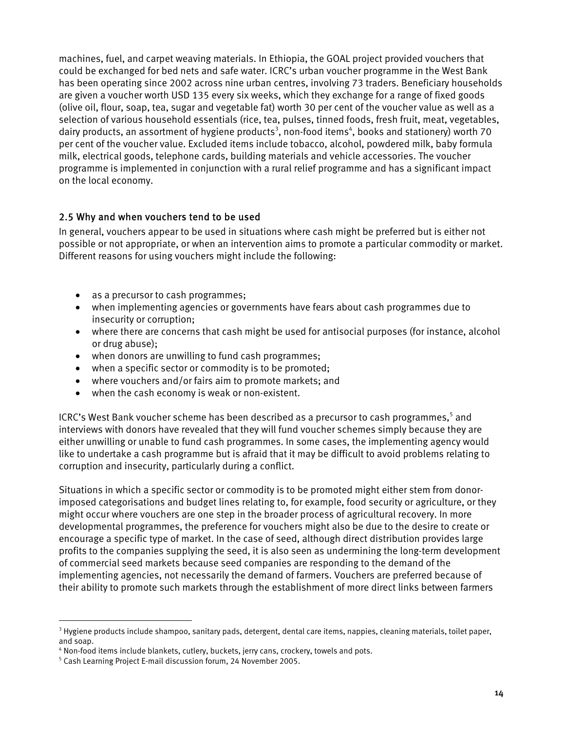<span id="page-13-0"></span>machines, fuel, and carpet weaving materials. In Ethiopia, the GOAL project provided vouchers that could be exchanged for bed nets and safe water. ICRC's urban voucher programme in the West Bank has been operating since 2002 across nine urban centres, involving 73 traders. Beneficiary households are given a voucher worth USD 135 every six weeks, which they exchange for a range of fixed goods (olive oil, flour, soap, tea, sugar and vegetable fat) worth 30 per cent of the voucher value as well as a selection of various household essentials (rice, tea, pulses, tinned foods, fresh fruit, meat, vegetables, dairy products, an assortment of hygiene products<sup>3</sup>, non-food items<sup>4</sup>, books and stationery) worth 70 per cent of the voucher value. Excluded items include tobacco, alcohol, powdered milk, baby formula milk, electrical goods, telephone cards, building materials and vehicle accessories. The voucher programme is implemented in conjunction with a rural relief programme and has a significant impact on the local economy.

# 2.5 Why and when vouchers tend to be used

In general, vouchers appear to be used in situations where cash might be preferred but is either not possible or not appropriate, or when an intervention aims to promote a particular commodity or market. Different reasons for using vouchers might include the following:

- as a precursor to cash programmes;
- when implementing agencies or governments have fears about cash programmes due to insecurity or corruption;
- where there are concerns that cash might be used for antisocial purposes (for instance, alcohol or drug abuse);
- when donors are unwilling to fund cash programmes;
- when a specific sector or commodity is to be promoted;
- where vouchers and/or fairs aim to promote markets; and
- when the cash economy is weak or non-existent.

ICRC's West Bank voucher scheme has been described as a precursor to cash programmes,<sup>5</sup> and interviews with donors have revealed that they will fund voucher schemes simply because they are either unwilling or unable to fund cash programmes. In some cases, the implementing agency would like to undertake a cash programme but is afraid that it may be difficult to avoid problems relating to corruption and insecurity, particularly during a conflict.

Situations in which a specific sector or commodity is to be promoted might either stem from donorimposed categorisations and budget lines relating to, for example, food security or agriculture, or they might occur where vouchers are one step in the broader process of agricultural recovery. In more developmental programmes, the preference for vouchers might also be due to the desire to create or encourage a specific type of market. In the case of seed, although direct distribution provides large profits to the companies supplying the seed, it is also seen as undermining the long-term development of commercial seed markets because seed companies are responding to the demand of the implementing agencies, not necessarily the demand of farmers. Vouchers are preferred because of their ability to promote such markets through the establishment of more direct links between farmers

<span id="page-13-1"></span><sup>&</sup>lt;sup>3</sup> Hygiene products include shampoo, sanitary pads, detergent, dental care items, nappies, cleaning materials, toilet paper, and soap.

<span id="page-13-2"></span><sup>&</sup>lt;sup>4</sup> Non-food items include blankets, cutlery, buckets, jerry cans, crockery, towels and pots.<br><sup>5</sup> Cash Learning Project E-mail discussion forum, 24 November 2005

<span id="page-13-3"></span>Cash Learning Project E-mail discussion forum, 24 November 2005.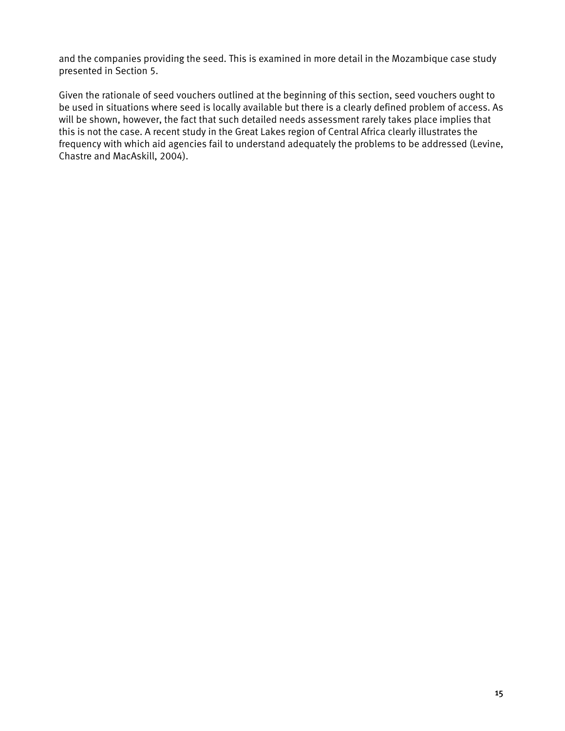and the companies providing the seed. This is examined in more detail in the Mozambique case study presented in Section 5.

Given the rationale of seed vouchers outlined at the beginning of this section, seed vouchers ought to be used in situations where seed is locally available but there is a clearly defined problem of access. As will be shown, however, the fact that such detailed needs assessment rarely takes place implies that this is not the case. A recent study in the Great Lakes region of Central Africa clearly illustrates the frequency with which aid agencies fail to understand adequately the problems to be addressed (Levine, Chastre and MacAskill, 2004).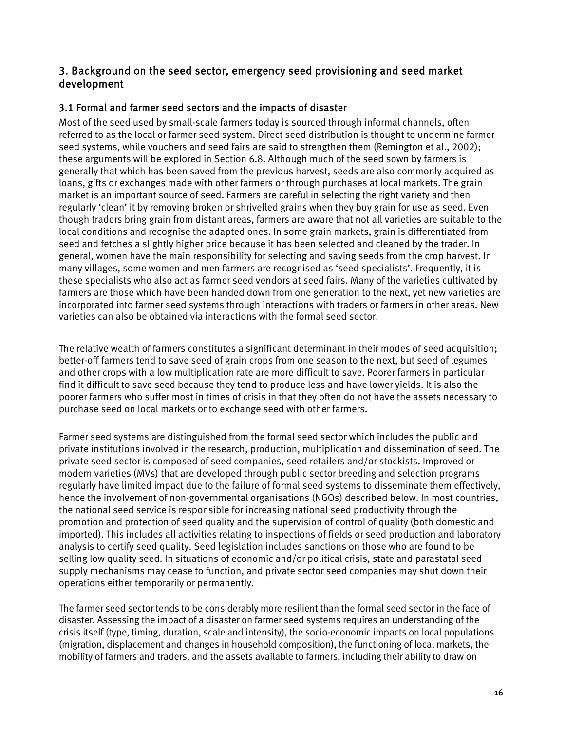# <span id="page-15-0"></span>3. Background on the seed sector, emergency seed provisioning and seed market development

# 3.1 Formal and farmer seed sectors and the impacts of disaster

Most of the seed used by small-scale farmers today is sourced through informal channels, often referred to as the local or farmer seed system. Direct seed distribution is thought to undermine farmer seed systems, while vouchers and seed fairs are said to strengthen them (Remington et al., 2002); these arguments will be explored in Section 6.8. Although much of the seed sown by farmers is generally that which has been saved from the previous harvest, seeds are also commonly acquired as loans, gifts or exchanges made with other farmers or through purchases at local markets. The grain market is an important source of seed. Farmers are careful in selecting the right variety and then regularly 'clean' it by removing broken or shrivelled grains when they buy grain for use as seed. Even though traders bring grain from distant areas, farmers are aware that not all varieties are suitable to the local conditions and recognise the adapted ones. In some grain markets, grain is differentiated from seed and fetches a slightly higher price because it has been selected and cleaned by the trader. In general, women have the main responsibility for selecting and saving seeds from the crop harvest. In many villages, some women and men farmers are recognised as 'seed specialists'. Frequently, it is these specialists who also act as farmer seed vendors at seed fairs. Many of the varieties cultivated by farmers are those which have been handed down from one generation to the next, yet new varieties are incorporated into farmer seed systems through interactions with traders or farmers in other areas. New varieties can also be obtained via interactions with the formal seed sector.

The relative wealth of farmers constitutes a significant determinant in their modes of seed acquisition; better-off farmers tend to save seed of grain crops from one season to the next, but seed of legumes and other crops with a low multiplication rate are more difficult to save. Poorer farmers in particular find it difficult to save seed because they tend to produce less and have lower yields. It is also the poorer farmers who suffer most in times of crisis in that they often do not have the assets necessary to purchase seed on local markets or to exchange seed with other farmers.

Farmer seed systems are distinguished from the formal seed sector which includes the public and private institutions involved in the research, production, multiplication and dissemination of seed. The private seed sector is composed of seed companies, seed retailers and/or stockists. Improved or modern varieties (MVs) that are developed through public sector breeding and selection programs regularly have limited impact due to the failure of formal seed systems to disseminate them effectively, hence the involvement of non-governmental organisations (NGOs) described below. In most countries, the national seed service is responsible for increasing national seed productivity through the promotion and protection of seed quality and the supervision of control of quality (both domestic and imported). This includes all activities relating to inspections of fields or seed production and laboratory analysis to certify seed quality. Seed legislation includes sanctions on those who are found to be selling low quality seed. In situations of economic and/or political crisis, state and parastatal seed supply mechanisms may cease to function, and private sector seed companies may shut down their operations either temporarily or permanently.

The farmer seed sector tends to be considerably more resilient than the formal seed sector in the face of disaster. Assessing the impact of a disaster on farmer seed systems requires an understanding of the crisis itself (type, timing, duration, scale and intensity), the socio-economic impacts on local populations (migration, displacement and changes in household composition), the functioning of local markets, the mobility of farmers and traders, and the assets available to farmers, including their ability to draw on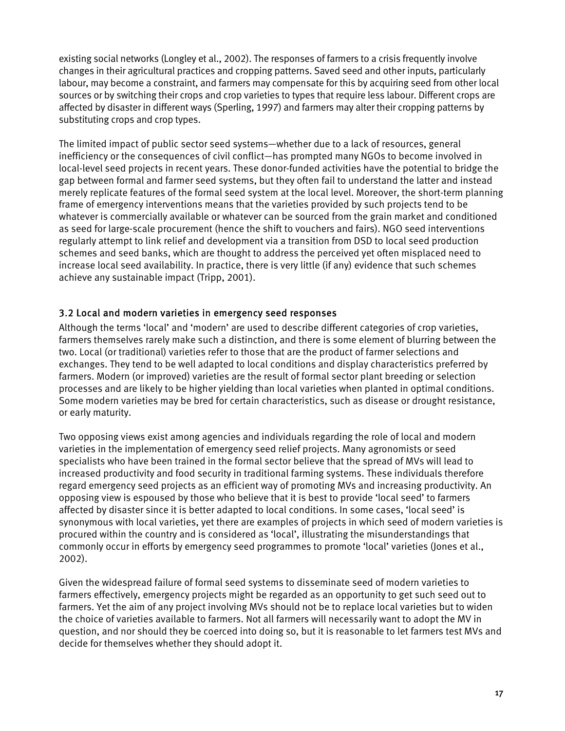<span id="page-16-0"></span>existing social networks (Longley et al., 2002). The responses of farmers to a crisis frequently involve changes in their agricultural practices and cropping patterns. Saved seed and other inputs, particularly labour, may become a constraint, and farmers may compensate for this by acquiring seed from other local sources or by switching their crops and crop varieties to types that require less labour. Different crops are affected by disaster in different ways (Sperling, 1997) and farmers may alter their cropping patterns by substituting crops and crop types.

The limited impact of public sector seed systems—whether due to a lack of resources, general inefficiency or the consequences of civil conflict—has prompted many NGOs to become involved in local-level seed projects in recent years. These donor-funded activities have the potential to bridge the gap between formal and farmer seed systems, but they often fail to understand the latter and instead merely replicate features of the formal seed system at the local level. Moreover, the short-term planning frame of emergency interventions means that the varieties provided by such projects tend to be whatever is commercially available or whatever can be sourced from the grain market and conditioned as seed for large-scale procurement (hence the shift to vouchers and fairs). NGO seed interventions regularly attempt to link relief and development via a transition from DSD to local seed production schemes and seed banks, which are thought to address the perceived yet often misplaced need to increase local seed availability. In practice, there is very little (if any) evidence that such schemes achieve any sustainable impact (Tripp, 2001).

# 3.2 Local and modern varieties in emergency seed responses

Although the terms 'local' and 'modern' are used to describe different categories of crop varieties, farmers themselves rarely make such a distinction, and there is some element of blurring between the two. Local (or traditional) varieties refer to those that are the product of farmer selections and exchanges. They tend to be well adapted to local conditions and display characteristics preferred by farmers. Modern (or improved) varieties are the result of formal sector plant breeding or selection processes and are likely to be higher yielding than local varieties when planted in optimal conditions. Some modern varieties may be bred for certain characteristics, such as disease or drought resistance, or early maturity.

Two opposing views exist among agencies and individuals regarding the role of local and modern varieties in the implementation of emergency seed relief projects. Many agronomists or seed specialists who have been trained in the formal sector believe that the spread of MVs will lead to increased productivity and food security in traditional farming systems. These individuals therefore regard emergency seed projects as an efficient way of promoting MVs and increasing productivity. An opposing view is espoused by those who believe that it is best to provide 'local seed' to farmers affected by disaster since it is better adapted to local conditions. In some cases, 'local seed' is synonymous with local varieties, yet there are examples of projects in which seed of modern varieties is procured within the country and is considered as 'local', illustrating the misunderstandings that commonly occur in efforts by emergency seed programmes to promote 'local' varieties (Jones et al., 2002).

Given the widespread failure of formal seed systems to disseminate seed of modern varieties to farmers effectively, emergency projects might be regarded as an opportunity to get such seed out to farmers. Yet the aim of any project involving MVs should not be to replace local varieties but to widen the choice of varieties available to farmers. Not all farmers will necessarily want to adopt the MV in question, and nor should they be coerced into doing so, but it is reasonable to let farmers test MVs and decide for themselves whether they should adopt it.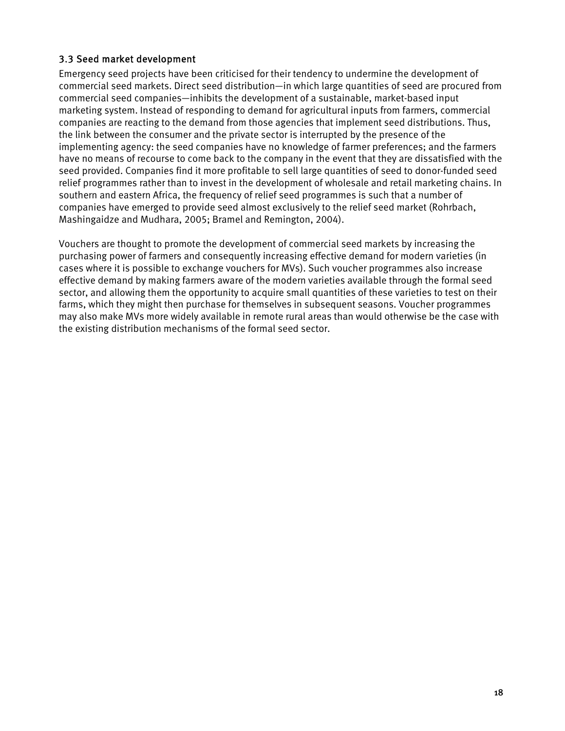# <span id="page-17-0"></span>3.3 Seed market development

Emergency seed projects have been criticised for their tendency to undermine the development of commercial seed markets. Direct seed distribution—in which large quantities of seed are procured from commercial seed companies—inhibits the development of a sustainable, market-based input marketing system. Instead of responding to demand for agricultural inputs from farmers, commercial companies are reacting to the demand from those agencies that implement seed distributions. Thus, the link between the consumer and the private sector is interrupted by the presence of the implementing agency: the seed companies have no knowledge of farmer preferences; and the farmers have no means of recourse to come back to the company in the event that they are dissatisfied with the seed provided. Companies find it more profitable to sell large quantities of seed to donor-funded seed relief programmes rather than to invest in the development of wholesale and retail marketing chains. In southern and eastern Africa, the frequency of relief seed programmes is such that a number of companies have emerged to provide seed almost exclusively to the relief seed market (Rohrbach, Mashingaidze and Mudhara, 2005; Bramel and Remington, 2004).

Vouchers are thought to promote the development of commercial seed markets by increasing the purchasing power of farmers and consequently increasing effective demand for modern varieties (in cases where it is possible to exchange vouchers for MVs). Such voucher programmes also increase effective demand by making farmers aware of the modern varieties available through the formal seed sector, and allowing them the opportunity to acquire small quantities of these varieties to test on their farms, which they might then purchase for themselves in subsequent seasons. Voucher programmes may also make MVs more widely available in remote rural areas than would otherwise be the case with the existing distribution mechanisms of the formal seed sector.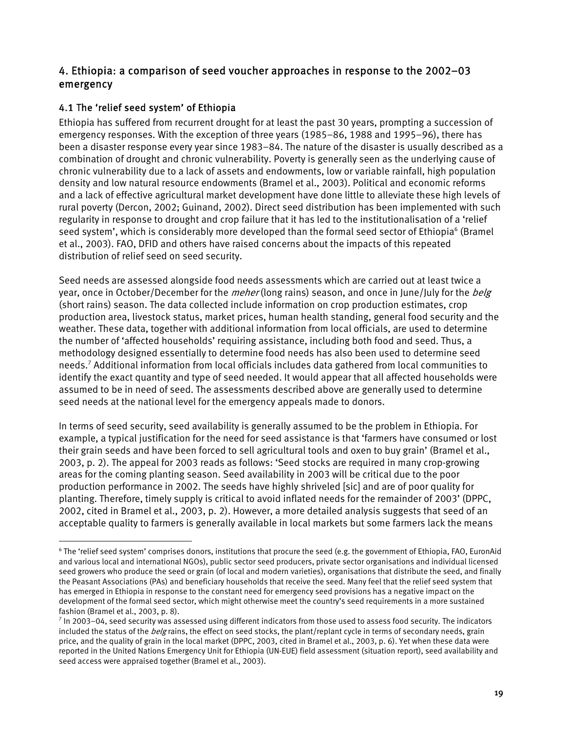# <span id="page-18-0"></span>4. Ethiopia: a comparison of seed voucher approaches in response to the 2002–03 emergency

# 4.1 The 'relief seed system' of Ethiopia

 $\overline{a}$ 

Ethiopia has suffered from recurrent drought for at least the past 30 years, prompting a succession of emergency responses. With the exception of three years (1985–86, 1988 and 1995–96), there has been a disaster response every year since 1983–84. The nature of the disaster is usually described as a combination of drought and chronic vulnerability. Poverty is generally seen as the underlying cause of chronic vulnerability due to a lack of assets and endowments, low or variable rainfall, high population density and low natural resource endowments (Bramel et al., 2003). Political and economic reforms and a lack of effective agricultural market development have done little to alleviate these high levels of rural poverty (Dercon, 2002; Guinand, 2002). Direct seed distribution has been implemented with such regularity in response to drought and crop failure that it has led to the institutionalisation of a 'relief seed system', which is considerably more developed than the formal seed sector of Ethiopia<sup>6</sup> (Bramel et al., 2003). FAO, DFID and others have raised concerns about the impacts of this repeated distribution of relief seed on seed security.

Seed needs are assessed alongside food needs assessments which are carried out at least twice a year, once in October/December for the *meher* (long rains) season, and once in June/July for the *belg* (short rains) season. The data collected include information on crop production estimates, crop production area, livestock status, market prices, human health standing, general food security and the weather. These data, together with additional information from local officials, are used to determine the number of 'affected households' requiring assistance, including both food and seed. Thus, a methodology designed essentially to determine food needs has also been used to determine seed needs[.7](#page-18-2) Additional information from local officials includes data gathered from local communities to identify the exact quantity and type of seed needed. It would appear that all affected households were assumed to be in need of seed. The assessments described above are generally used to determine seed needs at the national level for the emergency appeals made to donors.

In terms of seed security, seed availability is generally assumed to be the problem in Ethiopia. For example, a typical justification for the need for seed assistance is that 'farmers have consumed or lost their grain seeds and have been forced to sell agricultural tools and oxen to buy grain' (Bramel et al., 2003, p. 2). The appeal for 2003 reads as follows: 'Seed stocks are required in many crop-growing areas for the coming planting season. Seed availability in 2003 will be critical due to the poor production performance in 2002. The seeds have highly shriveled [sic] and are of poor quality for planting. Therefore, timely supply is critical to avoid inflated needs for the remainder of 2003' (DPPC, 2002, cited in Bramel et al., 2003, p. 2). However, a more detailed analysis suggests that seed of an acceptable quality to farmers is generally available in local markets but some farmers lack the means

<span id="page-18-1"></span><sup>6</sup> The 'relief seed system' comprises donors, institutions that procure the seed (e.g. the government of Ethiopia, FAO, EuronAid and various local and international NGOs), public sector seed producers, private sector organisations and individual licensed seed growers who produce the seed or grain (of local and modern varieties), organisations that distribute the seed, and finally the Peasant Associations (PAs) and beneficiary households that receive the seed. Many feel that the relief seed system that has emerged in Ethiopia in response to the constant need for emergency seed provisions has a negative impact on the development of the formal seed sector, which might otherwise meet the country's seed requirements in a more sustained fashion (Bramel et al., 2003, p. 8). 7

<span id="page-18-2"></span> $\frac{7}{1}$  In 2003–04, seed security was assessed using different indicators from those used to assess food security. The indicators included the status of the *belg* rains, the effect on seed stocks, the plant/replant cycle in terms of secondary needs, grain price, and the quality of grain in the local market (DPPC, 2003, cited in Bramel et al., 2003, p. 6). Yet when these data were reported in the United Nations Emergency Unit for Ethiopia (UN-EUE) field assessment (situation report), seed availability and seed access were appraised together (Bramel et al., 2003).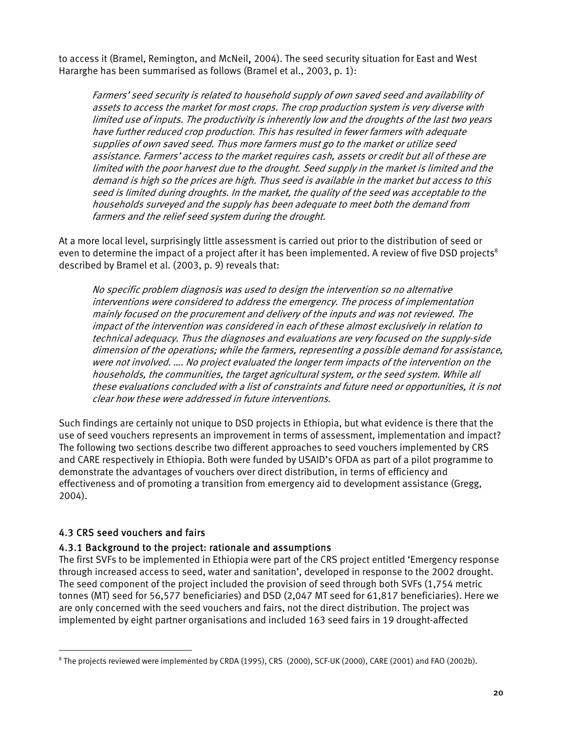<span id="page-19-0"></span>to access it (Bramel, Remington, and McNeil, 2004). The seed security situation for East and West Hararghe has been summarised as follows (Bramel et al., 2003, p. 1):

Farmers' seed security is related to household supply of own saved seed and availability of assets to access the market for most crops. The crop production system is very diverse with limited use of inputs. The productivity is inherently low and the droughts of the last two years have further reduced crop production. This has resulted in fewer farmers with adequate supplies of own saved seed. Thus more farmers must go to the market or utilize seed assistance. Farmers' access to the market requires cash, assets or credit but all of these are limited with the poor harvest due to the drought. Seed supply in the market is limited and the demand is high so the prices are high. Thus seed is available in the market but access to this seed is limited during droughts. In the market, the quality of the seed was acceptable to the households surveyed and the supply has been adequate to meet both the demand from farmers and the relief seed system during the drought.

At a more local level, surprisingly little assessment is carried out prior to the distribution of seed or even to determine the impact of a project after it has been implemented. A review of five DSD projects<sup>8</sup> described by Bramel et al. (2003, p. 9) reveals that:

interventions were considered to address the emergency. The process of implementation households, the communities, the target agricultural system, or the seed system. While all No specific problem diagnosis was used to design the intervention so no alternative mainly focused on the procurement and delivery of the inputs and was not reviewed. The impact of the intervention was considered in each of these almost exclusively in relation to technical adequacy. Thus the diagnoses and evaluations are very focused on the supply-side dimension of the operations; while the farmers, representing a possible demand for assistance, were not involved. …. No project evaluated the longer term impacts of the intervention on the these evaluations concluded with a list of constraints and future need or opportunities, it is not clear how these were addressed in future interventions.

Such findings are certainly not unique to DSD projects in Ethiopia, but what evidence is there that the use of seed vouchers represents an improvement in terms of assessment, implementation and impact? The following two sections describe two different approaches to seed vouchers implemented by CRS and CARE respectively in Ethiopia. Both were funded by USAID's OFDA as part of a pilot programme to demonstrate the advantages of vouchers over direct distribution, in terms of efficiency and effectiveness and of promoting a transition from emergency aid to development assistance (Gregg, 2004).

# 4.3 CRS seed vouchers and fairs

 $\overline{a}$ 

# 4.3.1 Background to the project: rationale and assumptions

The first SVFs to be implemented in Ethiopia were part of the CRS project entitled 'Emergency response through increased access to seed, water and sanitation', developed in response to the 2002 drought. The seed component of the project included the provision of seed through both SVFs (1,754 metric tonnes (MT) seed for 56,577 beneficiaries) and DSD (2,047 MT seed for 61,817 beneficiaries). Here we are only concerned with the seed vouchers and fairs, not the direct distribution. The project was implemented by eight partner organisations and included 163 seed fairs in 19 drought-affected

<span id="page-19-1"></span><sup>8</sup> The projects reviewed were implemented by CRDA (1995), CRS (2000), SCF-UK (2000), CARE (2001) and FAO (2002b).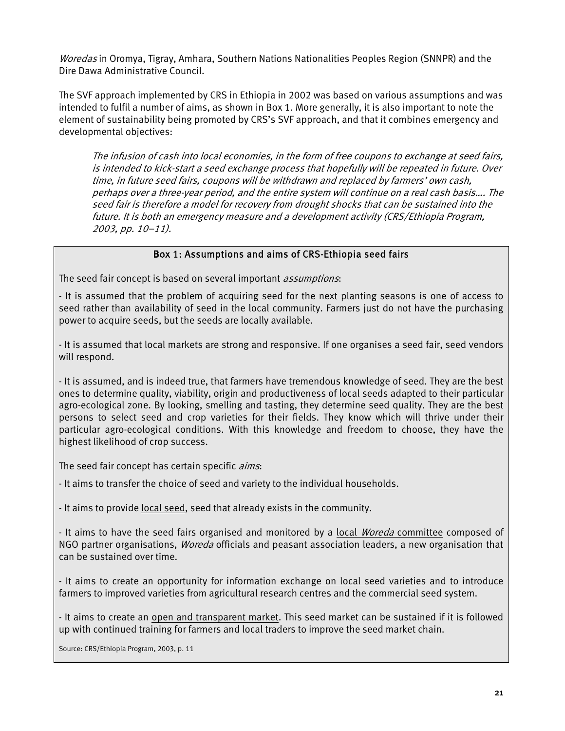Woredas in Oromya, Tigray, Amhara, Southern Nations Nationalities Peoples Region (SNNPR) and the Dire Dawa Administrative Council.

The SVF approach implemented by CRS in Ethiopia in 2002 was based on various assumptions and was intended to fulfil a number of aims, as shown in Box 1. More generally, it is also important to note the element of sustainability being promoted by CRS's SVF approach, and that it combines emergency and developmental objectives:

The infusion of cash into local economies, in the form of free coupons to exchange at seed fairs, is intended to kick-start a seed exchange process that hopefully will be repeated in future. Over time, in future seed fairs, coupons will be withdrawn and replaced by farmers' own cash, perhaps over a three-year period, and the entire system will continue on a real cash basis.... The seed fair is therefore a model for recovery from drought shocks that can be sustained into the future. It is both an emergency measure and a development activity (CRS/Ethiopia Program, 2003, pp. 10–11).

#### Box 1: Assumptions and aims of CRS-Ethiopia seed fairs

The seed fair concept is based on several important *assumptions*:

- It is assumed that the problem of acquiring seed for the next planting seasons is one of access to seed rather than availability of seed in the local community. Farmers just do not have the purchasing power to acquire seeds, but the seeds are locally available.

- It is assumed that local markets are strong and responsive. If one organises a seed fair, seed vendors will respond.

- It is assumed, and is indeed true, that farmers have tremendous knowledge of seed. They are the best ones to determine quality, viability, origin and productiveness of local seeds adapted to their particular agro-ecological zone. By looking, smelling and tasting, they determine seed quality. They are the best persons to select seed and crop varieties for their fields. They know which will thrive under their particular agro-ecological conditions. With this knowledge and freedom to choose, they have the highest likelihood of crop success.

The seed fair concept has certain specific *aims*:

- It aims to transfer the choice of seed and variety to the individual households.

- It aims to provide local seed, seed that already exists in the community.

- It aims to have the seed fairs organised and monitored by a local Woreda committee composed of NGO partner organisations, *Woreda* officials and peasant association leaders, a new organisation that can be sustained over time.

- It aims to create an opportunity for information exchange on local seed varieties and to introduce farmers to improved varieties from agricultural research centres and the commercial seed system.

- It aims to create an open and transparent market. This seed market can be sustained if it is followed up with continued training for farmers and local traders to improve the seed market chain.

Source: CRS/Ethiopia Program, 2003, p. 11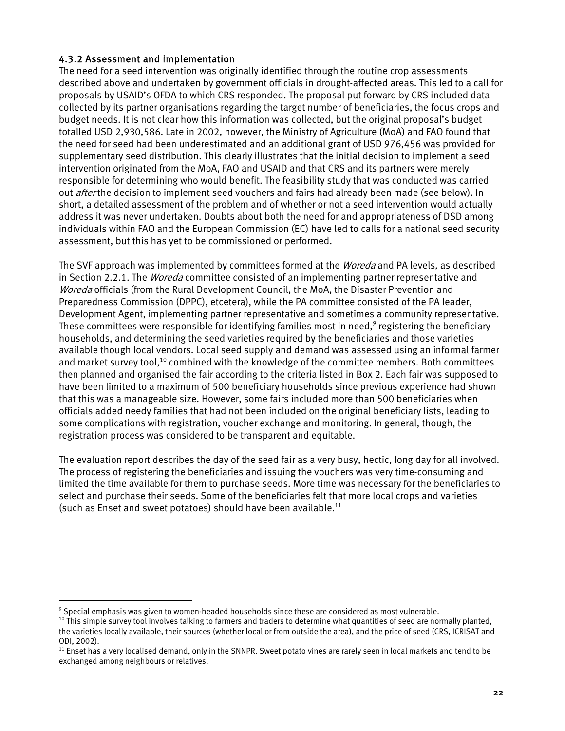# 4.3.2 Assessment and implementation

The need for a seed intervention was originally identified through the routine crop assessments described above and undertaken by government officials in drought-affected areas. This led to a call for proposals by USAID's OFDA to which CRS responded. The proposal put forward by CRS included data collected by its partner organisations regarding the target number of beneficiaries, the focus crops and budget needs. It is not clear how this information was collected, but the original proposal's budget totalled USD 2,930,586. Late in 2002, however, the Ministry of Agriculture (MoA) and FAO found that the need for seed had been underestimated and an additional grant of USD 976,456 was provided for supplementary seed distribution. This clearly illustrates that the initial decision to implement a seed intervention originated from the MoA, FAO and USAID and that CRS and its partners were merely responsible for determining who would benefit. The feasibility study that was conducted was carried out *after* the decision to implement seed vouchers and fairs had already been made (see below). In short, a detailed assessment of the problem and of whether or not a seed intervention would actually address it was never undertaken. Doubts about both the need for and appropriateness of DSD among individuals within FAO and the European Commission (EC) have led to calls for a national seed security assessment, but this has yet to be commissioned or performed.

The SVF approach was implemented by committees formed at the *Woreda* and PA levels, as described in Section 2.2.1. The *Woreda* committee consisted of an implementing partner representative and Woreda officials (from the Rural Development Council, the MoA, the Disaster Prevention and Preparedness Commission (DPPC), etcetera), while the PA committee consisted of the PA leader, Development Agent, implementing partner representative and sometimes a community representative. These committees were responsible for identifying families most in need, $^9$  registering the beneficiary households, and determining the seed varieties required by the beneficiaries and those varieties available though local vendors. Local seed supply and demand was assessed using an informal farmer and market survey tool,<sup>10</sup> combined with the knowledge of the committee members. Both committees then planned and organised the fair according to the criteria listed in Box 2. Each fair was supposed to have been limited to a maximum of 500 beneficiary households since previous experience had shown that this was a manageable size. However, some fairs included more than 500 beneficiaries when officials added needy families that had not been included on the original beneficiary lists, leading to some complications with registration, voucher exchange and monitoring. In general, though, the registration process was considered to be transparent and equitable.

The evaluation report describes the day of the seed fair as a very busy, hectic, long day for all involved. The process of registering the beneficiaries and issuing the vouchers was very time-consuming and limited the time available for them to purchase seeds. More time was necessary for the beneficiaries to select and purchase their seeds. Some of the beneficiaries felt that more local crops and varieties (such as Enset and sweet potatoes) should have been available. $^{11}$ 

<span id="page-21-0"></span><sup>&</sup>lt;sup>9</sup> Special emphasis was given to women-headed households since these are considered as most vulnerable.

<span id="page-21-1"></span><sup>&</sup>lt;sup>10</sup> This simple survey tool involves talking to farmers and traders to determine what quantities of seed are normally planted, the varieties locally available, their sources (whether local or from outside the area), and the price of seed (CRS, ICRISAT and ODI, 2002).

<span id="page-21-2"></span><sup>&</sup>lt;sup>11</sup> Enset has a very localised demand, only in the SNNPR. Sweet potato vines are rarely seen in local markets and tend to be exchanged among neighbours or relatives.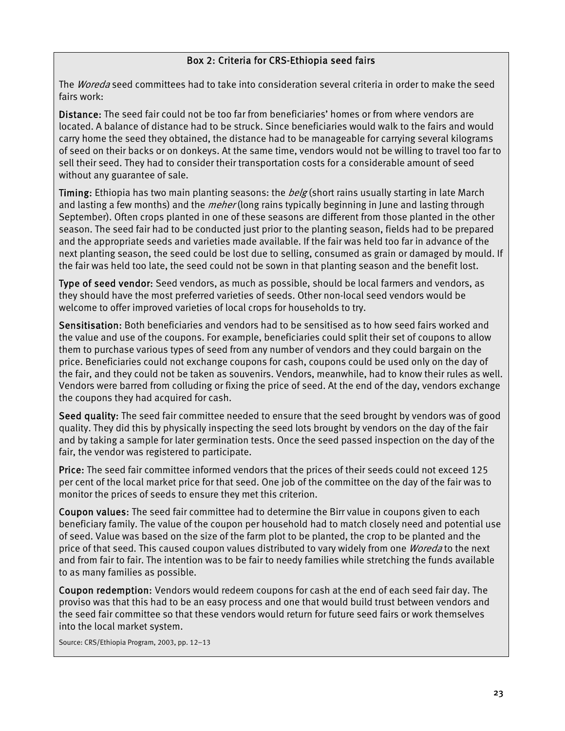# Box 2: Criteria for CRS-Ethiopia seed fairs

The *Woreda* seed committees had to take into consideration several criteria in order to make the seed fairs work:

Distance: The seed fair could not be too far from beneficiaries' homes or from where vendors are located. A balance of distance had to be struck. Since beneficiaries would walk to the fairs and would carry home the seed they obtained, the distance had to be manageable for carrying several kilograms of seed on their backs or on donkeys. At the same time, vendors would not be willing to travel too far to sell their seed. They had to consider their transportation costs for a considerable amount of seed without any guarantee of sale.

Timing: Ethiopia has two main planting seasons: the *belg* (short rains usually starting in late March and lasting a few months) and the *meher* (long rains typically beginning in June and lasting through September). Often crops planted in one of these seasons are different from those planted in the other season. The seed fair had to be conducted just prior to the planting season, fields had to be prepared and the appropriate seeds and varieties made available. If the fair was held too far in advance of the next planting season, the seed could be lost due to selling, consumed as grain or damaged by mould. If the fair was held too late, the seed could not be sown in that planting season and the benefit lost.

Type of seed vendor: Seed vendors, as much as possible, should be local farmers and vendors, as they should have the most preferred varieties of seeds. Other non-local seed vendors would be welcome to offer improved varieties of local crops for households to try.

Sensitisation: Both beneficiaries and vendors had to be sensitised as to how seed fairs worked and the value and use of the coupons. For example, beneficiaries could split their set of coupons to allow them to purchase various types of seed from any number of vendors and they could bargain on the price. Beneficiaries could not exchange coupons for cash, coupons could be used only on the day of the fair, and they could not be taken as souvenirs. Vendors, meanwhile, had to know their rules as well. Vendors were barred from colluding or fixing the price of seed. At the end of the day, vendors exchange the coupons they had acquired for cash.

Seed quality: The seed fair committee needed to ensure that the seed brought by vendors was of good quality. They did this by physically inspecting the seed lots brought by vendors on the day of the fair and by taking a sample for later germination tests. Once the seed passed inspection on the day of the fair, the vendor was registered to participate.

Price: The seed fair committee informed vendors that the prices of their seeds could not exceed 125 per cent of the local market price for that seed. One job of the committee on the day of the fair was to monitor the prices of seeds to ensure they met this criterion.

Coupon values: The seed fair committee had to determine the Birr value in coupons given to each beneficiary family. The value of the coupon per household had to match closely need and potential use of seed. Value was based on the size of the farm plot to be planted, the crop to be planted and the price of that seed. This caused coupon values distributed to vary widely from one *Woreda* to the next and from fair to fair. The intention was to be fair to needy families while stretching the funds available to as many families as possible.

Coupon redemption: Vendors would redeem coupons for cash at the end of each seed fair day. The proviso was that this had to be an easy process and one that would build trust between vendors and the seed fair committee so that these vendors would return for future seed fairs or work themselves into the local market system.

Source: CRS/Ethiopia Program, 2003, pp. 12–13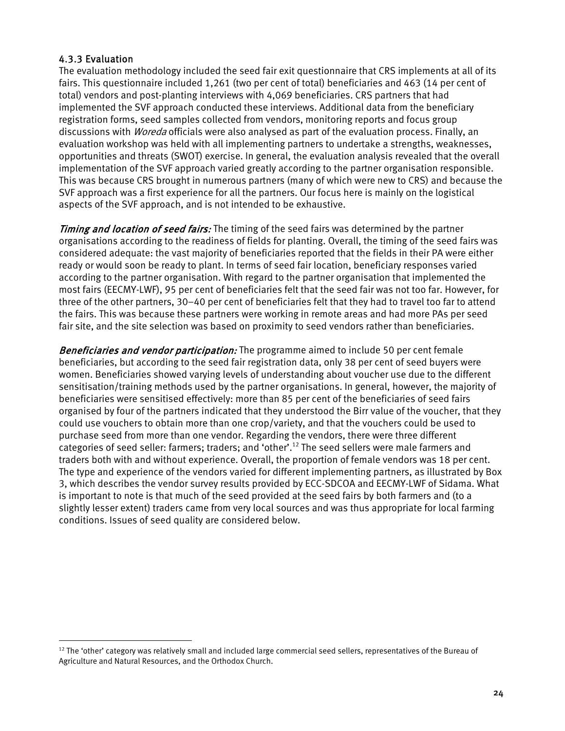# 4.3.3 Evaluation

 $\overline{a}$ 

The evaluation methodology included the seed fair exit questionnaire that CRS implements at all of its fairs. This questionnaire included 1,261 (two per cent of total) beneficiaries and 463 (14 per cent of total) vendors and post-planting interviews with 4,069 beneficiaries. CRS partners that had implemented the SVF approach conducted these interviews. Additional data from the beneficiary registration forms, seed samples collected from vendors, monitoring reports and focus group discussions with *Woreda* officials were also analysed as part of the evaluation process. Finally, an evaluation workshop was held with all implementing partners to undertake a strengths, weaknesses, opportunities and threats (SWOT) exercise. In general, the evaluation analysis revealed that the overall implementation of the SVF approach varied greatly according to the partner organisation responsible. This was because CRS brought in numerous partners (many of which were new to CRS) and because the SVF approach was a first experience for all the partners. Our focus here is mainly on the logistical aspects of the SVF approach, and is not intended to be exhaustive.

**Timing and location of seed fairs:** The timing of the seed fairs was determined by the partner organisations according to the readiness of fields for planting. Overall, the timing of the seed fairs was considered adequate: the vast majority of beneficiaries reported that the fields in their PA were either ready or would soon be ready to plant. In terms of seed fair location, beneficiary responses varied according to the partner organisation. With regard to the partner organisation that implemented the most fairs (EECMY-LWF), 95 per cent of beneficiaries felt that the seed fair was not too far. However, for three of the other partners, 30–40 per cent of beneficiaries felt that they had to travel too far to attend the fairs. This was because these partners were working in remote areas and had more PAs per seed fair site, and the site selection was based on proximity to seed vendors rather than beneficiaries.

Beneficiaries and vendor participation: The programme aimed to include 50 per cent female beneficiaries, but according to the seed fair registration data, only 38 per cent of seed buyers were women. Beneficiaries showed varying levels of understanding about voucher use due to the different sensitisation/training methods used by the partner organisations. In general, however, the majority of beneficiaries were sensitised effectively: more than 85 per cent of the beneficiaries of seed fairs organised by four of the partners indicated that they understood the Birr value of the voucher, that they could use vouchers to obtain more than one crop/variety, and that the vouchers could be used to purchase seed from more than one vendor. Regarding the vendors, there were three different categories of seed seller: farmers; traders; and 'other'[.12](#page-23-0) The seed sellers were male farmers and traders both with and without experience. Overall, the proportion of female vendors was 18 per cent. The type and experience of the vendors varied for different implementing partners, as illustrated by Box 3, which describes the vendor survey results provided by ECC-SDCOA and EECMY-LWF of Sidama. What is important to note is that much of the seed provided at the seed fairs by both farmers and (to a slightly lesser extent) traders came from very local sources and was thus appropriate for local farming conditions. Issues of seed quality are considered below.

<span id="page-23-0"></span> $12$  The 'other' category was relatively small and included large commercial seed sellers, representatives of the Bureau of Agriculture and Natural Resources, and the Orthodox Church.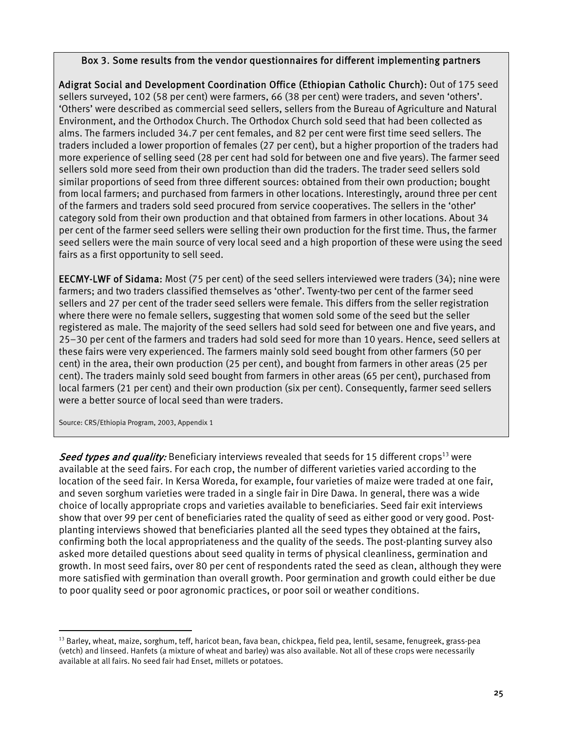#### Box 3. Some results from the vendor questionnaires for different implementing partners

Adigrat Social and Development Coordination Office (Ethiopian Catholic Church): Out of 175 seed sellers surveyed, 102 (58 per cent) were farmers, 66 (38 per cent) were traders, and seven 'others'. 'Others' were described as commercial seed sellers, sellers from the Bureau of Agriculture and Natural Environment, and the Orthodox Church. The Orthodox Church sold seed that had been collected as alms. The farmers included 34.7 per cent females, and 82 per cent were first time seed sellers. The traders included a lower proportion of females (27 per cent), but a higher proportion of the traders had more experience of selling seed (28 per cent had sold for between one and five years). The farmer seed sellers sold more seed from their own production than did the traders. The trader seed sellers sold similar proportions of seed from three different sources: obtained from their own production; bought from local farmers; and purchased from farmers in other locations. Interestingly, around three per cent of the farmers and traders sold seed procured from service cooperatives. The sellers in the 'other' category sold from their own production and that obtained from farmers in other locations. About 34 per cent of the farmer seed sellers were selling their own production for the first time. Thus, the farmer seed sellers were the main source of very local seed and a high proportion of these were using the seed fairs as a first opportunity to sell seed.

EECMY-LWF of Sidama: Most (75 per cent) of the seed sellers interviewed were traders (34); nine were farmers; and two traders classified themselves as 'other'. Twenty-two per cent of the farmer seed sellers and 27 per cent of the trader seed sellers were female. This differs from the seller registration where there were no female sellers, suggesting that women sold some of the seed but the seller registered as male. The majority of the seed sellers had sold seed for between one and five years, and 25–30 per cent of the farmers and traders had sold seed for more than 10 years. Hence, seed sellers at these fairs were very experienced. The farmers mainly sold seed bought from other farmers (50 per cent) in the area, their own production (25 per cent), and bought from farmers in other areas (25 per cent). The traders mainly sold seed bought from farmers in other areas (65 per cent), purchased from local farmers (21 per cent) and their own production (six per cent). Consequently, farmer seed sellers were a better source of local seed than were traders.

Source: CRS/Ethiopia Program, 2003, Appendix 1

 $\overline{a}$ 

Seed types and quality: Beneficiary interviews revealed that seeds for 15 different crops<sup>13</sup> were available at the seed fairs. For each crop, the number of different varieties varied according to the location of the seed fair. In Kersa Woreda, for example, four varieties of maize were traded at one fair, and seven sorghum varieties were traded in a single fair in Dire Dawa. In general, there was a wide choice of locally appropriate crops and varieties available to beneficiaries. Seed fair exit interviews show that over 99 per cent of beneficiaries rated the quality of seed as either good or very good. Postplanting interviews showed that beneficiaries planted all the seed types they obtained at the fairs, confirming both the local appropriateness and the quality of the seeds. The post-planting survey also asked more detailed questions about seed quality in terms of physical cleanliness, germination and growth. In most seed fairs, over 80 per cent of respondents rated the seed as clean, although they were more satisfied with germination than overall growth. Poor germination and growth could either be due to poor quality seed or poor agronomic practices, or poor soil or weather conditions.

<span id="page-24-0"></span> $13$  Barley, wheat, maize, sorghum, teff, haricot bean, fava bean, chickpea, field pea, lentil, sesame, fenugreek, grass-pea (vetch) and linseed. Hanfets (a mixture of wheat and barley) was also available. Not all of these crops were necessarily available at all fairs. No seed fair had Enset, millets or potatoes.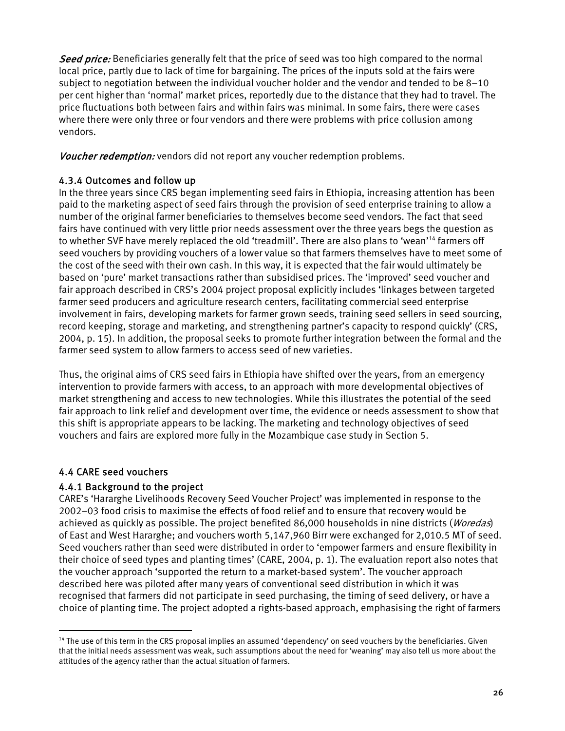<span id="page-25-0"></span>Seed price: Beneficiaries generally felt that the price of seed was too high compared to the normal local price, partly due to lack of time for bargaining. The prices of the inputs sold at the fairs were subject to negotiation between the individual voucher holder and the vendor and tended to be 8–10 per cent higher than 'normal' market prices, reportedly due to the distance that they had to travel. The price fluctuations both between fairs and within fairs was minimal. In some fairs, there were cases where there were only three or four vendors and there were problems with price collusion among vendors.

Voucher redemption: vendors did not report any voucher redemption problems.

#### 4.3.4 Outcomes and follow up

In the three years since CRS began implementing seed fairs in Ethiopia, increasing attention has been paid to the marketing aspect of seed fairs through the provision of seed enterprise training to allow a number of the original farmer beneficiaries to themselves become seed vendors. The fact that seed fairs have continued with very little prior needs assessment over the three years begs the question as to whether SVF have merely replaced the old 'treadmill'. There are also plans to 'wean['14](#page-25-1) farmers off seed vouchers by providing vouchers of a lower value so that farmers themselves have to meet some of the cost of the seed with their own cash. In this way, it is expected that the fair would ultimately be based on 'pure' market transactions rather than subsidised prices. The 'improved' seed voucher and fair approach described in CRS's 2004 project proposal explicitly includes 'linkages between targeted farmer seed producers and agriculture research centers, facilitating commercial seed enterprise involvement in fairs, developing markets for farmer grown seeds, training seed sellers in seed sourcing, record keeping, storage and marketing, and strengthening partner's capacity to respond quickly' (CRS, 2004, p. 15). In addition, the proposal seeks to promote further integration between the formal and the farmer seed system to allow farmers to access seed of new varieties.

Thus, the original aims of CRS seed fairs in Ethiopia have shifted over the years, from an emergency intervention to provide farmers with access, to an approach with more developmental objectives of market strengthening and access to new technologies. While this illustrates the potential of the seed fair approach to link relief and development over time, the evidence or needs assessment to show that this shift is appropriate appears to be lacking. The marketing and technology objectives of seed vouchers and fairs are explored more fully in the Mozambique case study in Section 5.

# 4.4 CARE seed vouchers

 $\overline{a}$ 

# 4.4.1 Background to the project

CARE's 'Hararghe Livelihoods Recovery Seed Voucher Project' was implemented in response to the 2002–03 food crisis to maximise the effects of food relief and to ensure that recovery would be achieved as quickly as possible. The project benefited 86,000 households in nine districts (Woredas) of East and West Hararghe; and vouchers worth 5,147,960 Birr were exchanged for 2,010.5 MT of seed. Seed vouchers rather than seed were distributed in order to 'empower farmers and ensure flexibility in their choice of seed types and planting times' (CARE, 2004, p. 1). The evaluation report also notes that the voucher approach 'supported the return to a market-based system'. The voucher approach described here was piloted after many years of conventional seed distribution in which it was recognised that farmers did not participate in seed purchasing, the timing of seed delivery, or have a choice of planting time. The project adopted a rights-based approach, emphasising the right of farmers

<span id="page-25-1"></span> $14$  The use of this term in the CRS proposal implies an assumed 'dependency' on seed vouchers by the beneficiaries. Given that the initial needs assessment was weak, such assumptions about the need for 'weaning' may also tell us more about the attitudes of the agency rather than the actual situation of farmers.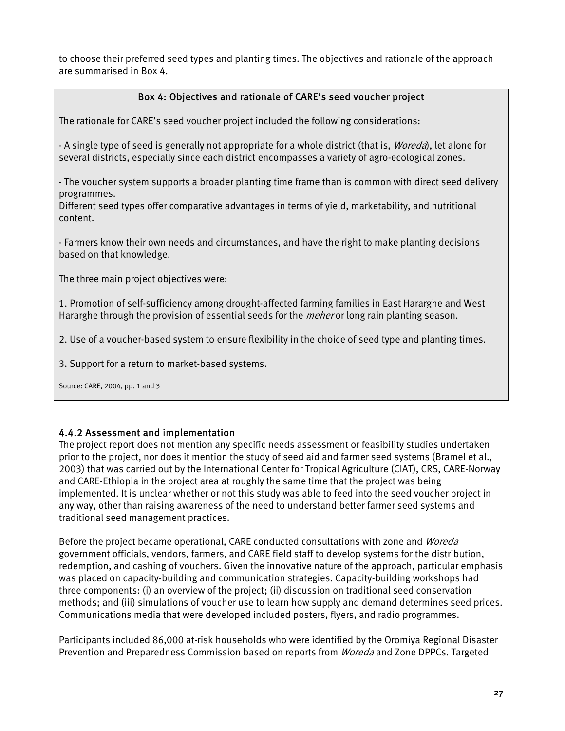to choose their preferred seed types and planting times. The objectives and rationale of the approach are summarised in Box 4.

# Box 4: Objectives and rationale of CARE's seed voucher project

The rationale for CARE's seed voucher project included the following considerations:

- A single type of seed is generally not appropriate for a whole district (that is, *Woreda*), let alone for several districts, especially since each district encompasses a variety of agro-ecological zones.

- The voucher system supports a broader planting time frame than is common with direct seed delivery programmes.

Different seed types offer comparative advantages in terms of yield, marketability, and nutritional content.

- Farmers know their own needs and circumstances, and have the right to make planting decisions based on that knowledge.

The three main project objectives were:

1. Promotion of self-sufficiency among drought-affected farming families in East Hararghe and West Hararghe through the provision of essential seeds for the *meher* or long rain planting season.

2. Use of a voucher-based system to ensure flexibility in the choice of seed type and planting times.

3. Support for a return to market-based systems.

Source: CARE, 2004, pp. 1 and 3

# 4.4.2 Assessment and implementation

The project report does not mention any specific needs assessment or feasibility studies undertaken prior to the project, nor does it mention the study of seed aid and farmer seed systems (Bramel et al., 2003) that was carried out by the International Center for Tropical Agriculture (CIAT), CRS, CARE-Norway and CARE-Ethiopia in the project area at roughly the same time that the project was being implemented. It is unclear whether or not this study was able to feed into the seed voucher project in any way, other than raising awareness of the need to understand better farmer seed systems and traditional seed management practices.

Before the project became operational, CARE conducted consultations with zone and *Woreda* government officials, vendors, farmers, and CARE field staff to develop systems for the distribution, redemption, and cashing of vouchers. Given the innovative nature of the approach, particular emphasis was placed on capacity-building and communication strategies. Capacity-building workshops had three components: (i) an overview of the project; (ii) discussion on traditional seed conservation methods; and (iii) simulations of voucher use to learn how supply and demand determines seed prices. Communications media that were developed included posters, flyers, and radio programmes.

Participants included 86,000 at-risk households who were identified by the Oromiya Regional Disaster Prevention and Preparedness Commission based on reports from *Woreda* and Zone DPPCs. Targeted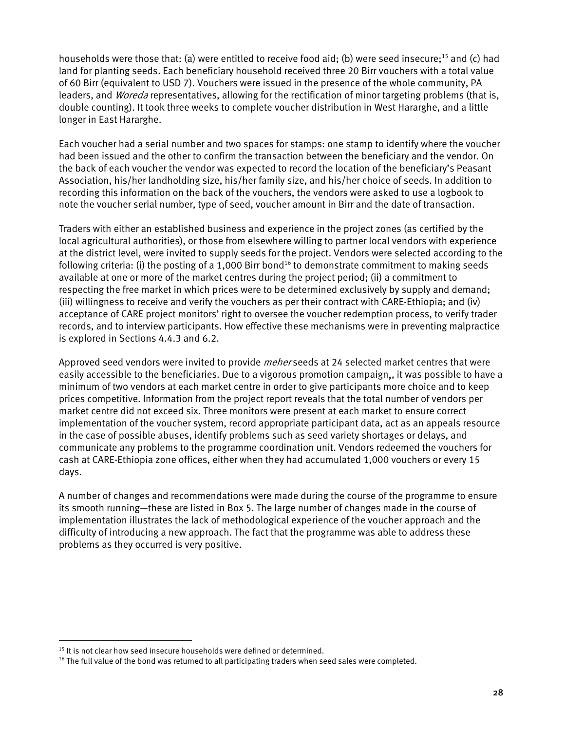households were those that: (a) were entitled to receive food aid; (b) were seed insecure;<sup>15</sup> and (c) had land for planting seeds. Each beneficiary household received three 20 Birr vouchers with a total value of 60 Birr (equivalent to USD 7). Vouchers were issued in the presence of the whole community, PA leaders, and *Woreda* representatives, allowing for the rectification of minor targeting problems (that is, double counting). It took three weeks to complete voucher distribution in West Hararghe, and a little longer in East Hararghe.

Each voucher had a serial number and two spaces for stamps: one stamp to identify where the voucher had been issued and the other to confirm the transaction between the beneficiary and the vendor. On the back of each voucher the vendor was expected to record the location of the beneficiary's Peasant Association, his/her landholding size, his/her family size, and his/her choice of seeds. In addition to recording this information on the back of the vouchers, the vendors were asked to use a logbook to note the voucher serial number, type of seed, voucher amount in Birr and the date of transaction.

Traders with either an established business and experience in the project zones (as certified by the local agricultural authorities), or those from elsewhere willing to partner local vendors with experience at the district level, were invited to supply seeds for the project. Vendors were selected according to the following criteria: (i) the posting of a 1,000 Birr bond<sup>16</sup> to demonstrate commitment to making seeds available at one or more of the market centres during the project period; (ii) a commitment to respecting the free market in which prices were to be determined exclusively by supply and demand; (iii) willingness to receive and verify the vouchers as per their contract with CARE-Ethiopia; and (iv) acceptance of CARE project monitors' right to oversee the voucher redemption process, to verify trader records, and to interview participants. How effective these mechanisms were in preventing malpractice is explored in Sections 4.4.3 and 6.2.

Approved seed vendors were invited to provide *meher* seeds at 24 selected market centres that were easily accessible to the beneficiaries. Due to a vigorous promotion campaign,, it was possible to have a minimum of two vendors at each market centre in order to give participants more choice and to keep prices competitive. Information from the project report reveals that the total number of vendors per market centre did not exceed six. Three monitors were present at each market to ensure correct implementation of the voucher system, record appropriate participant data, act as an appeals resource in the case of possible abuses, identify problems such as seed variety shortages or delays, and communicate any problems to the programme coordination unit. Vendors redeemed the vouchers for cash at CARE-Ethiopia zone offices, either when they had accumulated 1,000 vouchers or every 15 days.

A number of changes and recommendations were made during the course of the programme to ensure its smooth running—these are listed in Box 5. The large number of changes made in the course of implementation illustrates the lack of methodological experience of the voucher approach and the difficulty of introducing a new approach. The fact that the programme was able to address these problems as they occurred is very positive.

<span id="page-27-0"></span> $15$  It is not clear how seed insecure households were defined or determined.

<span id="page-27-1"></span><sup>&</sup>lt;sup>16</sup> The full value of the bond was returned to all participating traders when seed sales were completed.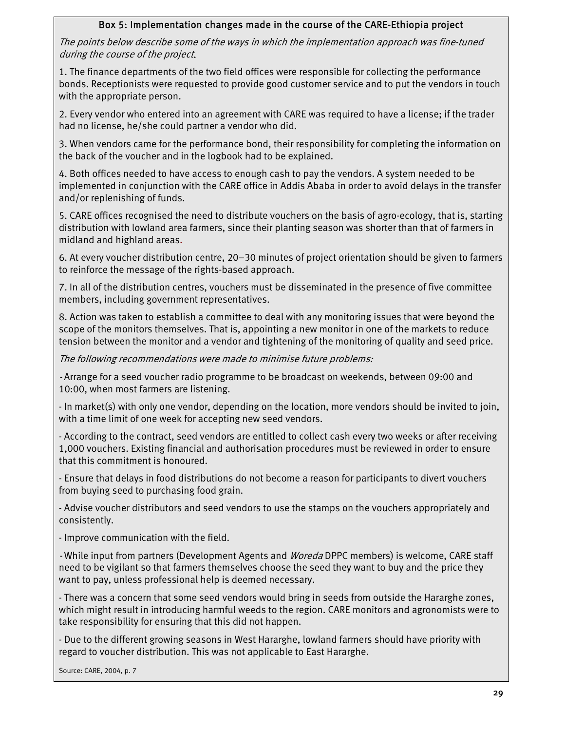# Box 5: Implementation changes made in the course of the CARE-Ethiopia project

The points below describe some of the ways in which the implementation approach was fine-tuned during the course of the project.

1. The finance departments of the two field offices were responsible for collecting the performance bonds. Receptionists were requested to provide good customer service and to put the vendors in touch with the appropriate person.

2. Every vendor who entered into an agreement with CARE was required to have a license; if the trader had no license, he/she could partner a vendor who did.

3. When vendors came for the performance bond, their responsibility for completing the information on the back of the voucher and in the logbook had to be explained.

4. Both offices needed to have access to enough cash to pay the vendors. A system needed to be implemented in conjunction with the CARE office in Addis Ababa in order to avoid delays in the transfer and/or replenishing of funds.

5. CARE offices recognised the need to distribute vouchers on the basis of agro-ecology, that is, starting distribution with lowland area farmers, since their planting season was shorter than that of farmers in midland and highland areas.

6. At every voucher distribution centre, 20–30 minutes of project orientation should be given to farmers to reinforce the message of the rights-based approach.

7. In all of the distribution centres, vouchers must be disseminated in the presence of five committee members, including government representatives.

8. Action was taken to establish a committee to deal with any monitoring issues that were beyond the scope of the monitors themselves. That is, appointing a new monitor in one of the markets to reduce tension between the monitor and a vendor and tightening of the monitoring of quality and seed price.

The following recommendations were made to minimise future problems:

- Arrange for a seed voucher radio programme to be broadcast on weekends, between 09:00 and 10:00, when most farmers are listening.

- In market(s) with only one vendor, depending on the location, more vendors should be invited to join, with a time limit of one week for accepting new seed vendors.

- According to the contract, seed vendors are entitled to collect cash every two weeks or after receiving 1,000 vouchers. Existing financial and authorisation procedures must be reviewed in order to ensure that this commitment is honoured.

- Ensure that delays in food distributions do not become a reason for participants to divert vouchers from buying seed to purchasing food grain.

- Advise voucher distributors and seed vendors to use the stamps on the vouchers appropriately and consistently.

- Improve communication with the field.

- While input from partners (Development Agents and Woreda DPPC members) is welcome, CARE staff need to be vigilant so that farmers themselves choose the seed they want to buy and the price they want to pay, unless professional help is deemed necessary.

- There was a concern that some seed vendors would bring in seeds from outside the Hararghe zones, which might result in introducing harmful weeds to the region. CARE monitors and agronomists were to take responsibility for ensuring that this did not happen.

- Due to the different growing seasons in West Hararghe, lowland farmers should have priority with regard to voucher distribution. This was not applicable to East Hararghe.

Source: CARE, 2004, p. 7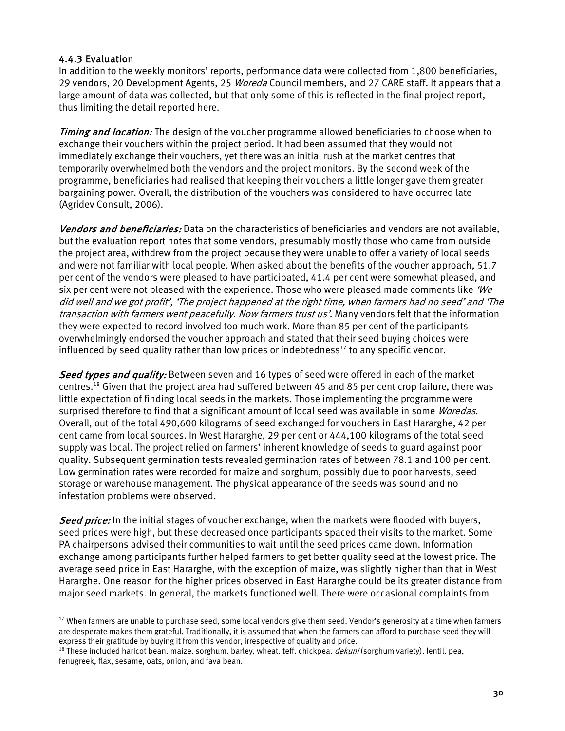# 4.4.3 Evaluation

 $\overline{a}$ 

In addition to the weekly monitors' reports, performance data were collected from 1,800 beneficiaries, 29 vendors, 20 Development Agents, 25 *Woreda* Council members, and 27 CARE staff. It appears that a large amount of data was collected, but that only some of this is reflected in the final project report, thus limiting the detail reported here.

Timing and location: The design of the voucher programme allowed beneficiaries to choose when to exchange their vouchers within the project period. It had been assumed that they would not immediately exchange their vouchers, yet there was an initial rush at the market centres that temporarily overwhelmed both the vendors and the project monitors. By the second week of the programme, beneficiaries had realised that keeping their vouchers a little longer gave them greater bargaining power. Overall, the distribution of the vouchers was considered to have occurred late (Agridev Consult, 2006).

Vendors and beneficiaries: Data on the characteristics of beneficiaries and vendors are not available, but the evaluation report notes that some vendors, presumably mostly those who came from outside the project area, withdrew from the project because they were unable to offer a variety of local seeds and were not familiar with local people. When asked about the benefits of the voucher approach, 51.7 per cent of the vendors were pleased to have participated, 41.4 per cent were somewhat pleased, and six per cent were not pleased with the experience. Those who were pleased made comments like  $\mathcal{W}e$ did well and we got profit', 'The project happened at the right time, when farmers had no seed' and 'The transaction with farmers went peacefully. Now farmers trust us'. Many vendors felt that the information they were expected to record involved too much work. More than 85 per cent of the participants overwhelmingly endorsed the voucher approach and stated that their seed buying choices were influenced by seed quality rather than low prices or indebtedness $^{17}$  to any specific vendor.

Seed types and quality: Between seven and 16 types of seed were offered in each of the market centres.<sup>18</sup> Given that the project area had suffered between 45 and 85 per cent crop failure, there was little expectation of finding local seeds in the markets. Those implementing the programme were surprised therefore to find that a significant amount of local seed was available in some Woredas. Overall, out of the total 490,600 kilograms of seed exchanged for vouchers in East Hararghe, 42 per cent came from local sources. In West Hararghe, 29 per cent or 444,100 kilograms of the total seed supply was local. The project relied on farmers' inherent knowledge of seeds to guard against poor quality. Subsequent germination tests revealed germination rates of between 78.1 and 100 per cent. Low germination rates were recorded for maize and sorghum, possibly due to poor harvests, seed storage or warehouse management. The physical appearance of the seeds was sound and no infestation problems were observed.

Seed price: In the initial stages of voucher exchange, when the markets were flooded with buyers, seed prices were high, but these decreased once participants spaced their visits to the market. Some PA chairpersons advised their communities to wait until the seed prices came down. Information exchange among participants further helped farmers to get better quality seed at the lowest price. The average seed price in East Hararghe, with the exception of maize, was slightly higher than that in West Hararghe. One reason for the higher prices observed in East Hararghe could be its greater distance from major seed markets. In general, the markets functioned well. There were occasional complaints from

<span id="page-29-0"></span> $17$  When farmers are unable to purchase seed, some local vendors give them seed. Vendor's generosity at a time when farmers are desperate makes them grateful. Traditionally, it is assumed that when the farmers can afford to purchase seed they will express their gratitude by buying it from this vendor, irrespective of quality and price.<br><sup>18</sup> These included haricot bean, maize, sorghum, barley, wheat, teff, chickpea, *dekuni* (sorghum variety), lentil, pea,

<span id="page-29-1"></span>fenugreek, flax, sesame, oats, onion, and fava bean.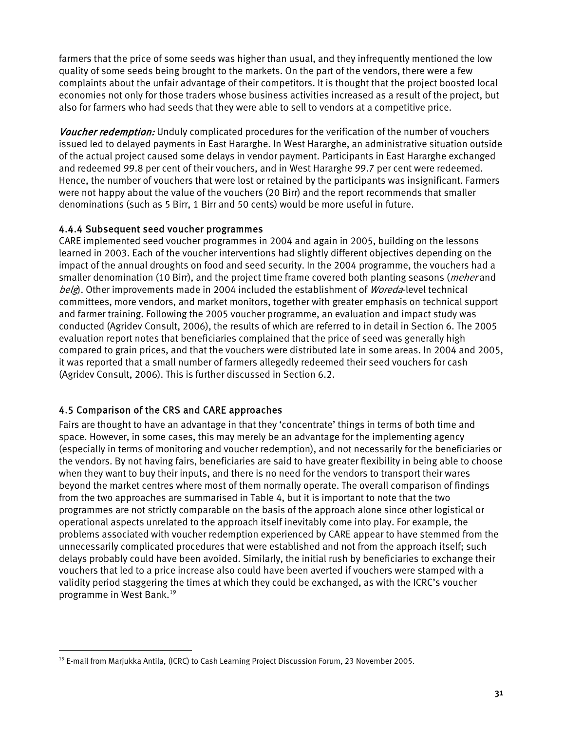<span id="page-30-0"></span>farmers that the price of some seeds was higher than usual, and they infrequently mentioned the low quality of some seeds being brought to the markets. On the part of the vendors, there were a few complaints about the unfair advantage of their competitors. It is thought that the project boosted local economies not only for those traders whose business activities increased as a result of the project, but also for farmers who had seeds that they were able to sell to vendors at a competitive price.

Voucher redemption: Unduly complicated procedures for the verification of the number of vouchers issued led to delayed payments in East Hararghe. In West Hararghe, an administrative situation outside of the actual project caused some delays in vendor payment. Participants in East Hararghe exchanged and redeemed 99.8 per cent of their vouchers, and in West Hararghe 99.7 per cent were redeemed. Hence, the number of vouchers that were lost or retained by the participants was insignificant. Farmers were not happy about the value of the vouchers (20 Birr) and the report recommends that smaller denominations (such as 5 Birr, 1 Birr and 50 cents) would be more useful in future.

#### 4.4.4 Subsequent seed voucher programmes

CARE implemented seed voucher programmes in 2004 and again in 2005, building on the lessons learned in 2003. Each of the voucher interventions had slightly different objectives depending on the impact of the annual droughts on food and seed security. In the 2004 programme, the vouchers had a smaller denomination (10 Birr), and the project time frame covered both planting seasons (*meher* and belg). Other improvements made in 2004 included the establishment of Woreda-level technical committees, more vendors, and market monitors, together with greater emphasis on technical support and farmer training. Following the 2005 voucher programme, an evaluation and impact study was conducted (Agridev Consult, 2006), the results of which are referred to in detail in Section 6. The 2005 evaluation report notes that beneficiaries complained that the price of seed was generally high compared to grain prices, and that the vouchers were distributed late in some areas. In 2004 and 2005, it was reported that a small number of farmers allegedly redeemed their seed vouchers for cash (Agridev Consult, 2006). This is further discussed in Section 6.2.

# 4.5 Comparison of the CRS and CARE approaches

 $\overline{a}$ 

Fairs are thought to have an advantage in that they 'concentrate' things in terms of both time and space. However, in some cases, this may merely be an advantage for the implementing agency (especially in terms of monitoring and voucher redemption), and not necessarily for the beneficiaries or the vendors. By not having fairs, beneficiaries are said to have greater flexibility in being able to choose when they want to buy their inputs, and there is no need for the vendors to transport their wares beyond the market centres where most of them normally operate. The overall comparison of findings from the two approaches are summarised in Table 4, but it is important to note that the two programmes are not strictly comparable on the basis of the approach alone since other logistical or operational aspects unrelated to the approach itself inevitably come into play. For example, the problems associated with voucher redemption experienced by CARE appear to have stemmed from the unnecessarily complicated procedures that were established and not from the approach itself; such delays probably could have been avoided. Similarly, the initial rush by beneficiaries to exchange their vouchers that led to a price increase also could have been averted if vouchers were stamped with a validity period staggering the times at which they could be exchanged, as with the ICRC's voucher programme in West Bank.[19](#page-30-1) 

<span id="page-30-1"></span><sup>19</sup> E-mail from Marjukka Antila, (ICRC) to Cash Learning Project Discussion Forum, 23 November 2005.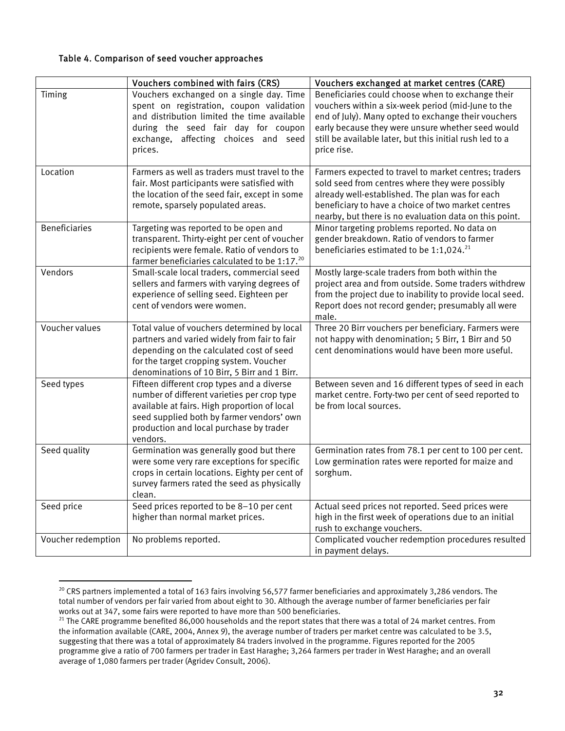#### <span id="page-31-0"></span>Table 4. Comparison of seed voucher approaches

|                      | Vouchers combined with fairs (CRS)                                                                                                                                                                                                            | Vouchers exchanged at market centres (CARE)                                                                                                                                                                                                                                                    |
|----------------------|-----------------------------------------------------------------------------------------------------------------------------------------------------------------------------------------------------------------------------------------------|------------------------------------------------------------------------------------------------------------------------------------------------------------------------------------------------------------------------------------------------------------------------------------------------|
| Timing               | Vouchers exchanged on a single day. Time<br>spent on registration, coupon validation<br>and distribution limited the time available<br>during the seed fair day for coupon<br>exchange, affecting choices and seed<br>prices.                 | Beneficiaries could choose when to exchange their<br>vouchers within a six-week period (mid-June to the<br>end of July). Many opted to exchange their vouchers<br>early because they were unsure whether seed would<br>still be available later, but this initial rush led to a<br>price rise. |
| Location             | Farmers as well as traders must travel to the<br>fair. Most participants were satisfied with<br>the location of the seed fair, except in some<br>remote, sparsely populated areas.                                                            | Farmers expected to travel to market centres; traders<br>sold seed from centres where they were possibly<br>already well-established. The plan was for each<br>beneficiary to have a choice of two market centres<br>nearby, but there is no evaluation data on this point.                    |
| <b>Beneficiaries</b> | Targeting was reported to be open and<br>transparent. Thirty-eight per cent of voucher<br>recipients were female. Ratio of vendors to<br>farmer beneficiaries calculated to be 1:17. <sup>20</sup>                                            | Minor targeting problems reported. No data on<br>gender breakdown. Ratio of vendors to farmer<br>beneficiaries estimated to be 1:1,024. <sup>21</sup>                                                                                                                                          |
| Vendors              | Small-scale local traders, commercial seed<br>sellers and farmers with varying degrees of<br>experience of selling seed. Eighteen per<br>cent of vendors were women.                                                                          | Mostly large-scale traders from both within the<br>project area and from outside. Some traders withdrew<br>from the project due to inability to provide local seed.<br>Report does not record gender; presumably all were<br>male.                                                             |
| Voucher values       | Total value of vouchers determined by local<br>partners and varied widely from fair to fair<br>depending on the calculated cost of seed<br>for the target cropping system. Voucher<br>denominations of 10 Birr, 5 Birr and 1 Birr.            | Three 20 Birr vouchers per beneficiary. Farmers were<br>not happy with denomination; 5 Birr, 1 Birr and 50<br>cent denominations would have been more useful.                                                                                                                                  |
| Seed types           | Fifteen different crop types and a diverse<br>number of different varieties per crop type<br>available at fairs. High proportion of local<br>seed supplied both by farmer vendors' own<br>production and local purchase by trader<br>vendors. | Between seven and 16 different types of seed in each<br>market centre. Forty-two per cent of seed reported to<br>be from local sources.                                                                                                                                                        |
| Seed quality         | Germination was generally good but there<br>were some very rare exceptions for specific<br>crops in certain locations. Eighty per cent of<br>survey farmers rated the seed as physically<br>clean.                                            | Germination rates from 78.1 per cent to 100 per cent.<br>Low germination rates were reported for maize and<br>sorghum.                                                                                                                                                                         |
| Seed price           | Seed prices reported to be 8-10 per cent<br>higher than normal market prices.                                                                                                                                                                 | Actual seed prices not reported. Seed prices were<br>high in the first week of operations due to an initial<br>rush to exchange vouchers.                                                                                                                                                      |
| Voucher redemption   | No problems reported.                                                                                                                                                                                                                         | Complicated voucher redemption procedures resulted<br>in payment delays.                                                                                                                                                                                                                       |

<span id="page-31-1"></span><sup>&</sup>lt;sup>20</sup> CRS partners implemented a total of 163 fairs involving 56,577 farmer beneficiaries and approximately 3,286 vendors. The total number of vendors per fair varied from about eight to 30. Although the average number of farmer beneficiaries per fair<br>works out at 347, some fairs were reported to have more than 500 beneficiaries.

<span id="page-31-2"></span><sup>&</sup>lt;sup>21</sup> The CARE programme benefited 86,000 households and the report states that there was a total of 24 market centres. From the information available (CARE, 2004, Annex 9), the average number of traders per market centre was calculated to be 3.5, suggesting that there was a total of approximately 84 traders involved in the programme. Figures reported for the 2005 programme give a ratio of 700 farmers per trader in East Haraghe; 3,264 farmers per trader in West Haraghe; and an overall average of 1,080 farmers per trader (Agridev Consult, 2006).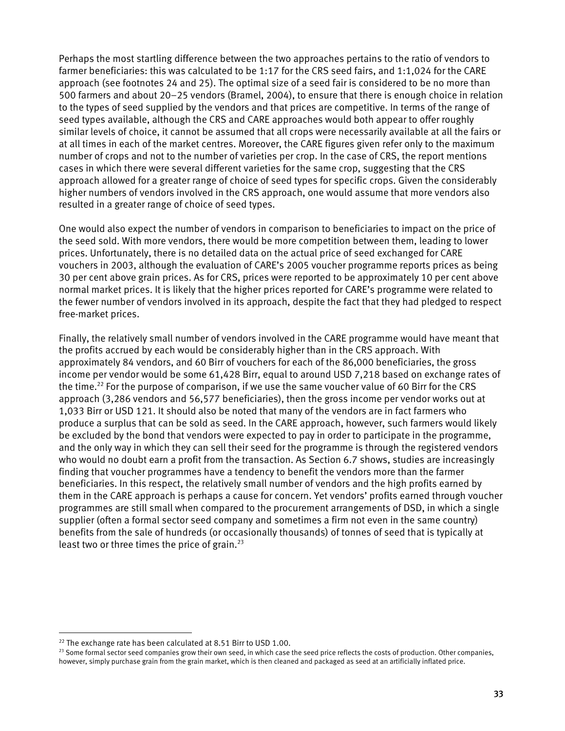Perhaps the most startling difference between the two approaches pertains to the ratio of vendors to farmer beneficiaries: this was calculated to be 1:17 for the CRS seed fairs, and 1:1,024 for the CARE approach (see footnotes 24 and 25). The optimal size of a seed fair is considered to be no more than 500 farmers and about 20–25 vendors (Bramel, 2004), to ensure that there is enough choice in relation to the types of seed supplied by the vendors and that prices are competitive. In terms of the range of seed types available, although the CRS and CARE approaches would both appear to offer roughly similar levels of choice, it cannot be assumed that all crops were necessarily available at all the fairs or at all times in each of the market centres. Moreover, the CARE figures given refer only to the maximum number of crops and not to the number of varieties per crop. In the case of CRS, the report mentions cases in which there were several different varieties for the same crop, suggesting that the CRS approach allowed for a greater range of choice of seed types for specific crops. Given the considerably higher numbers of vendors involved in the CRS approach, one would assume that more vendors also resulted in a greater range of choice of seed types.

One would also expect the number of vendors in comparison to beneficiaries to impact on the price of the seed sold. With more vendors, there would be more competition between them, leading to lower prices. Unfortunately, there is no detailed data on the actual price of seed exchanged for CARE vouchers in 2003, although the evaluation of CARE's 2005 voucher programme reports prices as being 30 per cent above grain prices. As for CRS, prices were reported to be approximately 10 per cent above normal market prices. It is likely that the higher prices reported for CARE's programme were related to the fewer number of vendors involved in its approach, despite the fact that they had pledged to respect free-market prices.

Finally, the relatively small number of vendors involved in the CARE programme would have meant that the profits accrued by each would be considerably higher than in the CRS approach. With approximately 84 vendors, and 60 Birr of vouchers for each of the 86,000 beneficiaries, the gross income per vendor would be some 61,428 Birr, equal to around USD 7,218 based on exchange rates of the time.<sup>22</sup> For the purpose of comparison, if we use the same voucher value of 60 Birr for the CRS approach (3,286 vendors and 56,577 beneficiaries), then the gross income per vendor works out at 1,033 Birr or USD 121. It should also be noted that many of the vendors are in fact farmers who produce a surplus that can be sold as seed. In the CARE approach, however, such farmers would likely be excluded by the bond that vendors were expected to pay in order to participate in the programme, and the only way in which they can sell their seed for the programme is through the registered vendors who would no doubt earn a profit from the transaction. As Section 6.7 shows, studies are increasingly finding that voucher programmes have a tendency to benefit the vendors more than the farmer beneficiaries. In this respect, the relatively small number of vendors and the high profits earned by them in the CARE approach is perhaps a cause for concern. Yet vendors' profits earned through voucher programmes are still small when compared to the procurement arrangements of DSD, in which a single supplier (often a formal sector seed company and sometimes a firm not even in the same country) benefits from the sale of hundreds (or occasionally thousands) of tonnes of seed that is typically at least two or three times the price of grain. $^{23}$ 

<span id="page-32-1"></span><span id="page-32-0"></span>

<sup>&</sup>lt;sup>22</sup> The exchange rate has been calculated at 8.51 Birr to USD 1.00.<br><sup>23</sup> Some formal sector seed companies grow their own seed, in which case the seed price reflects the costs of production. Other companies, however, simply purchase grain from the grain market, which is then cleaned and packaged as seed at an artificially inflated price.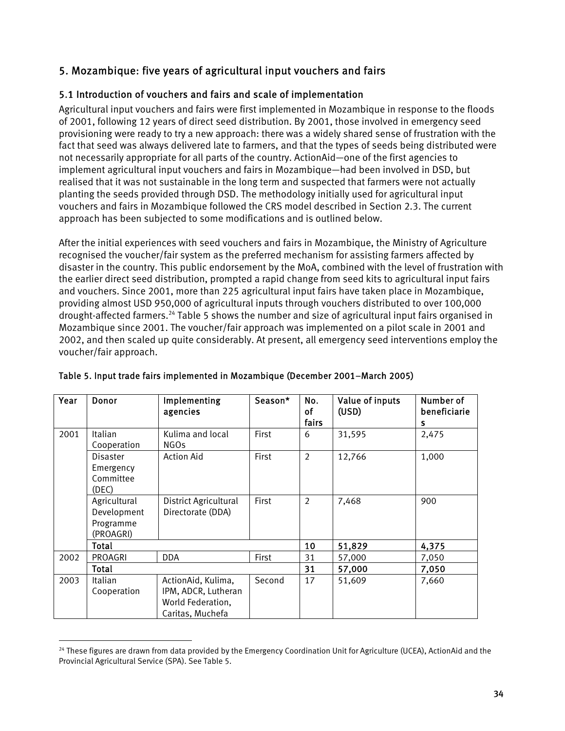# <span id="page-33-0"></span>5. Mozambique: five years of agricultural input vouchers and fairs

# 5.1 Introduction of vouchers and fairs and scale of implementation

Agricultural input vouchers and fairs were first implemented in Mozambique in response to the floods of 2001, following 12 years of direct seed distribution. By 2001, those involved in emergency seed provisioning were ready to try a new approach: there was a widely shared sense of frustration with the fact that seed was always delivered late to farmers, and that the types of seeds being distributed were not necessarily appropriate for all parts of the country. ActionAid—one of the first agencies to implement agricultural input vouchers and fairs in Mozambique—had been involved in DSD, but realised that it was not sustainable in the long term and suspected that farmers were not actually planting the seeds provided through DSD. The methodology initially used for agricultural input vouchers and fairs in Mozambique followed the CRS model described in Section 2.3. The current approach has been subjected to some modifications and is outlined below.

After the initial experiences with seed vouchers and fairs in Mozambique, the Ministry of Agriculture recognised the voucher/fair system as the preferred mechanism for assisting farmers affected by disaster in the country. This public endorsement by the MoA, combined with the level of frustration with the earlier direct seed distribution, prompted a rapid change from seed kits to agricultural input fairs and vouchers. Since 2001, more than 225 agricultural input fairs have taken place in Mozambique, providing almost USD 950,000 of agricultural inputs through vouchers distributed to over 100,000 drought-affected farmers.<sup>24</sup> Table 5 shows the number and size of agricultural input fairs organised in Mozambique since 2001. The voucher/fair approach was implemented on a pilot scale in 2001 and 2002, and then scaled up quite considerably. At present, all emergency seed interventions employ the voucher/fair approach.

| Year | Donor                                                 | Implementing<br>agencies                                                           | Season*      | No.<br>οf<br>fairs | Value of inputs<br>(USD) | Number of<br>beneficiarie<br>s |
|------|-------------------------------------------------------|------------------------------------------------------------------------------------|--------------|--------------------|--------------------------|--------------------------------|
| 2001 | Italian<br>Cooperation                                | Kulima and local<br><b>NGOs</b>                                                    | <b>First</b> | 6                  | 31,595                   | 2,475                          |
|      | <b>Disaster</b><br>Emergency<br>Committee<br>(DEC)    | <b>Action Aid</b>                                                                  | First        | 2                  | 12,766                   | 1,000                          |
|      | Agricultural<br>Development<br>Programme<br>(PROAGRI) | <b>District Agricultural</b><br>Directorate (DDA)                                  | First        | $\overline{2}$     | 7,468                    | 900                            |
|      | Total                                                 |                                                                                    |              | 10                 | 51,829                   | 4,375                          |
| 2002 | <b>PROAGRI</b>                                        | <b>DDA</b>                                                                         | First        | 31                 | 57,000                   | 7,050                          |
|      | Total                                                 |                                                                                    |              | 31                 | 57,000                   | 7,050                          |
| 2003 | Italian<br>Cooperation                                | ActionAid, Kulima,<br>IPM, ADCR, Lutheran<br>World Federation,<br>Caritas, Muchefa | Second       | 17                 | 51,609                   | 7,660                          |

|  |  | Table 5. Input trade fairs implemented in Mozambique (December 2001-March 2005) |
|--|--|---------------------------------------------------------------------------------|
|  |  |                                                                                 |

<span id="page-33-1"></span><sup>&</sup>lt;sup>24</sup> These figures are drawn from data provided by the Emergency Coordination Unit for Agriculture (UCEA), ActionAid and the Provincial Agricultural Service (SPA). See Table 5.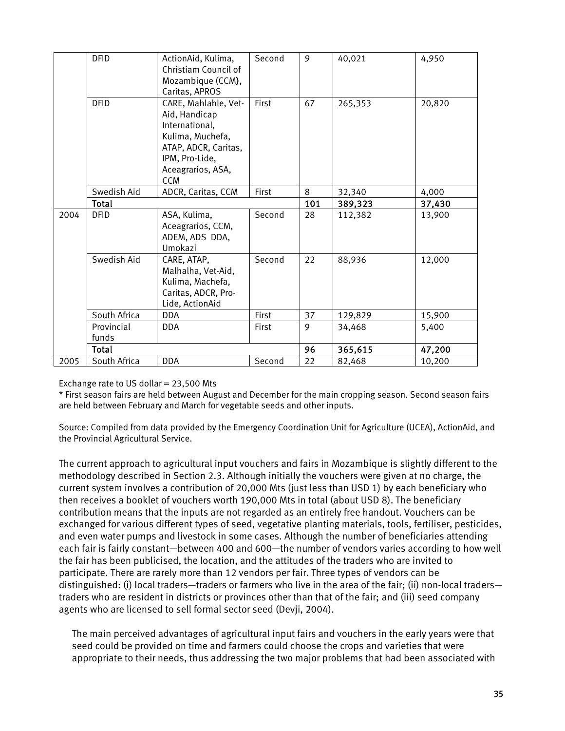|      | <b>DFID</b>         | ActionAid, Kulima,<br>Christiam Council of<br>Mozambique (CCM),<br>Caritas, APROS                                                                        | Second       | 9   | 40,021  | 4,950  |
|------|---------------------|----------------------------------------------------------------------------------------------------------------------------------------------------------|--------------|-----|---------|--------|
|      | <b>DFID</b>         | CARE, Mahlahle, Vet-<br>Aid, Handicap<br>International,<br>Kulima, Muchefa,<br>ATAP, ADCR, Caritas,<br>IPM, Pro-Lide,<br>Aceagrarios, ASA,<br><b>CCM</b> | <b>First</b> | 67  | 265,353 | 20,820 |
|      | Swedish Aid         | ADCR, Caritas, CCM                                                                                                                                       | First        | 8   | 32,340  | 4,000  |
|      | Total               |                                                                                                                                                          |              | 101 | 389,323 | 37,430 |
| 2004 | <b>DFID</b>         | ASA, Kulima,<br>Aceagrarios, CCM,<br>ADEM, ADS DDA,<br>Umokazi                                                                                           | Second       | 28  | 112,382 | 13,900 |
|      | Swedish Aid         | CARE, ATAP,<br>Malhalha, Vet-Aid,<br>Kulima, Machefa,<br>Caritas, ADCR, Pro-<br>Lide, ActionAid                                                          | Second       | 22  | 88,936  | 12,000 |
|      | South Africa        | <b>DDA</b>                                                                                                                                               | First        | 37  | 129,829 | 15,900 |
|      | Provincial<br>funds | <b>DDA</b>                                                                                                                                               | First        | 9   | 34,468  | 5,400  |
|      | Total               |                                                                                                                                                          |              | 96  | 365,615 | 47,200 |
| 2005 | South Africa        | DDA                                                                                                                                                      | Second       | 22  | 82,468  | 10,200 |

Exchange rate to US dollar  $= 23,500$  Mts

\* First season fairs are held between August and December for the main cropping season. Second season fairs are held between February and March for vegetable seeds and other inputs.

Source: Compiled from data provided by the Emergency Coordination Unit for Agriculture (UCEA), ActionAid, and the Provincial Agricultural Service.

The current approach to agricultural input vouchers and fairs in Mozambique is slightly different to the methodology described in Section 2.3. Although initially the vouchers were given at no charge, the current system involves a contribution of 20,000 Mts (just less than USD 1) by each beneficiary who then receives a booklet of vouchers worth 190,000 Mts in total (about USD 8). The beneficiary contribution means that the inputs are not regarded as an entirely free handout. Vouchers can be exchanged for various different types of seed, vegetative planting materials, tools, fertiliser, pesticides, and even water pumps and livestock in some cases. Although the number of beneficiaries attending each fair is fairly constant—between 400 and 600—the number of vendors varies according to how well the fair has been publicised, the location, and the attitudes of the traders who are invited to participate. There are rarely more than 12 vendors per fair. Three types of vendors can be distinguished: (i) local traders—traders or farmers who live in the area of the fair; (ii) non-local traders traders who are resident in districts or provinces other than that of the fair; and (iii) seed company agents who are licensed to sell formal sector seed (Devji, 2004).

The main perceived advantages of agricultural input fairs and vouchers in the early years were that seed could be provided on time and farmers could choose the crops and varieties that were appropriate to their needs, thus addressing the two major problems that had been associated with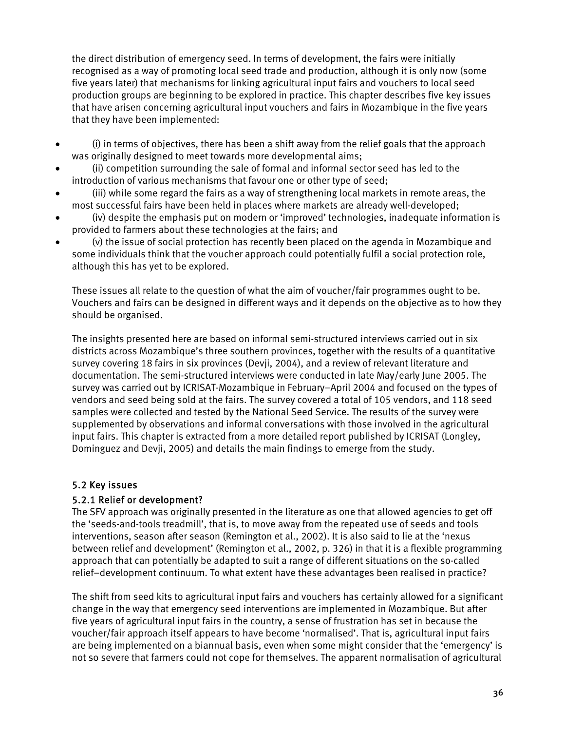<span id="page-35-0"></span>the direct distribution of emergency seed. In terms of development, the fairs were initially recognised as a way of promoting local seed trade and production, although it is only now (some five years later) that mechanisms for linking agricultural input fairs and vouchers to local seed production groups are beginning to be explored in practice. This chapter describes five key issues that have arisen concerning agricultural input vouchers and fairs in Mozambique in the five years that they have been implemented:

- (i) in terms of objectives, there has been a shift away from the relief goals that the approach was originally designed to meet towards more developmental aims;
- (ii) competition surrounding the sale of formal and informal sector seed has led to the introduction of various mechanisms that favour one or other type of seed;
- (iii) while some regard the fairs as a way of strengthening local markets in remote areas, the most successful fairs have been held in places where markets are already well-developed;
- (iv) despite the emphasis put on modern or 'improved' technologies, inadequate information is provided to farmers about these technologies at the fairs; and
- (v) the issue of social protection has recently been placed on the agenda in Mozambique and some individuals think that the voucher approach could potentially fulfil a social protection role, although this has yet to be explored.

These issues all relate to the question of what the aim of voucher/fair programmes ought to be. Vouchers and fairs can be designed in different ways and it depends on the objective as to how they should be organised.

The insights presented here are based on informal semi-structured interviews carried out in six districts across Mozambique's three southern provinces, together with the results of a quantitative survey covering 18 fairs in six provinces (Devji, 2004), and a review of relevant literature and documentation. The semi-structured interviews were conducted in late May/early June 2005. The survey was carried out by ICRISAT-Mozambique in February–April 2004 and focused on the types of vendors and seed being sold at the fairs. The survey covered a total of 105 vendors, and 118 seed samples were collected and tested by the National Seed Service. The results of the survey were supplemented by observations and informal conversations with those involved in the agricultural input fairs. This chapter is extracted from a more detailed report published by ICRISAT (Longley, Dominguez and Devji, 2005) and details the main findings to emerge from the study.

# 5.2 Key issues

# 5.2.1 Relief or development?

The SFV approach was originally presented in the literature as one that allowed agencies to get off the 'seeds-and-tools treadmill', that is, to move away from the repeated use of seeds and tools interventions, season after season (Remington et al., 2002). It is also said to lie at the 'nexus between relief and development' (Remington et al., 2002, p. 326) in that it is a flexible programming approach that can potentially be adapted to suit a range of different situations on the so-called relief–development continuum. To what extent have these advantages been realised in practice?

The shift from seed kits to agricultural input fairs and vouchers has certainly allowed for a significant change in the way that emergency seed interventions are implemented in Mozambique. But after five years of agricultural input fairs in the country, a sense of frustration has set in because the voucher/fair approach itself appears to have become 'normalised'. That is, agricultural input fairs are being implemented on a biannual basis, even when some might consider that the 'emergency' is not so severe that farmers could not cope for themselves. The apparent normalisation of agricultural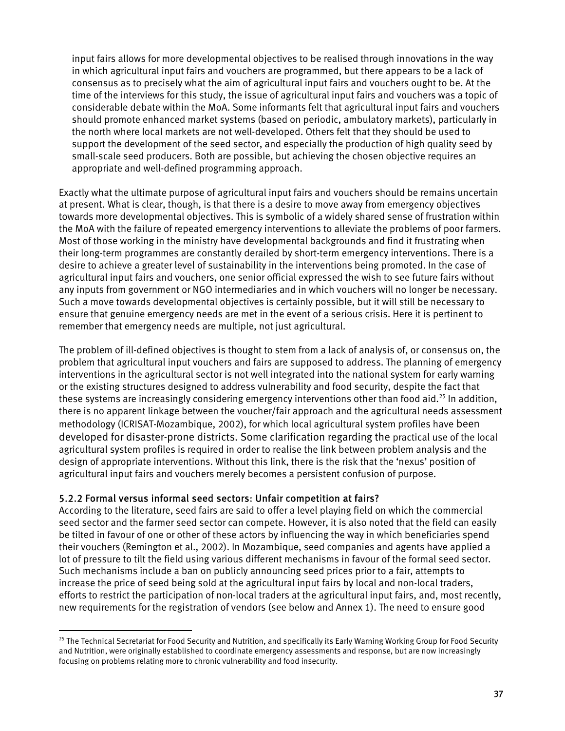input fairs allows for more developmental objectives to be realised through innovations in the way in which agricultural input fairs and vouchers are programmed, but there appears to be a lack of consensus as to precisely what the aim of agricultural input fairs and vouchers ought to be. At the time of the interviews for this study, the issue of agricultural input fairs and vouchers was a topic of considerable debate within the MoA. Some informants felt that agricultural input fairs and vouchers should promote enhanced market systems (based on periodic, ambulatory markets), particularly in the north where local markets are not well-developed. Others felt that they should be used to support the development of the seed sector, and especially the production of high quality seed by small-scale seed producers. Both are possible, but achieving the chosen objective requires an appropriate and well-defined programming approach.

Exactly what the ultimate purpose of agricultural input fairs and vouchers should be remains uncertain at present. What is clear, though, is that there is a desire to move away from emergency objectives towards more developmental objectives. This is symbolic of a widely shared sense of frustration within the MoA with the failure of repeated emergency interventions to alleviate the problems of poor farmers. Most of those working in the ministry have developmental backgrounds and find it frustrating when their long-term programmes are constantly derailed by short-term emergency interventions. There is a desire to achieve a greater level of sustainability in the interventions being promoted. In the case of agricultural input fairs and vouchers, one senior official expressed the wish to see future fairs without any inputs from government or NGO intermediaries and in which vouchers will no longer be necessary. Such a move towards developmental objectives is certainly possible, but it will still be necessary to ensure that genuine emergency needs are met in the event of a serious crisis. Here it is pertinent to remember that emergency needs are multiple, not just agricultural.

The problem of ill-defined objectives is thought to stem from a lack of analysis of, or consensus on, the problem that agricultural input vouchers and fairs are supposed to address. The planning of emergency interventions in the agricultural sector is not well integrated into the national system for early warning or the existing structures designed to address vulnerability and food security, despite the fact that these systems are increasingly considering emergency interventions other than food aid.<sup>25</sup> In addition, there is no apparent linkage between the voucher/fair approach and the agricultural needs assessment methodology (ICRISAT-Mozambique, 2002), for which local agricultural system profiles have been developed for disaster-prone districts. Some clarification regarding the practical use of the local agricultural system profiles is required in order to realise the link between problem analysis and the design of appropriate interventions. Without this link, there is the risk that the 'nexus' position of agricultural input fairs and vouchers merely becomes a persistent confusion of purpose.

# 5.2.2 Formal versus informal seed sectors: Unfair competition at fairs?

According to the literature, seed fairs are said to offer a level playing field on which the commercial seed sector and the farmer seed sector can compete. However, it is also noted that the field can easily be tilted in favour of one or other of these actors by influencing the way in which beneficiaries spend their vouchers (Remington et al., 2002). In Mozambique, seed companies and agents have applied a lot of pressure to tilt the field using various different mechanisms in favour of the formal seed sector. Such mechanisms include a ban on publicly announcing seed prices prior to a fair, attempts to increase the price of seed being sold at the agricultural input fairs by local and non-local traders, efforts to restrict the participation of non-local traders at the agricultural input fairs, and, most recently, new requirements for the registration of vendors (see below and Annex 1). The need to ensure good

<span id="page-36-0"></span> $\overline{a}$ <sup>25</sup> The Technical Secretariat for Food Security and Nutrition, and specifically its Early Warning Working Group for Food Security and Nutrition, were originally established to coordinate emergency assessments and response, but are now increasingly focusing on problems relating more to chronic vulnerability and food insecurity.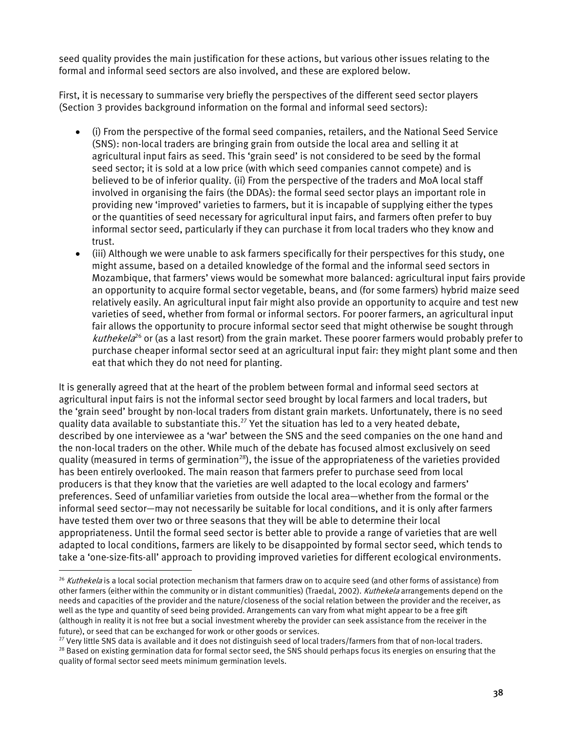seed quality provides the main justification for these actions, but various other issues relating to the formal and informal seed sectors are also involved, and these are explored below.

First, it is necessary to summarise very briefly the perspectives of the different seed sector players (Section 3 provides background information on the formal and informal seed sectors):

- (i) From the perspective of the formal seed companies, retailers, and the National Seed Service (SNS): non-local traders are bringing grain from outside the local area and selling it at agricultural input fairs as seed. This 'grain seed' is not considered to be seed by the formal seed sector; it is sold at a low price (with which seed companies cannot compete) and is believed to be of inferior quality. (ii) From the perspective of the traders and MoA local staff involved in organising the fairs (the DDAs): the formal seed sector plays an important role in providing new 'improved' varieties to farmers, but it is incapable of supplying either the types or the quantities of seed necessary for agricultural input fairs, and farmers often prefer to buy informal sector seed, particularly if they can purchase it from local traders who they know and trust.
- (iii) Although we were unable to ask farmers specifically for their perspectives for this study, one might assume, based on a detailed knowledge of the formal and the informal seed sectors in Mozambique, that farmers' views would be somewhat more balanced: agricultural input fairs provide an opportunity to acquire formal sector vegetable, beans, and (for some farmers) hybrid maize seed relatively easily. An agricultural input fair might also provide an opportunity to acquire and test new varieties of seed, whether from formal or informal sectors. For poorer farmers, an agricultural input fair allows the opportunity to procure informal sector seed that might otherwise be sought through *kuthekela*<sup>26</sup> or (as a last resort) from the grain market. These poorer farmers would probably prefer to purchase cheaper informal sector seed at an agricultural input fair: they might plant some and then eat that which they do not need for planting.

It is generally agreed that at the heart of the problem between formal and informal seed sectors at agricultural input fairs is not the informal sector seed brought by local farmers and local traders, but the 'grain seed' brought by non-local traders from distant grain markets. Unfortunately, there is no seed quality data available to substantiate this.<sup>27</sup> Yet the situation has led to a very heated debate, described by one interviewee as a 'war' between the SNS and the seed companies on the one hand and the non-local traders on the other. While much of the debate has focused almost exclusively on seed quality (measured in terms of germination<sup>28</sup>), the issue of the appropriateness of the varieties provided has been entirely overlooked. The main reason that farmers prefer to purchase seed from local producers is that they know that the varieties are well adapted to the local ecology and farmers' preferences. Seed of unfamiliar varieties from outside the local area—whether from the formal or the informal seed sector—may not necessarily be suitable for local conditions, and it is only after farmers have tested them over two or three seasons that they will be able to determine their local appropriateness. Until the formal seed sector is better able to provide a range of varieties that are well adapted to local conditions, farmers are likely to be disappointed by formal sector seed, which tends to take a 'one-size-fits-all' approach to providing improved varieties for different ecological environments.

<span id="page-37-0"></span> $26$  Kuthekela is a local social protection mechanism that farmers draw on to acquire seed (and other forms of assistance) from other farmers (either within the community or in distant communities) (Traedal, 2002). Kuthekela arrangements depend on the needs and capacities of the provider and the nature/closeness of the social relation between the provider and the receiver, as well as the type and quantity of seed being provided. Arrangements can vary from what might appear to be a free gift (although in reality it is not free but a social investment whereby the provider can seek assistance from the receiver in the

<span id="page-37-2"></span><span id="page-37-1"></span>future), or seed that can be exchanged for work or other goods or services.<br><sup>27</sup> Very little SNS data is available and it does not distinguish seed of local traders/farmers from that of non-local traders.<br><sup>28</sup> Based on exi quality of formal sector seed meets minimum germination levels.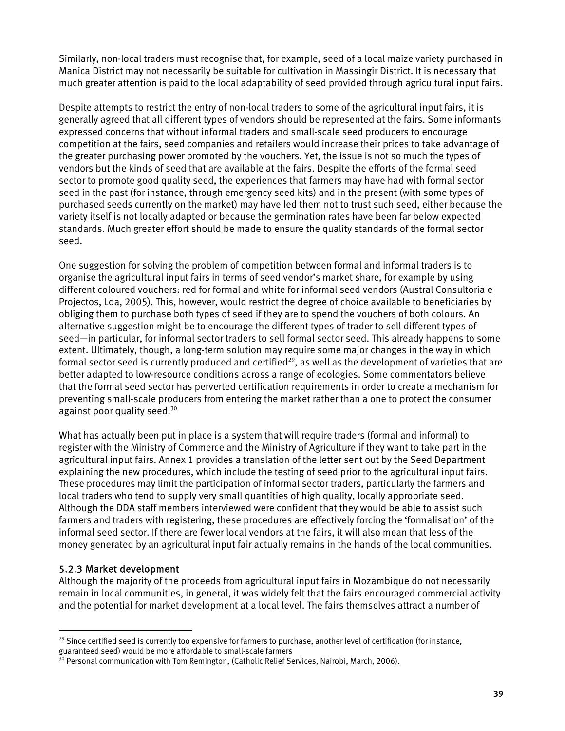Similarly, non-local traders must recognise that, for example, seed of a local maize variety purchased in Manica District may not necessarily be suitable for cultivation in Massingir District. It is necessary that much greater attention is paid to the local adaptability of seed provided through agricultural input fairs.

Despite attempts to restrict the entry of non-local traders to some of the agricultural input fairs, it is generally agreed that all different types of vendors should be represented at the fairs. Some informants expressed concerns that without informal traders and small-scale seed producers to encourage competition at the fairs, seed companies and retailers would increase their prices to take advantage of the greater purchasing power promoted by the vouchers. Yet, the issue is not so much the types of vendors but the kinds of seed that are available at the fairs. Despite the efforts of the formal seed sector to promote good quality seed, the experiences that farmers may have had with formal sector seed in the past (for instance, through emergency seed kits) and in the present (with some types of purchased seeds currently on the market) may have led them not to trust such seed, either because the variety itself is not locally adapted or because the germination rates have been far below expected standards. Much greater effort should be made to ensure the quality standards of the formal sector seed.

One suggestion for solving the problem of competition between formal and informal traders is to organise the agricultural input fairs in terms of seed vendor's market share, for example by using different coloured vouchers: red for formal and white for informal seed vendors (Austral Consultoria e Projectos, Lda, 2005). This, however, would restrict the degree of choice available to beneficiaries by obliging them to purchase both types of seed if they are to spend the vouchers of both colours. An alternative suggestion might be to encourage the different types of trader to sell different types of seed—in particular, for informal sector traders to sell formal sector seed. This already happens to some extent. Ultimately, though, a long-term solution may require some major changes in the way in which formal sector seed is currently produced and certified<sup>29</sup>, as well as the development of varieties that are better adapted to low-resource conditions across a range of ecologies. Some commentators believe that the formal seed sector has perverted certification requirements in order to create a mechanism for preventing small-scale producers from entering the market rather than a one to protect the consumer against poor quality seed.<sup>30</sup>

What has actually been put in place is a system that will require traders (formal and informal) to register with the Ministry of Commerce and the Ministry of Agriculture if they want to take part in the agricultural input fairs. Annex 1 provides a translation of the letter sent out by the Seed Department explaining the new procedures, which include the testing of seed prior to the agricultural input fairs. These procedures may limit the participation of informal sector traders, particularly the farmers and local traders who tend to supply very small quantities of high quality, locally appropriate seed. Although the DDA staff members interviewed were confident that they would be able to assist such farmers and traders with registering, these procedures are effectively forcing the 'formalisation' of the informal seed sector. If there are fewer local vendors at the fairs, it will also mean that less of the money generated by an agricultural input fair actually remains in the hands of the local communities.

# 5.2.3 Market development

 $\overline{a}$ 

Although the majority of the proceeds from agricultural input fairs in Mozambique do not necessarily remain in local communities, in general, it was widely felt that the fairs encouraged commercial activity and the potential for market development at a local level. The fairs themselves attract a number of

<span id="page-38-0"></span> $29$  Since certified seed is currently too expensive for farmers to purchase, another level of certification (for instance, guaranteed seed) would be more affordable to small-scale farmers

<span id="page-38-1"></span> $30$  Personal communication with Tom Remington, (Catholic Relief Services, Nairobi, March, 2006).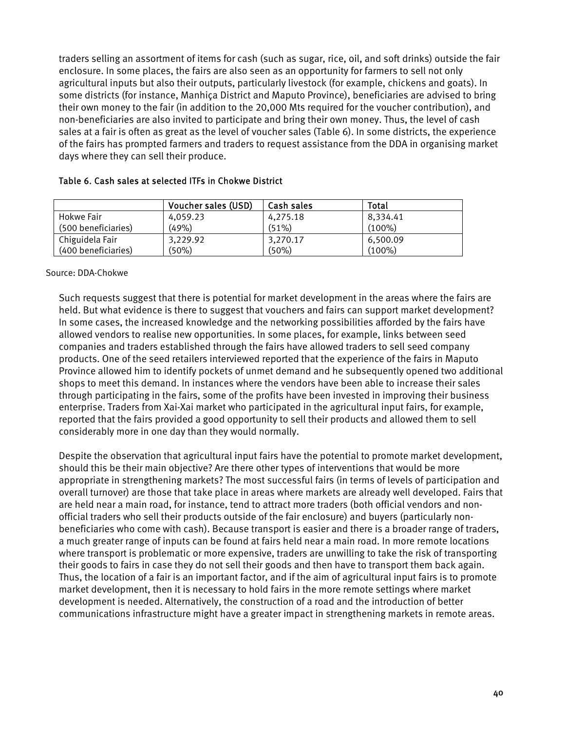<span id="page-39-0"></span>traders selling an assortment of items for cash (such as sugar, rice, oil, and soft drinks) outside the fair enclosure. In some places, the fairs are also seen as an opportunity for farmers to sell not only agricultural inputs but also their outputs, particularly livestock (for example, chickens and goats). In some districts (for instance, Manhiça District and Maputo Province), beneficiaries are advised to bring their own money to the fair (in addition to the 20,000 Mts required for the voucher contribution), and non-beneficiaries are also invited to participate and bring their own money. Thus, the level of cash sales at a fair is often as great as the level of voucher sales (Table 6). In some districts, the experience of the fairs has prompted farmers and traders to request assistance from the DDA in organising market days where they can sell their produce.

|                     | Voucher sales (USD) | Cash sales | Total     |
|---------------------|---------------------|------------|-----------|
| Hokwe Fair          | 4,059.23            | 4,275.18   | 8,334.41  |
| (500 beneficiaries) | (49%)               | (51%)      | $(100\%)$ |
| Chiguidela Fair     | 3,229.92            | 3,270.17   | 6,500.09  |
| (400 beneficiaries) | (50%)               | (50%)      | $(100\%)$ |

#### Table 6. Cash sales at selected ITFs in Chokwe District

#### Source: DDA-Chokwe

Such requests suggest that there is potential for market development in the areas where the fairs are held. But what evidence is there to suggest that vouchers and fairs can support market development? In some cases, the increased knowledge and the networking possibilities afforded by the fairs have allowed vendors to realise new opportunities. In some places, for example, links between seed companies and traders established through the fairs have allowed traders to sell seed company products. One of the seed retailers interviewed reported that the experience of the fairs in Maputo Province allowed him to identify pockets of unmet demand and he subsequently opened two additional shops to meet this demand. In instances where the vendors have been able to increase their sales through participating in the fairs, some of the profits have been invested in improving their business enterprise. Traders from Xai-Xai market who participated in the agricultural input fairs, for example, reported that the fairs provided a good opportunity to sell their products and allowed them to sell considerably more in one day than they would normally.

Despite the observation that agricultural input fairs have the potential to promote market development, should this be their main objective? Are there other types of interventions that would be more appropriate in strengthening markets? The most successful fairs (in terms of levels of participation and overall turnover) are those that take place in areas where markets are already well developed. Fairs that are held near a main road, for instance, tend to attract more traders (both official vendors and nonofficial traders who sell their products outside of the fair enclosure) and buyers (particularly nonbeneficiaries who come with cash). Because transport is easier and there is a broader range of traders, a much greater range of inputs can be found at fairs held near a main road. In more remote locations where transport is problematic or more expensive, traders are unwilling to take the risk of transporting their goods to fairs in case they do not sell their goods and then have to transport them back again. Thus, the location of a fair is an important factor, and if the aim of agricultural input fairs is to promote market development, then it is necessary to hold fairs in the more remote settings where market development is needed. Alternatively, the construction of a road and the introduction of better communications infrastructure might have a greater impact in strengthening markets in remote areas.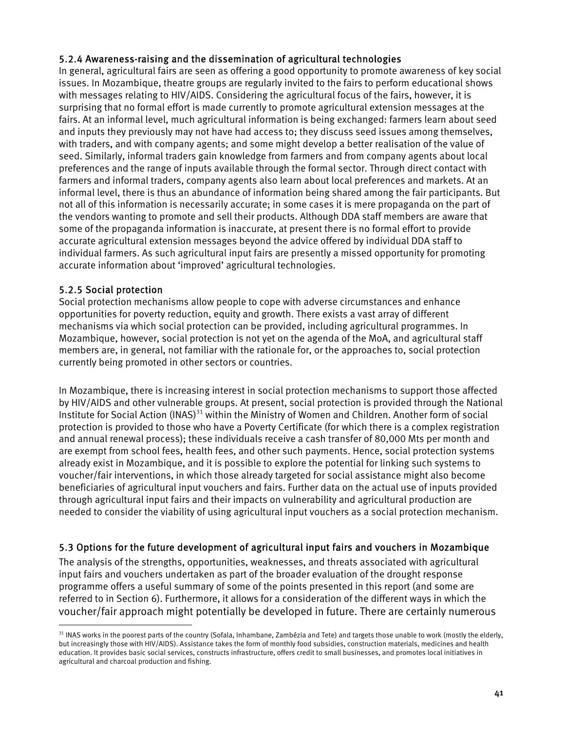# <span id="page-40-0"></span>5.2.4 Awareness-raising and the dissemination of agricultural technologies

In general, agricultural fairs are seen as offering a good opportunity to promote awareness of key social issues. In Mozambique, theatre groups are regularly invited to the fairs to perform educational shows with messages relating to HIV/AIDS. Considering the agricultural focus of the fairs, however, it is surprising that no formal effort is made currently to promote agricultural extension messages at the fairs. At an informal level, much agricultural information is being exchanged: farmers learn about seed and inputs they previously may not have had access to; they discuss seed issues among themselves, with traders, and with company agents; and some might develop a better realisation of the value of seed. Similarly, informal traders gain knowledge from farmers and from company agents about local preferences and the range of inputs available through the formal sector. Through direct contact with farmers and informal traders, company agents also learn about local preferences and markets. At an informal level, there is thus an abundance of information being shared among the fair participants. But not all of this information is necessarily accurate; in some cases it is mere propaganda on the part of the vendors wanting to promote and sell their products. Although DDA staff members are aware that some of the propaganda information is inaccurate, at present there is no formal effort to provide accurate agricultural extension messages beyond the advice offered by individual DDA staff to individual farmers. As such agricultural input fairs are presently a missed opportunity for promoting accurate information about 'improved' agricultural technologies.

# 5.2.5 Social protection

 $\overline{a}$ 

Social protection mechanisms allow people to cope with adverse circumstances and enhance opportunities for poverty reduction, equity and growth. There exists a vast array of different mechanisms via which social protection can be provided, including agricultural programmes. In Mozambique, however, social protection is not yet on the agenda of the MoA, and agricultural staff members are, in general, not familiar with the rationale for, or the approaches to, social protection currently being promoted in other sectors or countries.

In Mozambique, there is increasing interest in social protection mechanisms to support those affected by HIV/AIDS and other vulnerable groups. At present, social protection is provided through the National Institute for Social Action (INAS)<sup>31</sup> within the Ministry of Women and Children. Another form of social protection is provided to those who have a Poverty Certificate (for which there is a complex registration and annual renewal process); these individuals receive a cash transfer of 80,000 Mts per month and are exempt from school fees, health fees, and other such payments. Hence, social protection systems already exist in Mozambique, and it is possible to explore the potential for linking such systems to voucher/fair interventions, in which those already targeted for social assistance might also become beneficiaries of agricultural input vouchers and fairs. Further data on the actual use of inputs provided through agricultural input fairs and their impacts on vulnerability and agricultural production are needed to consider the viability of using agricultural input vouchers as a social protection mechanism.

# 5.3 Options for the future development of agricultural input fairs and vouchers in Mozambique

The analysis of the strengths, opportunities, weaknesses, and threats associated with agricultural input fairs and vouchers undertaken as part of the broader evaluation of the drought response programme offers a useful summary of some of the points presented in this report (and some are referred to in Section 6). Furthermore, it allows for a consideration of the different ways in which the voucher/fair approach might potentially be developed in future. There are certainly numerous

<span id="page-40-1"></span><sup>&</sup>lt;sup>31</sup> INAS works in the poorest parts of the country (Sofala, Inhambane, Zambézia and Tete) and targets those unable to work (mostly the elderly, but increasingly those with HIV/AIDS). Assistance takes the form of monthly food subsidies, construction materials, medicines and health education. It provides basic social services, constructs infrastructure, offers credit to small businesses, and promotes local initiatives in agricultural and charcoal production and fishing.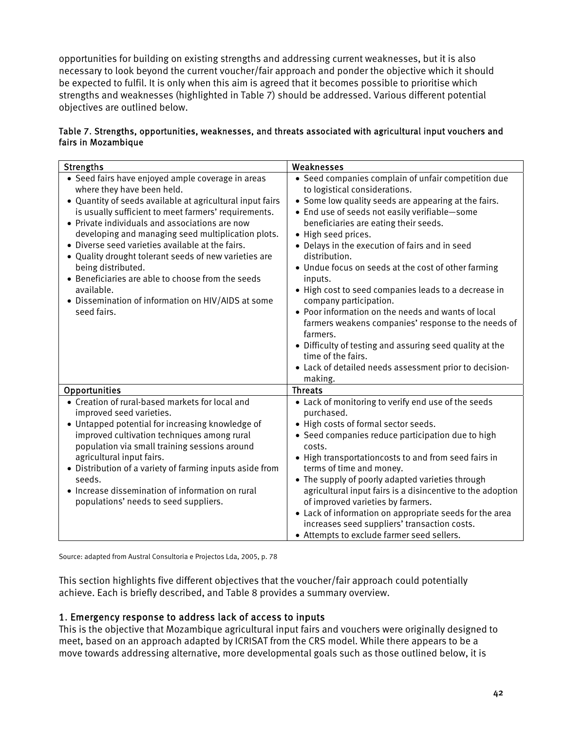<span id="page-41-0"></span>opportunities for building on existing strengths and addressing current weaknesses, but it is also necessary to look beyond the current voucher/fair approach and ponder the objective which it should be expected to fulfil. It is only when this aim is agreed that it becomes possible to prioritise which strengths and weaknesses (highlighted in Table 7) should be addressed. Various different potential objectives are outlined below.

| Table 7. Strengths, opportunities, weaknesses, and threats associated with agricultural input vouchers and |  |  |  |
|------------------------------------------------------------------------------------------------------------|--|--|--|
| fairs in Mozambique                                                                                        |  |  |  |

| <b>Strengths</b>                                                                                                                                                                                                                                                                                                                                                                                                                                                                                                                                                                        | Weaknesses                                                                                                                                                                                                                                                                                                                                                                                                                                                                                                                                                                                                                                                                                                                                                           |
|-----------------------------------------------------------------------------------------------------------------------------------------------------------------------------------------------------------------------------------------------------------------------------------------------------------------------------------------------------------------------------------------------------------------------------------------------------------------------------------------------------------------------------------------------------------------------------------------|----------------------------------------------------------------------------------------------------------------------------------------------------------------------------------------------------------------------------------------------------------------------------------------------------------------------------------------------------------------------------------------------------------------------------------------------------------------------------------------------------------------------------------------------------------------------------------------------------------------------------------------------------------------------------------------------------------------------------------------------------------------------|
| • Seed fairs have enjoyed ample coverage in areas<br>where they have been held.<br>• Quantity of seeds available at agricultural input fairs<br>is usually sufficient to meet farmers' requirements.<br>• Private individuals and associations are now<br>developing and managing seed multiplication plots.<br>• Diverse seed varieties available at the fairs.<br>• Quality drought tolerant seeds of new varieties are<br>being distributed.<br>• Beneficiaries are able to choose from the seeds<br>available.<br>• Dissemination of information on HIV/AIDS at some<br>seed fairs. | • Seed companies complain of unfair competition due<br>to logistical considerations.<br>• Some low quality seeds are appearing at the fairs.<br>• End use of seeds not easily verifiable-some<br>beneficiaries are eating their seeds.<br>• High seed prices.<br>• Delays in the execution of fairs and in seed<br>distribution.<br>• Undue focus on seeds at the cost of other farming<br>inputs.<br>• High cost to seed companies leads to a decrease in<br>company participation.<br>• Poor information on the needs and wants of local<br>farmers weakens companies' response to the needs of<br>farmers.<br>• Difficulty of testing and assuring seed quality at the<br>time of the fairs.<br>• Lack of detailed needs assessment prior to decision-<br>making. |
| Opportunities                                                                                                                                                                                                                                                                                                                                                                                                                                                                                                                                                                           | <b>Threats</b>                                                                                                                                                                                                                                                                                                                                                                                                                                                                                                                                                                                                                                                                                                                                                       |
| • Creation of rural-based markets for local and<br>improved seed varieties.<br>• Untapped potential for increasing knowledge of<br>improved cultivation techniques among rural<br>population via small training sessions around<br>agricultural input fairs.<br>• Distribution of a variety of farming inputs aside from<br>seeds.<br>• Increase dissemination of information on rural<br>populations' needs to seed suppliers.                                                                                                                                                         | • Lack of monitoring to verify end use of the seeds<br>purchased.<br>• High costs of formal sector seeds.<br>• Seed companies reduce participation due to high<br>costs.<br>• High transportationcosts to and from seed fairs in<br>terms of time and money.<br>• The supply of poorly adapted varieties through<br>agricultural input fairs is a disincentive to the adoption<br>of improved varieties by farmers.<br>• Lack of information on appropriate seeds for the area<br>increases seed suppliers' transaction costs.<br>• Attempts to exclude farmer seed sellers.                                                                                                                                                                                         |

Source: adapted from Austral Consultoria e Projectos Lda, 2005, p. 78

This section highlights five different objectives that the voucher/fair approach could potentially achieve. Each is briefly described, and Table 8 provides a summary overview.

#### 1. Emergency response to address lack of access to inputs

This is the objective that Mozambique agricultural input fairs and vouchers were originally designed to meet, based on an approach adapted by ICRISAT from the CRS model. While there appears to be a move towards addressing alternative, more developmental goals such as those outlined below, it is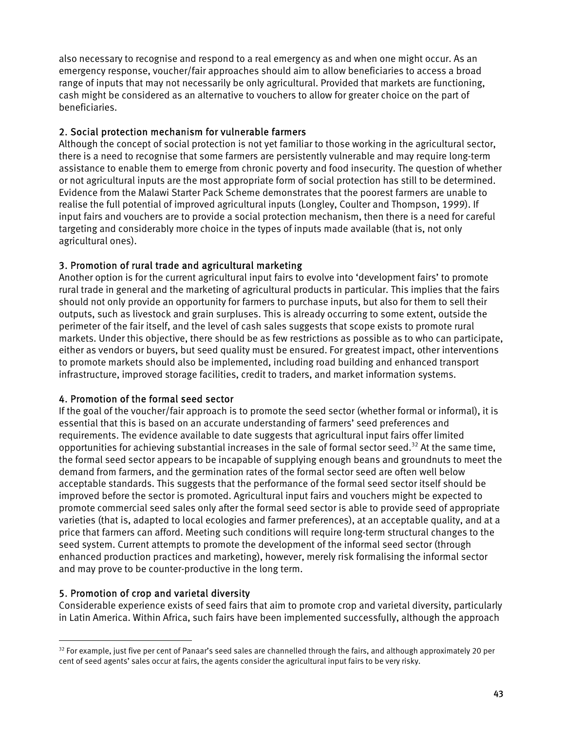also necessary to recognise and respond to a real emergency as and when one might occur. As an emergency response, voucher/fair approaches should aim to allow beneficiaries to access a broad range of inputs that may not necessarily be only agricultural. Provided that markets are functioning, cash might be considered as an alternative to vouchers to allow for greater choice on the part of beneficiaries.

# 2. Social protection mechanism for vulnerable farmers

Although the concept of social protection is not yet familiar to those working in the agricultural sector, there is a need to recognise that some farmers are persistently vulnerable and may require long-term assistance to enable them to emerge from chronic poverty and food insecurity. The question of whether or not agricultural inputs are the most appropriate form of social protection has still to be determined. Evidence from the Malawi Starter Pack Scheme demonstrates that the poorest farmers are unable to realise the full potential of improved agricultural inputs (Longley, Coulter and Thompson, 1999). If input fairs and vouchers are to provide a social protection mechanism, then there is a need for careful targeting and considerably more choice in the types of inputs made available (that is, not only agricultural ones).

# 3. Promotion of rural trade and agricultural marketing

Another option is for the current agricultural input fairs to evolve into 'development fairs' to promote rural trade in general and the marketing of agricultural products in particular. This implies that the fairs should not only provide an opportunity for farmers to purchase inputs, but also for them to sell their outputs, such as livestock and grain surpluses. This is already occurring to some extent, outside the perimeter of the fair itself, and the level of cash sales suggests that scope exists to promote rural markets. Under this objective, there should be as few restrictions as possible as to who can participate, either as vendors or buyers, but seed quality must be ensured. For greatest impact, other interventions to promote markets should also be implemented, including road building and enhanced transport infrastructure, improved storage facilities, credit to traders, and market information systems.

# 4. Promotion of the formal seed sector

If the goal of the voucher/fair approach is to promote the seed sector (whether formal or informal), it is essential that this is based on an accurate understanding of farmers' seed preferences and requirements. The evidence available to date suggests that agricultural input fairs offer limited opportunities for achieving substantial increases in the sale of formal sector seed.<sup>32</sup> At the same time, the formal seed sector appears to be incapable of supplying enough beans and groundnuts to meet the demand from farmers, and the germination rates of the formal sector seed are often well below acceptable standards. This suggests that the performance of the formal seed sector itself should be improved before the sector is promoted. Agricultural input fairs and vouchers might be expected to promote commercial seed sales only after the formal seed sector is able to provide seed of appropriate varieties (that is, adapted to local ecologies and farmer preferences), at an acceptable quality, and at a price that farmers can afford. Meeting such conditions will require long-term structural changes to the seed system. Current attempts to promote the development of the informal seed sector (through enhanced production practices and marketing), however, merely risk formalising the informal sector and may prove to be counter-productive in the long term.

# 5. Promotion of crop and varietal diversity

 $\overline{a}$ 

Considerable experience exists of seed fairs that aim to promote crop and varietal diversity, particularly in Latin America. Within Africa, such fairs have been implemented successfully, although the approach

<span id="page-42-0"></span> $32$  For example, just five per cent of Panaar's seed sales are channelled through the fairs, and although approximately 20 per cent of seed agents' sales occur at fairs, the agents consider the agricultural input fairs to be very risky.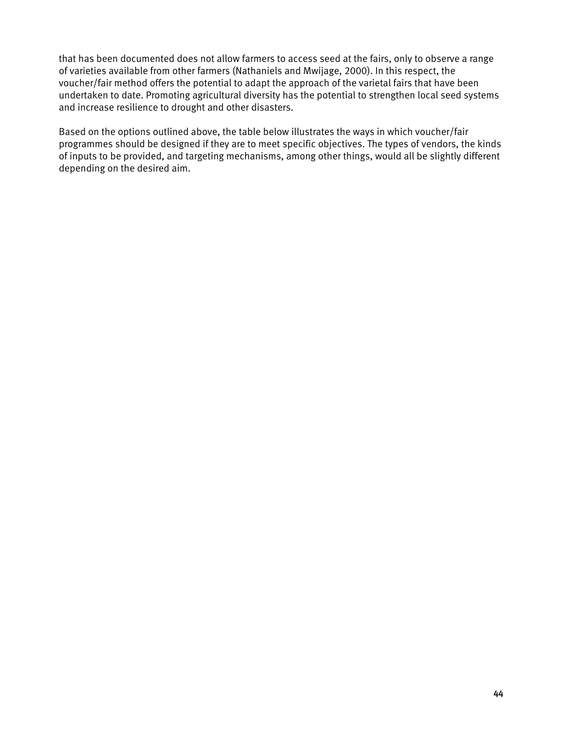that has been documented does not allow farmers to access seed at the fairs, only to observe a range of varieties available from other farmers (Nathaniels and Mwijage, 2000). In this respect, the voucher/fair method offers the potential to adapt the approach of the varietal fairs that have been undertaken to date. Promoting agricultural diversity has the potential to strengthen local seed systems and increase resilience to drought and other disasters.

Based on the options outlined above, the table below illustrates the ways in which voucher/fair programmes should be designed if they are to meet specific objectives. The types of vendors, the kinds of inputs to be provided, and targeting mechanisms, among other things, would all be slightly different depending on the desired aim.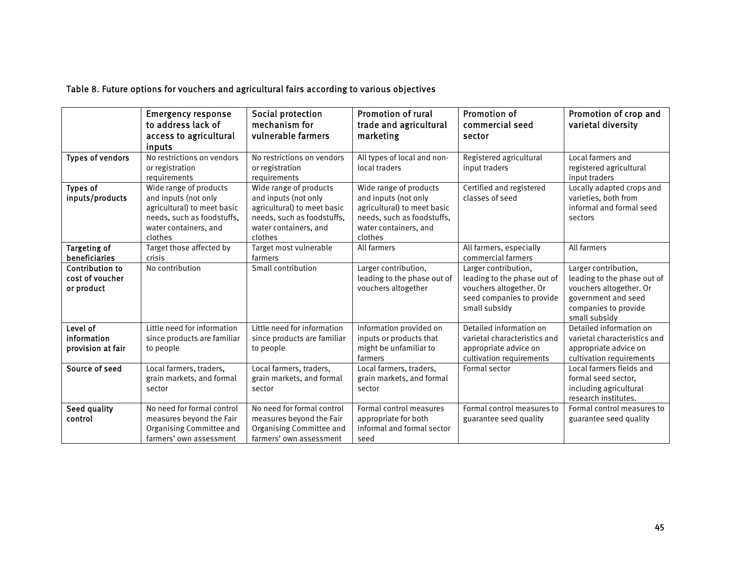<span id="page-44-0"></span>

|                                                         | <b>Emergency response</b><br>to address lack of<br>access to agricultural<br>inputs                                                             | Social protection<br>mechanism for<br>vulnerable farmers                                                                                        | Promotion of rural<br>trade and agricultural<br>marketing                                                                                       | <b>Promotion of</b><br>commercial seed<br>sector                                                                             | Promotion of crop and<br>varietal diversity                                                                                                    |
|---------------------------------------------------------|-------------------------------------------------------------------------------------------------------------------------------------------------|-------------------------------------------------------------------------------------------------------------------------------------------------|-------------------------------------------------------------------------------------------------------------------------------------------------|------------------------------------------------------------------------------------------------------------------------------|------------------------------------------------------------------------------------------------------------------------------------------------|
| <b>Types of vendors</b>                                 | No restrictions on vendors<br>or registration<br>requirements                                                                                   | No restrictions on vendors<br>or registration<br>requirements                                                                                   | All types of local and non-<br>local traders                                                                                                    | Registered agricultural<br>input traders                                                                                     | Local farmers and<br>registered agricultural<br>input traders                                                                                  |
| <b>Types of</b><br>inputs/products                      | Wide range of products<br>and inputs (not only<br>agricultural) to meet basic<br>needs, such as foodstuffs,<br>water containers, and<br>clothes | Wide range of products<br>and inputs (not only<br>agricultural) to meet basic<br>needs, such as foodstuffs,<br>water containers, and<br>clothes | Wide range of products<br>and inputs (not only<br>agricultural) to meet basic<br>needs, such as foodstuffs,<br>water containers, and<br>clothes | Certified and registered<br>classes of seed                                                                                  | Locally adapted crops and<br>varieties, both from<br>informal and formal seed<br>sectors                                                       |
| Targeting of<br>beneficiaries                           | Target those affected by<br>crisis                                                                                                              | Target most vulnerable<br>farmers                                                                                                               | All farmers                                                                                                                                     | All farmers, especially<br>commercial farmers                                                                                | All farmers                                                                                                                                    |
| <b>Contribution to</b><br>cost of voucher<br>or product | No contribution                                                                                                                                 | Small contribution                                                                                                                              | Larger contribution,<br>leading to the phase out of<br>vouchers altogether                                                                      | Larger contribution,<br>leading to the phase out of<br>vouchers altogether. Or<br>seed companies to provide<br>small subsidy | Larger contribution,<br>leading to the phase out of<br>vouchers altogether. Or<br>government and seed<br>companies to provide<br>small subsidy |
| Level of<br>information<br>provision at fair            | Little need for information<br>since products are familiar<br>to people                                                                         | Little need for information<br>since products are familiar<br>to people                                                                         | Information provided on<br>inputs or products that<br>might be unfamiliar to<br>farmers                                                         | Detailed information on<br>varietal characteristics and<br>appropriate advice on<br>cultivation requirements                 | Detailed information on<br>varietal characteristics and<br>appropriate advice on<br>cultivation requirements                                   |
| Source of seed                                          | Local farmers, traders,<br>grain markets, and formal<br>sector                                                                                  | Local farmers, traders,<br>grain markets, and formal<br>sector                                                                                  | Local farmers, traders,<br>grain markets, and formal<br>sector                                                                                  | Formal sector                                                                                                                | Local farmers fields and<br>formal seed sector.<br>including agricultural<br>research institutes.                                              |
| Seed quality<br>control                                 | No need for formal control<br>measures beyond the Fair<br>Organising Committee and<br>farmers' own assessment                                   | No need for formal control<br>measures beyond the Fair<br>Organising Committee and<br>farmers' own assessment                                   | Formal control measures<br>appropriate for both<br>informal and formal sector<br>seed                                                           | Formal control measures to<br>guarantee seed quality                                                                         | Formal control measures to<br>guarantee seed quality                                                                                           |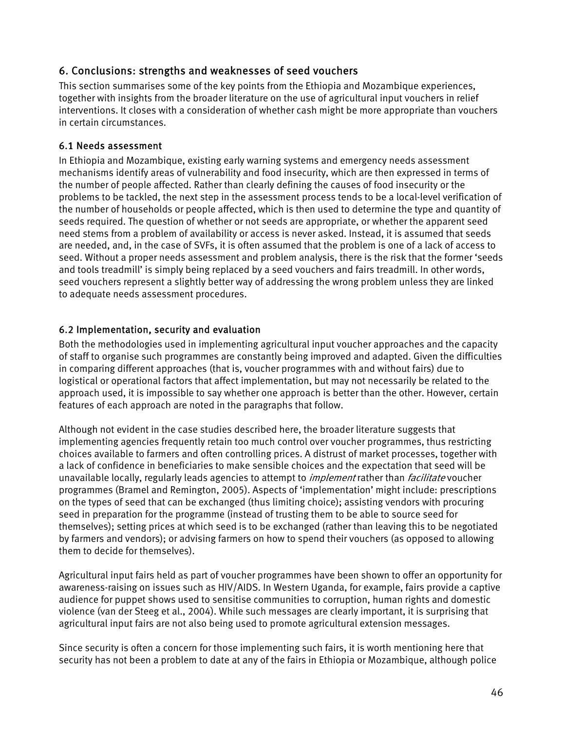# <span id="page-45-0"></span>6. Conclusions: strengths and weaknesses of seed vouchers

This section summarises some of the key points from the Ethiopia and Mozambique experiences, together with insights from the broader literature on the use of agricultural input vouchers in relief interventions. It closes with a consideration of whether cash might be more appropriate than vouchers in certain circumstances.

# 6.1 Needs assessment

In Ethiopia and Mozambique, existing early warning systems and emergency needs assessment mechanisms identify areas of vulnerability and food insecurity, which are then expressed in terms of the number of people affected. Rather than clearly defining the causes of food insecurity or the problems to be tackled, the next step in the assessment process tends to be a local-level verification of the number of households or people affected, which is then used to determine the type and quantity of seeds required. The question of whether or not seeds are appropriate, or whether the apparent seed need stems from a problem of availability or access is never asked. Instead, it is assumed that seeds are needed, and, in the case of SVFs, it is often assumed that the problem is one of a lack of access to seed. Without a proper needs assessment and problem analysis, there is the risk that the former 'seeds and tools treadmill' is simply being replaced by a seed vouchers and fairs treadmill. In other words, seed vouchers represent a slightly better way of addressing the wrong problem unless they are linked to adequate needs assessment procedures.

# 6.2 Implementation, security and evaluation

Both the methodologies used in implementing agricultural input voucher approaches and the capacity of staff to organise such programmes are constantly being improved and adapted. Given the difficulties in comparing different approaches (that is, voucher programmes with and without fairs) due to logistical or operational factors that affect implementation, but may not necessarily be related to the approach used, it is impossible to say whether one approach is better than the other. However, certain features of each approach are noted in the paragraphs that follow.

Although not evident in the case studies described here, the broader literature suggests that implementing agencies frequently retain too much control over voucher programmes, thus restricting choices available to farmers and often controlling prices. A distrust of market processes, together with a lack of confidence in beneficiaries to make sensible choices and the expectation that seed will be unavailable locally, regularly leads agencies to attempt to *implement* rather than *facilitate* voucher programmes (Bramel and Remington, 2005). Aspects of 'implementation' might include: prescriptions on the types of seed that can be exchanged (thus limiting choice); assisting vendors with procuring seed in preparation for the programme (instead of trusting them to be able to source seed for themselves); setting prices at which seed is to be exchanged (rather than leaving this to be negotiated by farmers and vendors); or advising farmers on how to spend their vouchers (as opposed to allowing them to decide for themselves).

Agricultural input fairs held as part of voucher programmes have been shown to offer an opportunity for awareness-raising on issues such as HIV/AIDS. In Western Uganda, for example, fairs provide a captive audience for puppet shows used to sensitise communities to corruption, human rights and domestic violence (van der Steeg et al., 2004). While such messages are clearly important, it is surprising that agricultural input fairs are not also being used to promote agricultural extension messages.

Since security is often a concern for those implementing such fairs, it is worth mentioning here that security has not been a problem to date at any of the fairs in Ethiopia or Mozambique, although police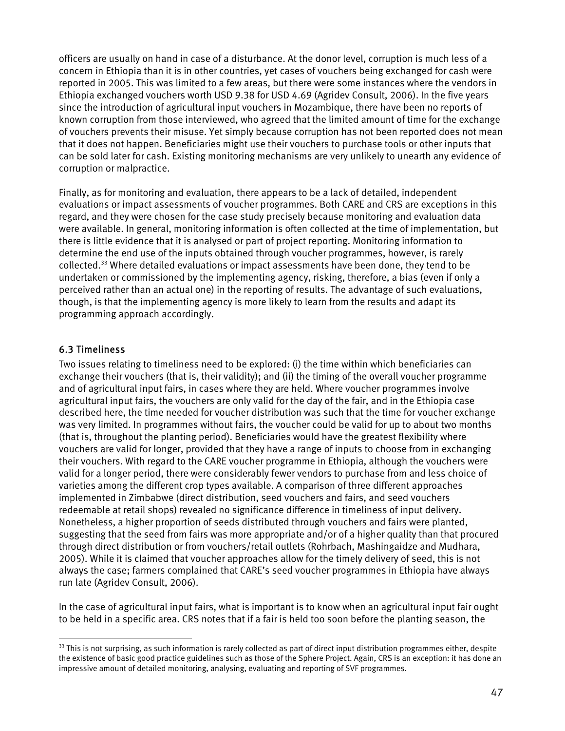<span id="page-46-0"></span>officers are usually on hand in case of a disturbance. At the donor level, corruption is much less of a concern in Ethiopia than it is in other countries, yet cases of vouchers being exchanged for cash were reported in 2005. This was limited to a few areas, but there were some instances where the vendors in Ethiopia exchanged vouchers worth USD 9.38 for USD 4.69 (Agridev Consult, 2006). In the five years since the introduction of agricultural input vouchers in Mozambique, there have been no reports of known corruption from those interviewed, who agreed that the limited amount of time for the exchange of vouchers prevents their misuse. Yet simply because corruption has not been reported does not mean that it does not happen. Beneficiaries might use their vouchers to purchase tools or other inputs that can be sold later for cash. Existing monitoring mechanisms are very unlikely to unearth any evidence of corruption or malpractice.

Finally, as for monitoring and evaluation, there appears to be a lack of detailed, independent evaluations or impact assessments of voucher programmes. Both CARE and CRS are exceptions in this regard, and they were chosen for the case study precisely because monitoring and evaluation data were available. In general, monitoring information is often collected at the time of implementation, but there is little evidence that it is analysed or part of project reporting. Monitoring information to determine the end use of the inputs obtained through voucher programmes, however, is rarely collected[.33](#page-46-1) Where detailed evaluations or impact assessments have been done, they tend to be undertaken or commissioned by the implementing agency, risking, therefore, a bias (even if only a perceived rather than an actual one) in the reporting of results. The advantage of such evaluations, though, is that the implementing agency is more likely to learn from the results and adapt its programming approach accordingly.

# 6.3 Timeliness

 $\overline{a}$ 

Two issues relating to timeliness need to be explored: (i) the time within which beneficiaries can exchange their vouchers (that is, their validity); and (ii) the timing of the overall voucher programme and of agricultural input fairs, in cases where they are held. Where voucher programmes involve agricultural input fairs, the vouchers are only valid for the day of the fair, and in the Ethiopia case described here, the time needed for voucher distribution was such that the time for voucher exchange was very limited. In programmes without fairs, the voucher could be valid for up to about two months (that is, throughout the planting period). Beneficiaries would have the greatest flexibility where vouchers are valid for longer, provided that they have a range of inputs to choose from in exchanging their vouchers. With regard to the CARE voucher programme in Ethiopia, although the vouchers were valid for a longer period, there were considerably fewer vendors to purchase from and less choice of varieties among the different crop types available. A comparison of three different approaches implemented in Zimbabwe (direct distribution, seed vouchers and fairs, and seed vouchers redeemable at retail shops) revealed no significance difference in timeliness of input delivery. Nonetheless, a higher proportion of seeds distributed through vouchers and fairs were planted, suggesting that the seed from fairs was more appropriate and/or of a higher quality than that procured through direct distribution or from vouchers/retail outlets (Rohrbach, Mashingaidze and Mudhara, 2005). While it is claimed that voucher approaches allow for the timely delivery of seed, this is not always the case; farmers complained that CARE's seed voucher programmes in Ethiopia have always run late (Agridev Consult, 2006).

In the case of agricultural input fairs, what is important is to know when an agricultural input fair ought to be held in a specific area. CRS notes that if a fair is held too soon before the planting season, the

<span id="page-46-1"></span> $33$  This is not surprising, as such information is rarely collected as part of direct input distribution programmes either, despite the existence of basic good practice guidelines such as those of the Sphere Project. Again, CRS is an exception: it has done an impressive amount of detailed monitoring, analysing, evaluating and reporting of SVF programmes.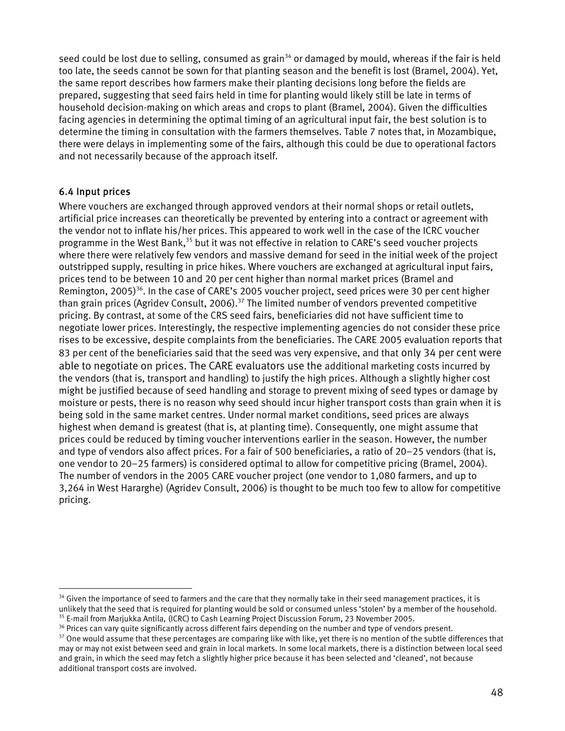<span id="page-47-0"></span>seed could be lost due to selling, consumed as grain<sup>34</sup> or damaged by mould, whereas if the fair is held too late, the seeds cannot be sown for that planting season and the benefit is lost (Bramel, 2004). Yet, the same report describes how farmers make their planting decisions long before the fields are prepared, suggesting that seed fairs held in time for planting would likely still be late in terms of household decision-making on which areas and crops to plant (Bramel, 2004). Given the difficulties facing agencies in determining the optimal timing of an agricultural input fair, the best solution is to determine the timing in consultation with the farmers themselves. Table 7 notes that, in Mozambique, there were delays in implementing some of the fairs, although this could be due to operational factors and not necessarily because of the approach itself.

# 6.4 Input prices

 $\overline{a}$ 

Where vouchers are exchanged through approved vendors at their normal shops or retail outlets, artificial price increases can theoretically be prevented by entering into a contract or agreement with the vendor not to inflate his/her prices. This appeared to work well in the case of the ICRC voucher programme in the West Bank,<sup>35</sup> but it was not effective in relation to CARE's seed voucher projects where there were relatively few vendors and massive demand for seed in the initial week of the project outstripped supply, resulting in price hikes. Where vouchers are exchanged at agricultural input fairs, prices tend to be between 10 and 20 per cent higher than normal market prices (Bramel and Remington, 2005)<sup>36</sup>. In the case of CARE's 2005 voucher project, seed prices were 30 per cent higher than grain prices (Agridev Consult, 2006).<sup>37</sup> The limited number of vendors prevented competitive pricing. By contrast, at some of the CRS seed fairs, beneficiaries did not have sufficient time to negotiate lower prices. Interestingly, the respective implementing agencies do not consider these price rises to be excessive, despite complaints from the beneficiaries. The CARE 2005 evaluation reports that 83 per cent of the beneficiaries said that the seed was very expensive, and that only 34 per cent were able to negotiate on prices. The CARE evaluators use the additional marketing costs incurred by the vendors (that is, transport and handling) to justify the high prices. Although a slightly higher cost might be justified because of seed handling and storage to prevent mixing of seed types or damage by moisture or pests, there is no reason why seed should incur higher transport costs than grain when it is being sold in the same market centres. Under normal market conditions, seed prices are always highest when demand is greatest (that is, at planting time). Consequently, one might assume that prices could be reduced by timing voucher interventions earlier in the season. However, the number and type of vendors also affect prices. For a fair of 500 beneficiaries, a ratio of 20–25 vendors (that is, one vendor to 20–25 farmers) is considered optimal to allow for competitive pricing (Bramel, 2004). The number of vendors in the 2005 CARE voucher project (one vendor to 1,080 farmers, and up to 3,264 in West Hararghe) (Agridev Consult, 2006) is thought to be much too few to allow for competitive pricing.

<span id="page-47-1"></span><sup>&</sup>lt;sup>34</sup> Given the importance of seed to farmers and the care that they normally take in their seed management practices, it is unlikely that the seed that is required for planting would be sold or consumed unless 'stolen' by a member of the household.<br><sup>35</sup> E-mail from Marjukka Antila, (ICRC) to Cash Learning Project Discussion Forum, 23 November 2

<span id="page-47-3"></span><span id="page-47-2"></span>

<span id="page-47-4"></span><sup>&</sup>lt;sup>37</sup> One would assume that these percentages are comparing like with like, yet there is no mention of the subtle differences that may or may not exist between seed and grain in local markets. In some local markets, there is a distinction between local seed and grain, in which the seed may fetch a slightly higher price because it has been selected and 'cleaned', not because additional transport costs are involved.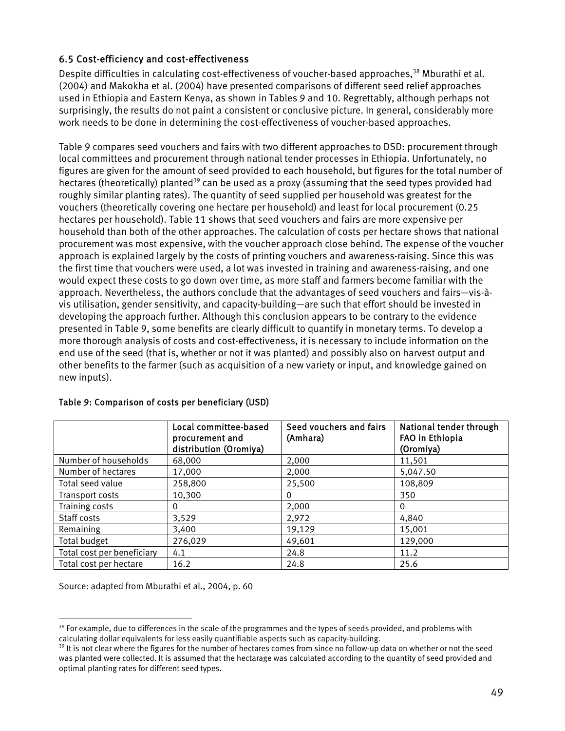# <span id="page-48-0"></span>6.5 Cost-efficiency and cost-effectiveness

Despite difficulties in calculating cost-effectiveness of voucher-based approaches,<sup>38</sup> Mburathi et al. (2004) and Makokha et al. (2004) have presented comparisons of different seed relief approaches used in Ethiopia and Eastern Kenya, as shown in Tables 9 and 10. Regrettably, although perhaps not surprisingly, the results do not paint a consistent or conclusive picture. In general, considerably more work needs to be done in determining the cost-effectiveness of voucher-based approaches.

Table 9 compares seed vouchers and fairs with two different approaches to DSD: procurement through local committees and procurement through national tender processes in Ethiopia. Unfortunately, no figures are given for the amount of seed provided to each household, but figures for the total number of hectares (theoretically) planted<sup>39</sup> can be used as a proxy (assuming that the seed types provided had roughly similar planting rates). The quantity of seed supplied per household was greatest for the vouchers (theoretically covering one hectare per household) and least for local procurement (0.25 hectares per household). Table 11 shows that seed vouchers and fairs are more expensive per household than both of the other approaches. The calculation of costs per hectare shows that national procurement was most expensive, with the voucher approach close behind. The expense of the voucher approach is explained largely by the costs of printing vouchers and awareness-raising. Since this was the first time that vouchers were used, a lot was invested in training and awareness-raising, and one would expect these costs to go down over time, as more staff and farmers become familiar with the approach. Nevertheless, the authors conclude that the advantages of seed vouchers and fairs—vis-àvis utilisation, gender sensitivity, and capacity-building—are such that effort should be invested in developing the approach further. Although this conclusion appears to be contrary to the evidence presented in Table 9, some benefits are clearly difficult to quantify in monetary terms. To develop a more thorough analysis of costs and cost-effectiveness, it is necessary to include information on the end use of the seed (that is, whether or not it was planted) and possibly also on harvest output and other benefits to the farmer (such as acquisition of a new variety or input, and knowledge gained on new inputs).

|                            | Local committee-based<br>procurement and<br>distribution (Oromiya) | Seed vouchers and fairs<br>(Amhara) | National tender through<br>FAO in Ethiopia<br>(Oromiya) |
|----------------------------|--------------------------------------------------------------------|-------------------------------------|---------------------------------------------------------|
| Number of households       | 68,000                                                             | 2,000                               | 11,501                                                  |
| Number of hectares         | 17,000                                                             | 2.000                               | 5,047.50                                                |
| Total seed value           | 258,800                                                            | 25,500                              | 108,809                                                 |
| Transport costs            | 10,300                                                             | 0                                   | 350                                                     |
| Training costs             | 0                                                                  | 2,000                               | 0                                                       |
| Staff costs                | 3,529                                                              | 2,972                               | 4,840                                                   |
| Remaining                  | 3,400                                                              | 19,129                              | 15,001                                                  |
| Total budget               | 276,029                                                            | 49,601                              | 129,000                                                 |
| Total cost per beneficiary | 4.1                                                                | 24.8                                | 11.2                                                    |
| Total cost per hectare     | 16.2                                                               | 24.8                                | 25.6                                                    |

#### Table 9: Comparison of costs per beneficiary (USD)

Source: adapted from Mburathi et al., 2004, p. 60

<span id="page-48-1"></span> $\overline{a}$  $38$  For example, due to differences in the scale of the programmes and the types of seeds provided, and problems with calculating dollar equivalents for less easily quantifiable aspects such as capacity-building.<br><sup>39</sup> It is not clear where the figures for the number of hectares comes from since no follow-up data on whether or not the seed

<span id="page-48-2"></span>was planted were collected. It is assumed that the hectarage was calculated according to the quantity of seed provided and optimal planting rates for different seed types.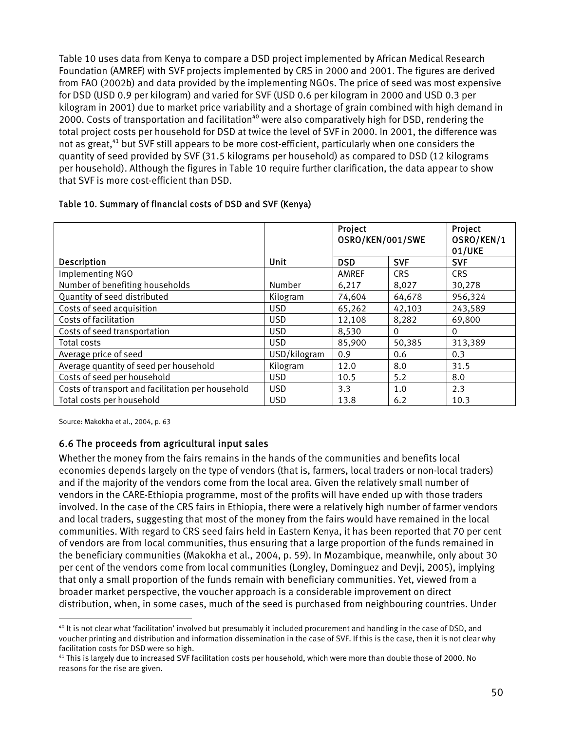<span id="page-49-0"></span>Table 10 uses data from Kenya to compare a DSD project implemented by African Medical Research Foundation (AMREF) with SVF projects implemented by CRS in 2000 and 2001. The figures are derived from FAO (2002b) and data provided by the implementing NGOs. The price of seed was most expensive for DSD (USD 0.9 per kilogram) and varied for SVF (USD 0.6 per kilogram in 2000 and USD 0.3 per kilogram in 2001) due to market price variability and a shortage of grain combined with high demand in 2000. Costs of transportation and facilitation<sup>40</sup> were also comparatively high for DSD, rendering the total project costs per household for DSD at twice the level of SVF in 2000. In 2001, the difference was not as great,<sup>41</sup> but SVF still appears to be more cost-efficient, particularly when one considers the quantity of seed provided by SVF (31.5 kilograms per household) as compared to DSD (12 kilograms per household). Although the figures in Table 10 require further clarification, the data appear to show that SVF is more cost-efficient than DSD.

|                                                   |              | Project<br>OSRO/KEN/001/SWE |            | Project<br>OSRO/KEN/1<br>01/UKE |  |
|---------------------------------------------------|--------------|-----------------------------|------------|---------------------------------|--|
| <b>Description</b>                                | Unit         | <b>DSD</b>                  | <b>SVF</b> | <b>SVF</b>                      |  |
| Implementing NGO                                  |              | AMREF                       | <b>CRS</b> | <b>CRS</b>                      |  |
| Number of benefiting households                   | Number       | 6,217                       | 8,027      | 30,278                          |  |
| Quantity of seed distributed                      | Kilogram     | 74,604                      | 64,678     | 956,324                         |  |
| Costs of seed acquisition                         | <b>USD</b>   | 65,262                      | 42,103     | 243,589                         |  |
| Costs of facilitation                             | <b>USD</b>   | 12,108                      | 8,282      | 69,800                          |  |
| Costs of seed transportation                      | <b>USD</b>   | 8,530                       | 0          | $\Omega$                        |  |
| Total costs                                       | <b>USD</b>   | 85,900                      | 50,385     | 313,389                         |  |
| Average price of seed                             | USD/kilogram | 0.9                         | 0.6        | 0.3                             |  |
| Average quantity of seed per household            | Kilogram     | 12.0                        | 8.0        | 31.5                            |  |
| Costs of seed per household                       | <b>USD</b>   | 10.5                        | 5.2        | 8.0                             |  |
| Costs of transport and facilitation per household | <b>USD</b>   | 3.3                         | 1.0        | 2.3                             |  |

Total costs per household  $\vert$  USD  $\vert$  13.8  $\vert$  6.2 10.3

#### Table 10. Summary of financial costs of DSD and SVF (Kenya)

Source: Makokha et al., 2004, p. 63

 $\overline{a}$ 

#### 6.6 The proceeds from agricultural input sales

Whether the money from the fairs remains in the hands of the communities and benefits local economies depends largely on the type of vendors (that is, farmers, local traders or non-local traders) and if the majority of the vendors come from the local area. Given the relatively small number of vendors in the CARE-Ethiopia programme, most of the profits will have ended up with those traders involved. In the case of the CRS fairs in Ethiopia, there were a relatively high number of farmer vendors and local traders, suggesting that most of the money from the fairs would have remained in the local communities. With regard to CRS seed fairs held in Eastern Kenya, it has been reported that 70 per cent of vendors are from local communities, thus ensuring that a large proportion of the funds remained in the beneficiary communities (Makokha et al., 2004, p. 59). In Mozambique, meanwhile, only about 30 per cent of the vendors come from local communities (Longley, Dominguez and Devji, 2005), implying that only a small proportion of the funds remain with beneficiary communities. Yet, viewed from a broader market perspective, the voucher approach is a considerable improvement on direct distribution, when, in some cases, much of the seed is purchased from neighbouring countries. Under

<span id="page-49-1"></span> $40$  It is not clear what 'facilitation' involved but presumably it included procurement and handling in the case of DSD, and voucher printing and distribution and information dissemination in the case of SVF. If this is the case, then it is not clear why facilitation costs for DSD were so high.<br><sup>41</sup> This is largely due to increased SVF facilitation costs per household, which were more than double those of 2000. No

<span id="page-49-2"></span>reasons for the rise are given.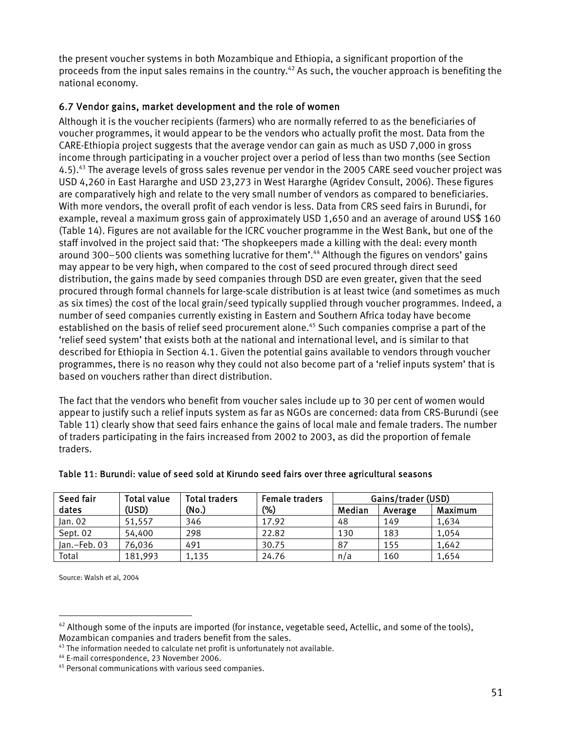<span id="page-50-0"></span>the present voucher systems in both Mozambique and Ethiopia, a significant proportion of the proceeds from the input sales remains in the country.<sup>42</sup> As such, the voucher approach is benefiting the national economy.

# 6.7 Vendor gains, market development and the role of women

Although it is the voucher recipients (farmers) who are normally referred to as the beneficiaries of voucher programmes, it would appear to be the vendors who actually profit the most. Data from the CARE-Ethiopia project suggests that the average vendor can gain as much as USD 7,000 in gross income through participating in a voucher project over a period of less than two months (see Section 4.5)[.43](#page-50-2) The average levels of gross sales revenue per vendor in the 2005 CARE seed voucher project was USD 4,260 in East Hararghe and USD 23,273 in West Hararghe (Agridev Consult, 2006). These figures are comparatively high and relate to the very small number of vendors as compared to beneficiaries. With more vendors, the overall profit of each vendor is less. Data from CRS seed fairs in Burundi, for example, reveal a maximum gross gain of approximately USD 1,650 and an average of around US\$ 160 (Table 14). Figures are not available for the ICRC voucher programme in the West Bank, but one of the staff involved in the project said that: 'The shopkeepers made a killing with the deal: every month around 300–500 clients was something lucrative for them'.<sup>44</sup> Although the figures on vendors' gains may appear to be very high, when compared to the cost of seed procured through direct seed distribution, the gains made by seed companies through DSD are even greater, given that the seed procured through formal channels for large-scale distribution is at least twice (and sometimes as much as six times) the cost of the local grain/seed typically supplied through voucher programmes. Indeed, a number of seed companies currently existing in Eastern and Southern Africa today have become established on the basis of relief seed procurement alone.<sup>45</sup> Such companies comprise a part of the 'relief seed system' that exists both at the national and international level, and is similar to that described for Ethiopia in Section 4.1. Given the potential gains available to vendors through voucher programmes, there is no reason why they could not also become part of a 'relief inputs system' that is based on vouchers rather than direct distribution.

The fact that the vendors who benefit from voucher sales include up to 30 per cent of women would appear to justify such a relief inputs system as far as NGOs are concerned: data from CRS-Burundi (see Table 11) clearly show that seed fairs enhance the gains of local male and female traders. The number of traders participating in the fairs increased from 2002 to 2003, as did the proportion of female traders.

| Seed fair    | Total value | <b>Total traders</b> | <b>Female traders</b> | Gains/trader (USD) |         |         |
|--------------|-------------|----------------------|-----------------------|--------------------|---------|---------|
| dates        | (USD)       | (No.)                | $(\%)$                | Median             | Average | Maximum |
| Jan. 02      | 51.557      | 346                  | 17.92                 | 48                 | 149     | 1,634   |
| Sept. 02     | 54,400      | 298                  | 22.82                 | 130                | 183     | 1,054   |
| Jan.-Feb. 03 | 76,036      | 491                  | 30.75                 | 87                 | 155     | 1,642   |
| Total        | 181,993     | 1,135                | 24.76                 | n/a                | 160     | 1,654   |

#### Table 11: Burundi: value of seed sold at Kirundo seed fairs over three agricultural seasons

Source: Walsh et al, 2004

<span id="page-50-1"></span> $42$  Although some of the inputs are imported (for instance, vegetable seed, Actellic, and some of the tools),

<span id="page-50-2"></span>Mozambican companies and traders benefit from the sales.<br><sup>43</sup> The information needed to calculate net profit is unfortunately not available.<br><sup>44</sup> E-mail correspondence, 23 November 2006.

<span id="page-50-3"></span>

<span id="page-50-4"></span><sup>45</sup> Personal communications with various seed companies.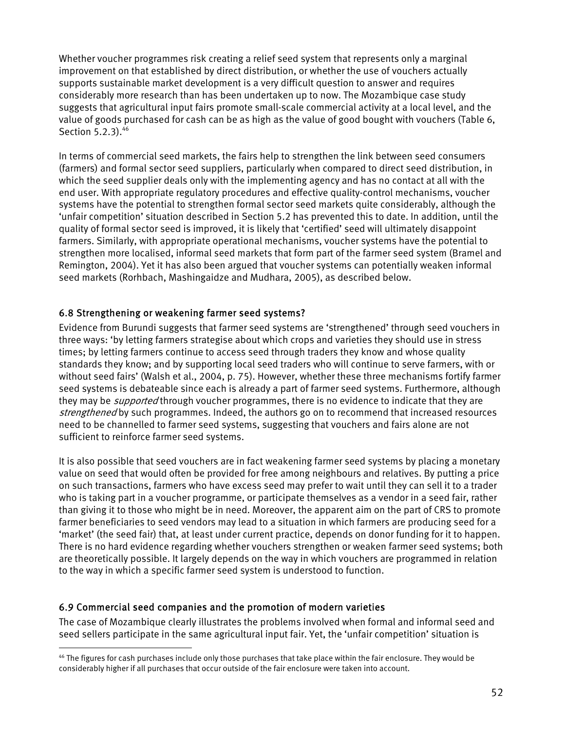<span id="page-51-0"></span>Whether voucher programmes risk creating a relief seed system that represents only a marginal improvement on that established by direct distribution, or whether the use of vouchers actually supports sustainable market development is a very difficult question to answer and requires considerably more research than has been undertaken up to now. The Mozambique case study suggests that agricultural input fairs promote small-scale commercial activity at a local level, and the value of goods purchased for cash can be as high as the value of good bought with vouchers (Table 6, Section 5.2.3).<sup>46</sup>

In terms of commercial seed markets, the fairs help to strengthen the link between seed consumers (farmers) and formal sector seed suppliers, particularly when compared to direct seed distribution, in which the seed supplier deals only with the implementing agency and has no contact at all with the end user. With appropriate regulatory procedures and effective quality-control mechanisms, voucher systems have the potential to strengthen formal sector seed markets quite considerably, although the 'unfair competition' situation described in Section 5.2 has prevented this to date. In addition, until the quality of formal sector seed is improved, it is likely that 'certified' seed will ultimately disappoint farmers. Similarly, with appropriate operational mechanisms, voucher systems have the potential to strengthen more localised, informal seed markets that form part of the farmer seed system (Bramel and Remington, 2004). Yet it has also been argued that voucher systems can potentially weaken informal seed markets (Rorhbach, Mashingaidze and Mudhara, 2005), as described below.

# 6.8 Strengthening or weakening farmer seed systems?

Evidence from Burundi suggests that farmer seed systems are 'strengthened' through seed vouchers in three ways: 'by letting farmers strategise about which crops and varieties they should use in stress times; by letting farmers continue to access seed through traders they know and whose quality standards they know; and by supporting local seed traders who will continue to serve farmers, with or without seed fairs' (Walsh et al., 2004, p. 75). However, whether these three mechanisms fortify farmer seed systems is debateable since each is already a part of farmer seed systems. Furthermore, although they may be *supported* through voucher programmes, there is no evidence to indicate that they are strengthened by such programmes. Indeed, the authors go on to recommend that increased resources need to be channelled to farmer seed systems, suggesting that vouchers and fairs alone are not sufficient to reinforce farmer seed systems.

It is also possible that seed vouchers are in fact weakening farmer seed systems by placing a monetary value on seed that would often be provided for free among neighbours and relatives. By putting a price on such transactions, farmers who have excess seed may prefer to wait until they can sell it to a trader who is taking part in a voucher programme, or participate themselves as a vendor in a seed fair, rather than giving it to those who might be in need. Moreover, the apparent aim on the part of CRS to promote farmer beneficiaries to seed vendors may lead to a situation in which farmers are producing seed for a 'market' (the seed fair) that, at least under current practice, depends on donor funding for it to happen. There is no hard evidence regarding whether vouchers strengthen or weaken farmer seed systems; both are theoretically possible. It largely depends on the way in which vouchers are programmed in relation to the way in which a specific farmer seed system is understood to function.

# 6.9 Commercial seed companies and the promotion of modern varieties

 $\overline{a}$ 

The case of Mozambique clearly illustrates the problems involved when formal and informal seed and seed sellers participate in the same agricultural input fair. Yet, the 'unfair competition' situation is

<span id="page-51-1"></span><sup>&</sup>lt;sup>46</sup> The figures for cash purchases include only those purchases that take place within the fair enclosure. They would be considerably higher if all purchases that occur outside of the fair enclosure were taken into account.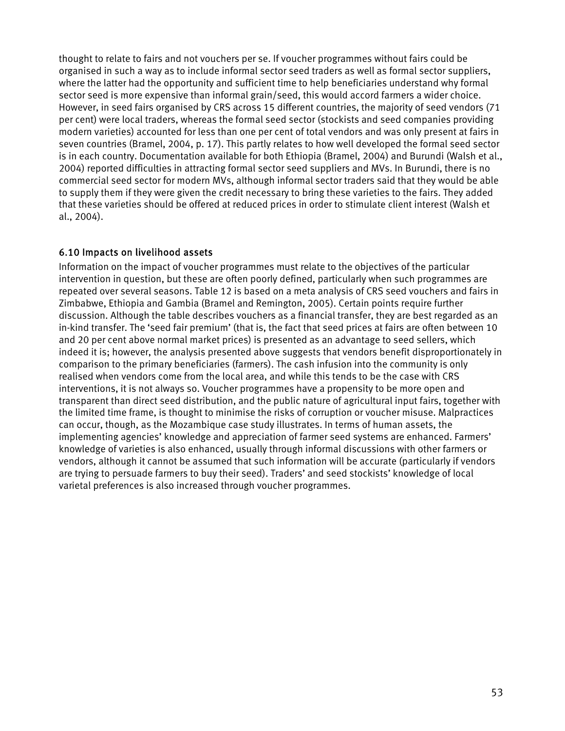<span id="page-52-0"></span>thought to relate to fairs and not vouchers per se. If voucher programmes without fairs could be organised in such a way as to include informal sector seed traders as well as formal sector suppliers, where the latter had the opportunity and sufficient time to help beneficiaries understand why formal sector seed is more expensive than informal grain/seed, this would accord farmers a wider choice. However, in seed fairs organised by CRS across 15 different countries, the majority of seed vendors (71 per cent) were local traders, whereas the formal seed sector (stockists and seed companies providing modern varieties) accounted for less than one per cent of total vendors and was only present at fairs in seven countries (Bramel, 2004, p. 17). This partly relates to how well developed the formal seed sector is in each country. Documentation available for both Ethiopia (Bramel, 2004) and Burundi (Walsh et al., 2004) reported difficulties in attracting formal sector seed suppliers and MVs. In Burundi, there is no commercial seed sector for modern MVs, although informal sector traders said that they would be able to supply them if they were given the credit necessary to bring these varieties to the fairs. They added that these varieties should be offered at reduced prices in order to stimulate client interest (Walsh et al., 2004).

# 6.10 Impacts on livelihood assets

Information on the impact of voucher programmes must relate to the objectives of the particular intervention in question, but these are often poorly defined, particularly when such programmes are repeated over several seasons. Table 12 is based on a meta analysis of CRS seed vouchers and fairs in Zimbabwe, Ethiopia and Gambia (Bramel and Remington, 2005). Certain points require further discussion. Although the table describes vouchers as a financial transfer, they are best regarded as an in-kind transfer. The 'seed fair premium' (that is, the fact that seed prices at fairs are often between 10 and 20 per cent above normal market prices) is presented as an advantage to seed sellers, which indeed it is; however, the analysis presented above suggests that vendors benefit disproportionately in comparison to the primary beneficiaries (farmers). The cash infusion into the community is only realised when vendors come from the local area, and while this tends to be the case with CRS interventions, it is not always so. Voucher programmes have a propensity to be more open and transparent than direct seed distribution, and the public nature of agricultural input fairs, together with the limited time frame, is thought to minimise the risks of corruption or voucher misuse. Malpractices can occur, though, as the Mozambique case study illustrates. In terms of human assets, the implementing agencies' knowledge and appreciation of farmer seed systems are enhanced. Farmers' knowledge of varieties is also enhanced, usually through informal discussions with other farmers or vendors, although it cannot be assumed that such information will be accurate (particularly if vendors are trying to persuade farmers to buy their seed). Traders' and seed stockists' knowledge of local varietal preferences is also increased through voucher programmes.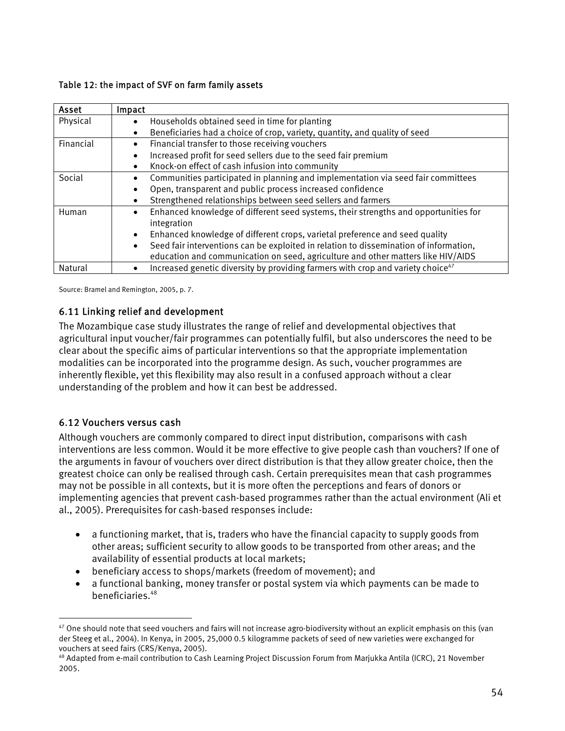#### <span id="page-53-0"></span>Table 12: the impact of SVF on farm family assets

| Asset     | Impact                                                                                             |
|-----------|----------------------------------------------------------------------------------------------------|
| Physical  | Households obtained seed in time for planting<br>٠                                                 |
|           | Beneficiaries had a choice of crop, variety, quantity, and quality of seed<br>$\bullet$            |
| Financial | Financial transfer to those receiving vouchers<br>$\bullet$                                        |
|           | Increased profit for seed sellers due to the seed fair premium<br>$\bullet$                        |
|           | Knock-on effect of cash infusion into community<br>$\bullet$                                       |
| Social    | Communities participated in planning and implementation via seed fair committees<br>$\bullet$      |
|           | Open, transparent and public process increased confidence<br>$\bullet$                             |
|           | Strengthened relationships between seed sellers and farmers<br>٠                                   |
| Human     | Enhanced knowledge of different seed systems, their strengths and opportunities for<br>$\bullet$   |
|           | integration                                                                                        |
|           | Enhanced knowledge of different crops, varietal preference and seed quality<br>$\bullet$           |
|           | Seed fair interventions can be exploited in relation to dissemination of information,<br>$\bullet$ |
|           | education and communication on seed, agriculture and other matters like HIV/AIDS                   |
| Natural   | Increased genetic diversity by providing farmers with crop and variety choice <sup>47</sup>        |

Source: Bramel and Remington, 2005, p. 7.

# 6.11 Linking relief and development

The Mozambique case study illustrates the range of relief and developmental objectives that agricultural input voucher/fair programmes can potentially fulfil, but also underscores the need to be clear about the specific aims of particular interventions so that the appropriate implementation modalities can be incorporated into the programme design. As such, voucher programmes are inherently flexible, yet this flexibility may also result in a confused approach without a clear understanding of the problem and how it can best be addressed.

# 6.12 Vouchers versus cash

 $\overline{a}$ 

Although vouchers are commonly compared to direct input distribution, comparisons with cash interventions are less common. Would it be more effective to give people cash than vouchers? If one of the arguments in favour of vouchers over direct distribution is that they allow greater choice, then the greatest choice can only be realised through cash. Certain prerequisites mean that cash programmes may not be possible in all contexts, but it is more often the perceptions and fears of donors or implementing agencies that prevent cash-based programmes rather than the actual environment (Ali et al., 2005). Prerequisites for cash-based responses include:

- a functioning market, that is, traders who have the financial capacity to supply goods from other areas; sufficient security to allow goods to be transported from other areas; and the availability of essential products at local markets;
- beneficiary access to shops/markets (freedom of movement); and
- a functional banking, money transfer or postal system via which payments can be made to beneficiaries.<sup>48</sup>

<span id="page-53-1"></span><sup>&</sup>lt;sup>47</sup> One should note that seed vouchers and fairs will not increase agro-biodiversity without an explicit emphasis on this (van der Steeg et al., 2004). In Kenya, in 2005, 25,000 0.5 kilogramme packets of seed of new varieties were exchanged for vouchers at seed fairs (CRS/Kenya, 2005).

<span id="page-53-2"></span><sup>&</sup>lt;sup>48</sup> Adapted from e-mail contribution to Cash Learning Project Discussion Forum from Marjukka Antila (ICRC), 21 November 2005.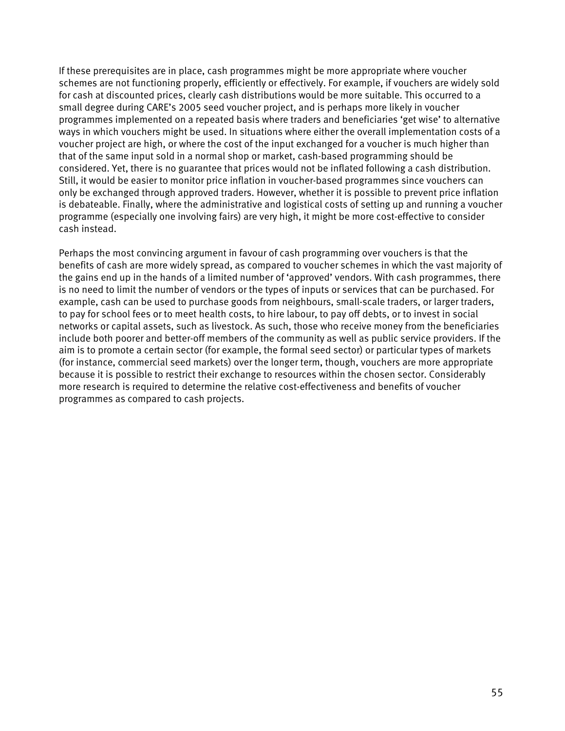If these prerequisites are in place, cash programmes might be more appropriate where voucher schemes are not functioning properly, efficiently or effectively. For example, if vouchers are widely sold for cash at discounted prices, clearly cash distributions would be more suitable. This occurred to a small degree during CARE's 2005 seed voucher project, and is perhaps more likely in voucher programmes implemented on a repeated basis where traders and beneficiaries 'get wise' to alternative ways in which vouchers might be used. In situations where either the overall implementation costs of a voucher project are high, or where the cost of the input exchanged for a voucher is much higher than that of the same input sold in a normal shop or market, cash-based programming should be considered. Yet, there is no guarantee that prices would not be inflated following a cash distribution. Still, it would be easier to monitor price inflation in voucher-based programmes since vouchers can only be exchanged through approved traders. However, whether it is possible to prevent price inflation is debateable. Finally, where the administrative and logistical costs of setting up and running a voucher programme (especially one involving fairs) are very high, it might be more cost-effective to consider cash instead.

Perhaps the most convincing argument in favour of cash programming over vouchers is that the benefits of cash are more widely spread, as compared to voucher schemes in which the vast majority of the gains end up in the hands of a limited number of 'approved' vendors. With cash programmes, there is no need to limit the number of vendors or the types of inputs or services that can be purchased. For example, cash can be used to purchase goods from neighbours, small-scale traders, or larger traders, to pay for school fees or to meet health costs, to hire labour, to pay off debts, or to invest in social networks or capital assets, such as livestock. As such, those who receive money from the beneficiaries include both poorer and better-off members of the community as well as public service providers. If the aim is to promote a certain sector (for example, the formal seed sector) or particular types of markets (for instance, commercial seed markets) over the longer term, though, vouchers are more appropriate because it is possible to restrict their exchange to resources within the chosen sector. Considerably more research is required to determine the relative cost-effectiveness and benefits of voucher programmes as compared to cash projects.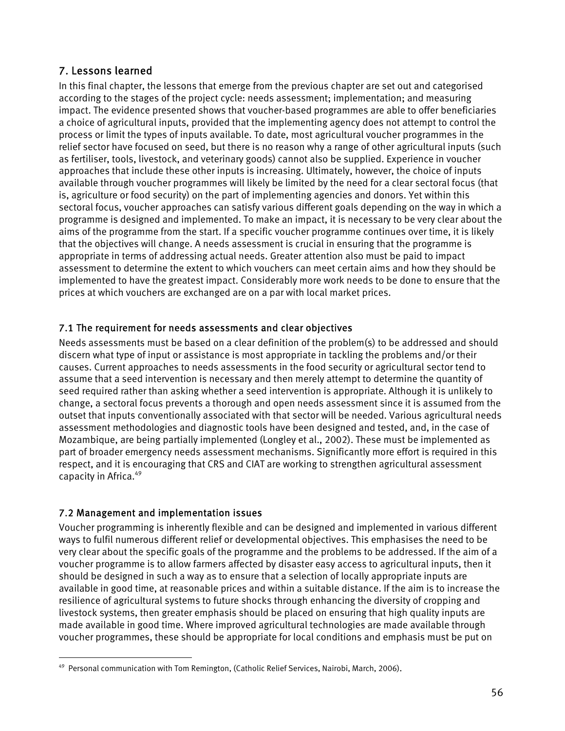# <span id="page-55-0"></span>7. Lessons learned

In this final chapter, the lessons that emerge from the previous chapter are set out and categorised according to the stages of the project cycle: needs assessment; implementation; and measuring impact. The evidence presented shows that voucher-based programmes are able to offer beneficiaries a choice of agricultural inputs, provided that the implementing agency does not attempt to control the process or limit the types of inputs available. To date, most agricultural voucher programmes in the relief sector have focused on seed, but there is no reason why a range of other agricultural inputs (such as fertiliser, tools, livestock, and veterinary goods) cannot also be supplied. Experience in voucher approaches that include these other inputs is increasing. Ultimately, however, the choice of inputs available through voucher programmes will likely be limited by the need for a clear sectoral focus (that is, agriculture or food security) on the part of implementing agencies and donors. Yet within this sectoral focus, voucher approaches can satisfy various different goals depending on the way in which a programme is designed and implemented. To make an impact, it is necessary to be very clear about the aims of the programme from the start. If a specific voucher programme continues over time, it is likely that the objectives will change. A needs assessment is crucial in ensuring that the programme is appropriate in terms of addressing actual needs. Greater attention also must be paid to impact assessment to determine the extent to which vouchers can meet certain aims and how they should be implemented to have the greatest impact. Considerably more work needs to be done to ensure that the prices at which vouchers are exchanged are on a par with local market prices.

# 7.1 The requirement for needs assessments and clear objectives

Needs assessments must be based on a clear definition of the problem(s) to be addressed and should discern what type of input or assistance is most appropriate in tackling the problems and/or their causes. Current approaches to needs assessments in the food security or agricultural sector tend to assume that a seed intervention is necessary and then merely attempt to determine the quantity of seed required rather than asking whether a seed intervention is appropriate. Although it is unlikely to change, a sectoral focus prevents a thorough and open needs assessment since it is assumed from the outset that inputs conventionally associated with that sector will be needed. Various agricultural needs assessment methodologies and diagnostic tools have been designed and tested, and, in the case of Mozambique, are being partially implemented (Longley et al., 2002). These must be implemented as part of broader emergency needs assessment mechanisms. Significantly more effort is required in this respect, and it is encouraging that CRS and CIAT are working to strengthen agricultural assessment capacity in Africa.<sup>49</sup>

# 7.2 Management and implementation issues

 $\overline{a}$ 

Voucher programming is inherently flexible and can be designed and implemented in various different ways to fulfil numerous different relief or developmental objectives. This emphasises the need to be very clear about the specific goals of the programme and the problems to be addressed. If the aim of a voucher programme is to allow farmers affected by disaster easy access to agricultural inputs, then it should be designed in such a way as to ensure that a selection of locally appropriate inputs are available in good time, at reasonable prices and within a suitable distance. If the aim is to increase the resilience of agricultural systems to future shocks through enhancing the diversity of cropping and livestock systems, then greater emphasis should be placed on ensuring that high quality inputs are made available in good time. Where improved agricultural technologies are made available through voucher programmes, these should be appropriate for local conditions and emphasis must be put on

<span id="page-55-1"></span><sup>&</sup>lt;sup>49</sup> Personal communication with Tom Remington, (Catholic Relief Services, Nairobi, March, 2006).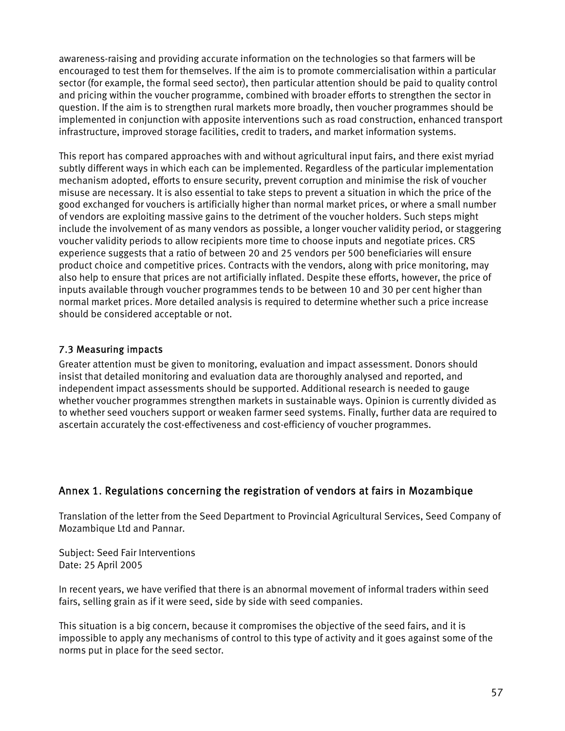<span id="page-56-0"></span>awareness-raising and providing accurate information on the technologies so that farmers will be encouraged to test them for themselves. If the aim is to promote commercialisation within a particular sector (for example, the formal seed sector), then particular attention should be paid to quality control and pricing within the voucher programme, combined with broader efforts to strengthen the sector in question. If the aim is to strengthen rural markets more broadly, then voucher programmes should be implemented in conjunction with apposite interventions such as road construction, enhanced transport infrastructure, improved storage facilities, credit to traders, and market information systems.

This report has compared approaches with and without agricultural input fairs, and there exist myriad subtly different ways in which each can be implemented. Regardless of the particular implementation mechanism adopted, efforts to ensure security, prevent corruption and minimise the risk of voucher misuse are necessary. It is also essential to take steps to prevent a situation in which the price of the good exchanged for vouchers is artificially higher than normal market prices, or where a small number of vendors are exploiting massive gains to the detriment of the voucher holders. Such steps might include the involvement of as many vendors as possible, a longer voucher validity period, or staggering voucher validity periods to allow recipients more time to choose inputs and negotiate prices. CRS experience suggests that a ratio of between 20 and 25 vendors per 500 beneficiaries will ensure product choice and competitive prices. Contracts with the vendors, along with price monitoring, may also help to ensure that prices are not artificially inflated. Despite these efforts, however, the price of inputs available through voucher programmes tends to be between 10 and 30 per cent higher than normal market prices. More detailed analysis is required to determine whether such a price increase should be considered acceptable or not.

# 7.3 Measuring impacts

Greater attention must be given to monitoring, evaluation and impact assessment. Donors should insist that detailed monitoring and evaluation data are thoroughly analysed and reported, and independent impact assessments should be supported. Additional research is needed to gauge whether voucher programmes strengthen markets in sustainable ways. Opinion is currently divided as to whether seed vouchers support or weaken farmer seed systems. Finally, further data are required to ascertain accurately the cost-effectiveness and cost-efficiency of voucher programmes.

# Annex 1. Regulations concerning the registration of vendors at fairs in Mozambique

Translation of the letter from the Seed Department to Provincial Agricultural Services, Seed Company of Mozambique Ltd and Pannar.

Subject: Seed Fair Interventions Date: 25 April 2005

In recent years, we have verified that there is an abnormal movement of informal traders within seed fairs, selling grain as if it were seed, side by side with seed companies.

This situation is a big concern, because it compromises the objective of the seed fairs, and it is impossible to apply any mechanisms of control to this type of activity and it goes against some of the norms put in place for the seed sector.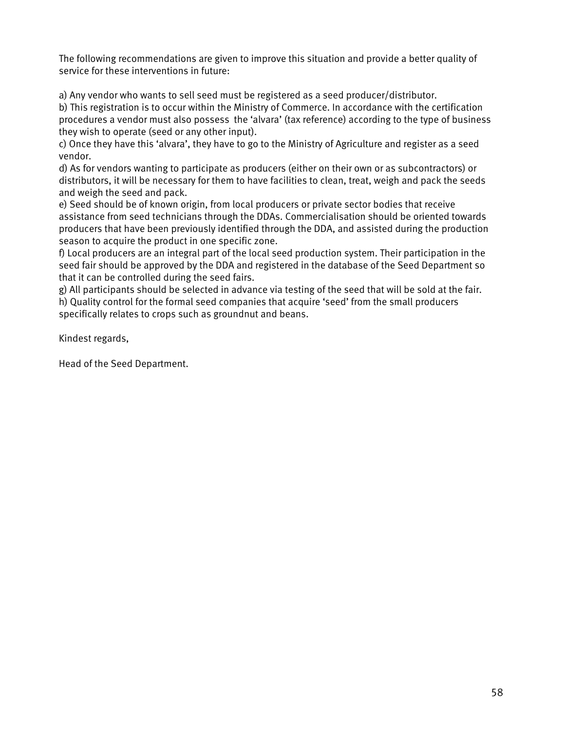The following recommendations are given to improve this situation and provide a better quality of service for these interventions in future:

a) Any vendor who wants to sell seed must be registered as a seed producer/distributor.

b) This registration is to occur within the Ministry of Commerce. In accordance with the certification procedures a vendor must also possess the 'alvara' (tax reference) according to the type of business they wish to operate (seed or any other input).

c) Once they have this 'alvara', they have to go to the Ministry of Agriculture and register as a seed vendor.

d) As for vendors wanting to participate as producers (either on their own or as subcontractors) or distributors, it will be necessary for them to have facilities to clean, treat, weigh and pack the seeds and weigh the seed and pack.

e) Seed should be of known origin, from local producers or private sector bodies that receive assistance from seed technicians through the DDAs. Commercialisation should be oriented towards producers that have been previously identified through the DDA, and assisted during the production season to acquire the product in one specific zone.

f) Local producers are an integral part of the local seed production system. Their participation in the seed fair should be approved by the DDA and registered in the database of the Seed Department so that it can be controlled during the seed fairs.

g) All participants should be selected in advance via testing of the seed that will be sold at the fair. h) Quality control for the formal seed companies that acquire 'seed' from the small producers specifically relates to crops such as groundnut and beans.

Kindest regards,

Head of the Seed Department.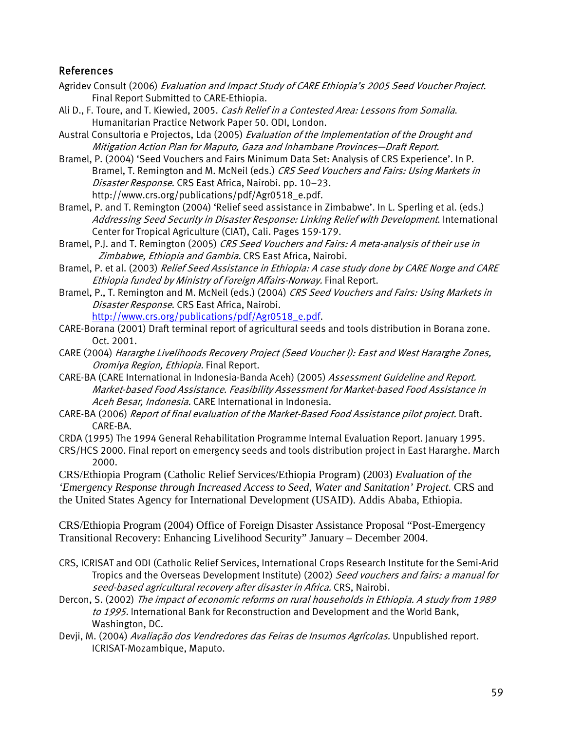# <span id="page-58-0"></span>References

- Agridev Consult (2006) Evaluation and Impact Study of CARE Ethiopia's 2005 Seed Voucher Project. Final Report Submitted to CARE-Ethiopia.
- Ali D., F. Toure, and T. Kiewied, 2005. Cash Relief in a Contested Area: Lessons from Somalia. Humanitarian Practice Network Paper 50. ODI, London.

Austral Consultoria e Projectos, Lda (2005) Evaluation of the Implementation of the Drought and Mitigation Action Plan for Maputo, Gaza and Inhambane Provinces—Draft Report.

Bramel, P. (2004) 'Seed Vouchers and Fairs Minimum Data Set: Analysis of CRS Experience'. In P. Bramel, T. Remington and M. McNeil (eds.) CRS Seed Vouchers and Fairs: Using Markets in Disaster Response. CRS East Africa, Nairobi. pp. 10–23. http://www.crs.org/publications/pdf/Agr0518\_e.pdf.

Bramel, P. and T. Remington (2004) 'Relief seed assistance in Zimbabwe'. In L. Sperling et al. (eds.) Addressing Seed Security in Disaster Response: Linking Relief with Development. International Center for Tropical Agriculture (CIAT), Cali. Pages 159-179.

Bramel, P.J. and T. Remington (2005) CRS Seed Vouchers and Fairs: A meta-analysis of their use in Zimbabwe, Ethiopia and Gambia. CRS East Africa, Nairobi.

Bramel, P. et al. (2003) Relief Seed Assistance in Ethiopia: A case study done by CARE Norge and CARE Ethiopia funded by Ministry of Foreign Affairs-Norway. Final Report.

Bramel, P., T. Remington and M. McNeil (eds.) (2004) CRS Seed Vouchers and Fairs: Using Markets in Disaster Response. CRS East Africa, Nairobi.

[http://www.crs.org/publications/pdf/Agr0518\\_e.pdf](http://www.crs.org/publications/pdf/Agr0518_e.pdf).

CARE-Borana (2001) Draft terminal report of agricultural seeds and tools distribution in Borana zone. Oct. 2001.

- CARE (2004) Hararghe Livelihoods Recovery Project (Seed Voucher I): East and West Hararghe Zones, Oromiya Region, Ethiopia. Final Report.
- CARE-BA (CARE International in Indonesia-Banda Aceh) (2005) Assessment Guideline and Report. Market-based Food Assistance. Feasibility Assessment for Market-based Food Assistance in Aceh Besar, Indonesia. CARE International in Indonesia.
- CARE-BA (2006) Report of final evaluation of the Market-Based Food Assistance pilot project. Draft. CARE-BA.

CRDA (1995) The 1994 General Rehabilitation Programme Internal Evaluation Report. January 1995.

CRS/HCS 2000. Final report on emergency seeds and tools distribution project in East Hararghe. March 2000.

CRS/Ethiopia Program (Catholic Relief Services/Ethiopia Program) (2003) *Evaluation of the 'Emergency Response through Increased Access to Seed, Water and Sanitation' Project.* CRS and the United States Agency for International Development (USAID). Addis Ababa, Ethiopia.

CRS/Ethiopia Program (2004) Office of Foreign Disaster Assistance Proposal "Post-Emergency Transitional Recovery: Enhancing Livelihood Security" January – December 2004.

- seed-based agricultural recovery after disaster in Africa. CRS, Nairobi. CRS, ICRISAT and ODI (Catholic Relief Services, International Crops Research Institute for the Semi-Arid Tropics and the Overseas Development Institute) (2002) Seed vouchers and fairs: a manual for
- Dercon, S. (2002) The impact of economic reforms on rural households in Ethiopia. A study from 1989 to 1995. International Bank for Reconstruction and Development and the World Bank, Washington, DC.

Devji, M. (2004) *Avaliação dos Vendredores das Feiras de Insumos Agrícolas.* Unpublished report. ICRISAT-Mozambique, Maputo.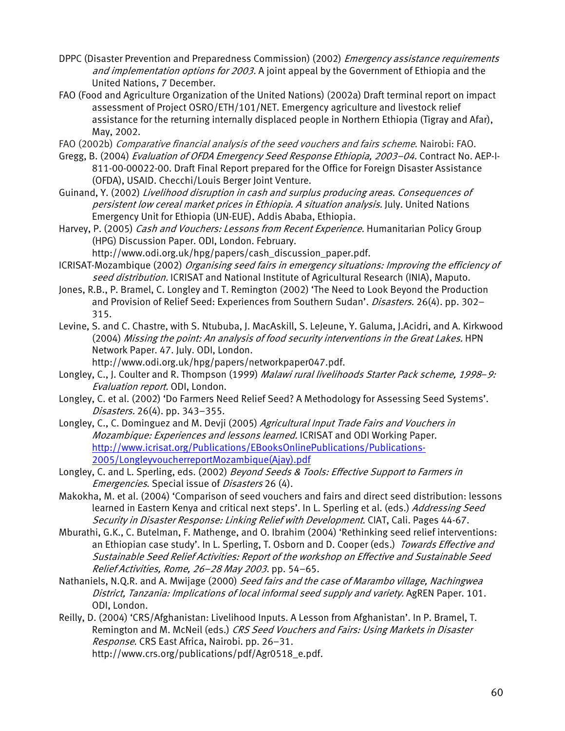- DPPC (Disaster Prevention and Preparedness Commission) (2002) *Emergency assistance requirements* and implementation options for 2003. A joint appeal by the Government of Ethiopia and the United Nations, 7 December.
- FAO (Food and Agriculture Organization of the United Nations) (2002a) Draft terminal report on impact assessment of Project OSRO/ETH/101/NET. Emergency agriculture and livestock relief assistance for the returning internally displaced people in Northern Ethiopia (Tigray and Afar), May, 2002.

FAO (2002b) Comparative financial analysis of the seed vouchers and fairs scheme. Nairobi: FAO.

- Gregg, B. (2004) Evaluation of OFDA Emergency Seed Response Ethiopia, 2003–04. Contract No. AEP-I-811-00-00022-00. Draft Final Report prepared for the Office for Foreign Disaster Assistance (OFDA), USAID. Checchi/Louis Berger Joint Venture.
- Guinand, Y. (2002) Livelihood disruption in cash and surplus producing areas. Consequences of persistent low cereal market prices in Ethiopia. A situation analysis. July. United Nations Emergency Unit for Ethiopia (UN-EUE). Addis Ababa, Ethiopia.
- Harvey, P. (2005) Cash and Vouchers: Lessons from Recent Experience. Humanitarian Policy Group (HPG) Discussion Paper. ODI, London. February.
	- http://www.odi.org.uk/hpg/papers/cash\_discussion\_paper.pdf.
- seed distribution. ICRISAT and National Institute of Agricultural Research (INIA), Maputo. ICRISAT-Mozambique (2002) Organising seed fairs in emergency situations: Improving the efficiency of
- Jones, R.B., P. Bramel, C. Longley and T. Remington (2002) 'The Need to Look Beyond the Production and Provision of Relief Seed: Experiences from Southern Sudan'. *Disasters.* 26(4). pp. 302-315.
- Levine, S. and C. Chastre, with S. Ntububa, J. MacAskill, S. LeJeune, Y. Galuma, J.Acidri, and A. Kirkwood (2004) Missing the point: An analysis of food security interventions in the Great Lakes. HPN Network Paper. 47. July. ODI, London.

http://www.odi.org.uk/hpg/papers/networkpaper047.pdf.

- Longley, C., J. Coulter and R. Thompson (1999) Malawi rural livelihoods Starter Pack scheme, 1998–9: Evaluation report. ODI, London.
- Longley, C. et al. (2002) 'Do Farmers Need Relief Seed? A Methodology for Assessing Seed Systems'. [Disasters](http://www.ingentaconnect.com/content/bpl/disa;jsessionid=1he1mogh1o2rl.henrietta). 26(4). pp. 343–355.
- Longley, C., C. Dominguez and M. Devii (2005) Agricultural Input Trade Fairs and Vouchers in Mozambique: Experiences and lessons learned. ICRISAT and ODI Working Paper. [http://www.icrisat.org/Publications/EBooksOnlinePublications/Publications-](http://www.icrisat.org/Publications/EBooksOnlinePublications/Publications-2005/LongleyvoucherreportMozambique(Ajay).pdf)[2005/LongleyvoucherreportMozambique\(Ajay\).pdf](http://www.icrisat.org/Publications/EBooksOnlinePublications/Publications-2005/LongleyvoucherreportMozambique(Ajay).pdf)
- Longley, C. and L. Sperling, eds. (2002) Beyond Seeds & Tools: Effective Support to Farmers in Emergencies. Special issue of *Disasters* 26 (4).
- Makokha, M. et al. (2004) 'Comparison of seed vouchers and fairs and direct seed distribution: lessons learned in Eastern Kenya and critical next steps'. In L. Sperling et al. (eds.) Addressing Seed Security in Disaster Response: Linking Relief with Development. CIAT, Cali. Pages 44-67.
- Sustainable Seed Relief Activities: Report of the workshop on Effective and Sustainable Seed Mburathi, G.K., C. Butelman, F. Mathenge, and O. Ibrahim (2004) 'Rethinking seed relief interventions: an Ethiopian case study'. In L. Sperling, T. Osborn and D. Cooper (eds.) Towards Effective and Relief Activities, Rome, 26–28 May 2003. pp. 54–65.
- Nathaniels, N.Q.R. and A. Mwijage (2000) Seed fairs and the case of Marambo village, Nachingwea District, Tanzania: Implications of local informal seed supply and variety. AgREN Paper. 101. ODI, London.
- Remington and M. McNeil (eds.) CRS Seed Vouchers and Fairs: Using Markets in Disaster Reilly, D. (2004) 'CRS/Afghanistan: Livelihood Inputs. A Lesson from Afghanistan'. In P. Bramel, T. Response. CRS East Africa, Nairobi. pp. 26–31. http://www.crs.org/publications/pdf/Agr0518\_e.pdf.